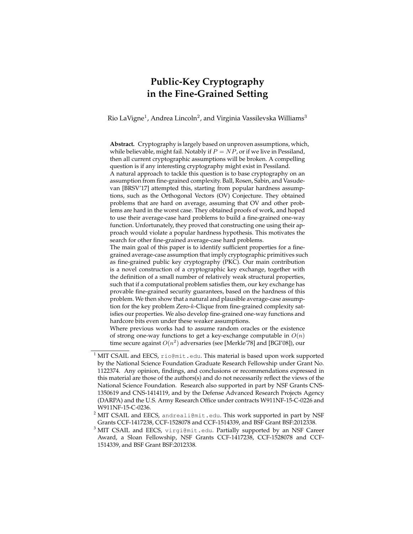# **Public-Key Cryptography in the Fine-Grained Setting**

Rio LaVigne $^1$ , Andrea Lincoln $^2$ , and Virginia Vassilevska Williams $^3$ 

**Abstract.** Cryptography is largely based on unproven assumptions, which, while believable, might fail. Notably if  $P = NP$ , or if we live in Pessiland, then all current cryptographic assumptions will be broken. A compelling question is if any interesting cryptography might exist in Pessiland. A natural approach to tackle this question is to base cryptography on an assumption from fine-grained complexity. Ball, Rosen, Sabin, and Vasudevan [BRSV'17] attempted this, starting from popular hardness assumptions, such as the Orthogonal Vectors (OV) Conjecture. They obtained problems that are hard on average, assuming that OV and other problems are hard in the worst case. They obtained proofs of work, and hoped to use their average-case hard problems to build a fine-grained one-way function. Unfortunately, they proved that constructing one using their approach would violate a popular hardness hypothesis. This motivates the search for other fine-grained average-case hard problems. The main goal of this paper is to identify sufficient properties for a finegrained average-case assumption that imply cryptographic primitives such as fine-grained public key cryptography (PKC). Our main contribution

is a novel construction of a cryptographic key exchange, together with the definition of a small number of relatively weak structural properties, such that if a computational problem satisfies them, our key exchange has provable fine-grained security guarantees, based on the hardness of this problem. We then show that a natural and plausible average-case assumption for the key problem Zero-k-Clique from fine-grained complexity satisfies our properties. We also develop fine-grained one-way functions and hardcore bits even under these weaker assumptions.

Where previous works had to assume random oracles or the existence of strong one-way functions to get a key-exchange computable in  $O(n)$ time secure against  $O(n^2)$  adversaries (see [Merkle'78] and [BGI'08]), our

 $1$  MIT CSAIL and EECS,  $\text{ri}\text{o}\text{@mit}$  . edu. This material is based upon work supported by the National Science Foundation Graduate Research Fellowship under Grant No. 1122374. Any opinion, findings, and conclusions or recommendations expressed in this material are those of the authors(s) and do not necessarily reflect the views of the National Science Foundation. Research also supported in part by NSF Grants CNS-1350619 and CNS-1414119, and by the Defense Advanced Research Projects Agency (DARPA) and the U.S. Army Research Office under contracts W911NF-15-C-0226 and W911NF-15-C-0236.

 $^2$  MIT CSAIL and EECS, andreali@mit.edu. This work supported in part by NSF Grants CCF-1417238, CCF-1528078 and CCF-1514339, and BSF Grant BSF:2012338.

<sup>&</sup>lt;sup>3</sup> MIT CSAIL and EECS, virgi@mit.edu. Partially supported by an NSF Career Award, a Sloan Fellowship, NSF Grants CCF-1417238, CCF-1528078 and CCF-1514339, and BSF Grant BSF:2012338.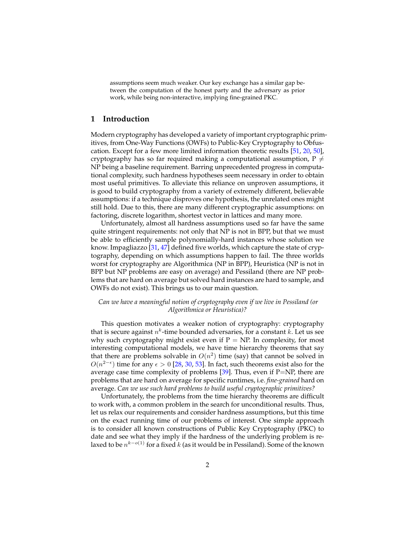assumptions seem much weaker. Our key exchange has a similar gap between the computation of the honest party and the adversary as prior work, while being non-interactive, implying fine-grained PKC.

# **1 Introduction**

Modern cryptography has developed a variety of important cryptographic primitives, from One-Way Functions (OWFs) to Public-Key Cryptography to Obfuscation. Except for a few more limited information theoretic results [\[51,](#page-38-0) [20,](#page-37-0) [50\]](#page-38-1), cryptography has so far required making a computational assumption,  $P \neq$ NP being a baseline requirement. Barring unprecedented progress in computational complexity, such hardness hypotheses seem necessary in order to obtain most useful primitives. To alleviate this reliance on unproven assumptions, it is good to build cryptography from a variety of extremely different, believable assumptions: if a technique disproves one hypothesis, the unrelated ones might still hold. Due to this, there are many different cryptographic assumptions: on factoring, discrete logarithm, shortest vector in lattices and many more.

Unfortunately, almost all hardness assumptions used so far have the same quite stringent requirements: not only that NP is not in BPP, but that we must be able to efficiently sample polynomially-hard instances whose solution we know. Impagliazzo [\[31,](#page-37-1) [47\]](#page-38-2) defined five worlds, which capture the state of cryptography, depending on which assumptions happen to fail. The three worlds worst for cryptography are Algorithmica (NP in BPP), Heuristica (NP is not in BPP but NP problems are easy on average) and Pessiland (there are NP problems that are hard on average but solved hard instances are hard to sample, and OWFs do not exist). This brings us to our main question.

# *Can we have a meaningful notion of cryptography even if we live in Pessiland (or Algorithmica or Heuristica)?*

This question motivates a weaker notion of cryptography: cryptography that is secure against  $n^k$ -time bounded adversaries, for a constant  $k$ . Let us see why such cryptography might exist even if  $P = NP$ . In complexity, for most interesting computational models, we have time hierarchy theorems that say that there are problems solvable in  $O(n^2)$  time (say) that cannot be solved in  $O(n^{2-\epsilon})$  time for any  $\epsilon > 0$  [\[28,](#page-37-2) [30,](#page-37-3) [53\]](#page-39-0). In fact, such theorems exist also for the average case time complexity of problems  $[39]$ . Thus, even if P=NP, there are problems that are hard on average for specific runtimes, i.e. *fine-grained* hard on average. *Can we use such hard problems to build useful cryptographic primitives?*

Unfortunately, the problems from the time hierarchy theorems are difficult to work with, a common problem in the search for unconditional results. Thus, let us relax our requirements and consider hardness assumptions, but this time on the exact running time of our problems of interest. One simple approach is to consider all known constructions of Public Key Cryptography (PKC) to date and see what they imply if the hardness of the underlying problem is relaxed to be  $n^{k-o(1)}$  for a fixed  $k$  (as it would be in Pessiland). Some of the known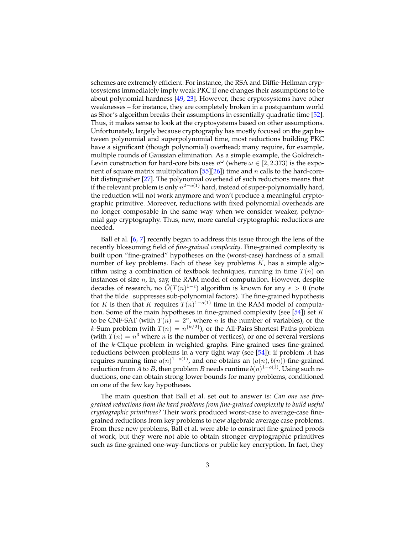schemes are extremely efficient. For instance, the RSA and Diffie-Hellman cryptosystems immediately imply weak PKC if one changes their assumptions to be about polynomial hardness [\[49,](#page-38-4) [23\]](#page-37-4). However, these cryptosystems have other weaknesses – for instance, they are completely broken in a postquantum world as Shor's algorithm breaks their assumptions in essentially quadratic time [\[52\]](#page-39-1). Thus, it makes sense to look at the cryptosystems based on other assumptions. Unfortunately, largely because cryptography has mostly focused on the gap between polynomial and superpolynomial time, most reductions building PKC have a significant (though polynomial) overhead; many require, for example, multiple rounds of Gaussian elimination. As a simple example, the Goldreich-Levin construction for hard-core bits uses  $n^{\omega}$  (where  $\omega \in [2, 2.373)$  is the expo-nent of square matrix multiplication [\[55\]](#page-39-2)[\[26\]](#page-37-5)) time and *n* calls to the hard-corebit distinguisher [\[27\]](#page-37-6). The polynomial overhead of such reductions means that if the relevant problem is only  $n^{2-o(1)}$  hard, instead of super-polynomially hard, the reduction will not work anymore and won't produce a meaningful cryptographic primitive. Moreover, reductions with fixed polynomial overheads are no longer composable in the same way when we consider weaker, polynomial gap cryptography. Thus, new, more careful cryptographic reductions are needed.

Ball et al. [\[6,](#page-36-0) [7\]](#page-36-1) recently began to address this issue through the lens of the recently blossoming field of *fine-grained complexity*. Fine-grained complexity is built upon "fine-grained" hypotheses on the (worst-case) hardness of a small number of key problems. Each of these key problems  $K$ , has a simple algorithm using a combination of textbook techniques, running in time  $T(n)$  on instances of size  $n$ , in, say, the RAM model of computation. However, despite decades of research, no  $O(T(n)^{1-\epsilon})$  algorithm is known for any  $\epsilon > 0$  (note that the tilde suppresses sub-polynomial factors). The fine-grained hypothesis for K is then that K requires  $T(n)^{1-o(1)}$  time in the RAM model of computation. Some of the main hypotheses in fine-grained complexity (see  $[54]$ ) set K to be CNF-SAT (with  $T(n) = 2<sup>n</sup>$ , where *n* is the number of variables), or the *k*-Sum problem (with  $T(n) = n^{\lceil k/2 \rceil}$ ), or the All-Pairs Shortest Paths problem (with  $T(n) = n^3$  where *n* is the number of vertices), or one of several versions of the k-Clique problem in weighted graphs. Fine-grained uses fine-grained reductions between problems in a very tight way (see  $[54]$ ): if problem A has requires running time  $a(n)^{1-o(1)}$ , and one obtains an  $(a(n), b(n))$ -fine-grained reduction from  $\tilde{A}$  to  $B$ , then problem  $B$  needs runtime  $b(n)^{1-o(1)}$ . Using such reductions, one can obtain strong lower bounds for many problems, conditioned on one of the few key hypotheses.

The main question that Ball et al. set out to answer is: *Can one use finegrained reductions from the hard problems from fine-grained complexity to build useful cryptographic primitives?* Their work produced worst-case to average-case finegrained reductions from key problems to new algebraic average case problems. From these new problems, Ball et al. were able to construct fine-grained proofs of work, but they were not able to obtain stronger cryptographic primitives such as fine-grained one-way-functions or public key encryption. In fact, they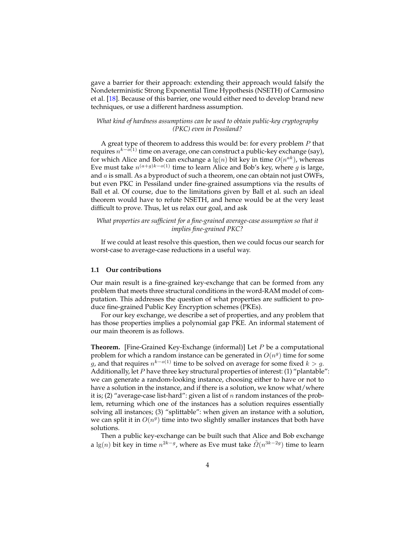gave a barrier for their approach: extending their approach would falsify the Nondeterministic Strong Exponential Time Hypothesis (NSETH) of Carmosino et al. [\[18\]](#page-37-7). Because of this barrier, one would either need to develop brand new techniques, or use a different hardness assumption.

## *What kind of hardness assumptions can be used to obtain public-key cryptography (PKC) even in Pessiland?*

A great type of theorem to address this would be: for every problem P that requires  $n^{k-o(1)}$  time on average, one can construct a public-key exchange (say), for which Alice and Bob can exchange a  $\lg(n)$  bit key in time  $O(n^{ak})$ , whereas Eve must take  $n^{(a+g)k-o(1)}$  time to learn Alice and Bob's key, where g is large, and  $a$  is small. As a byproduct of such a theorem, one can obtain not just OWFs, but even PKC in Pessiland under fine-grained assumptions via the results of Ball et al. Of course, due to the limitations given by Ball et al. such an ideal theorem would have to refute NSETH, and hence would be at the very least difficult to prove. Thus, let us relax our goal, and ask

## *What properties are sufficient for a fine-grained average-case assumption so that it implies fine-grained PKC?*

If we could at least resolve this question, then we could focus our search for worst-case to average-case reductions in a useful way.

#### **1.1 Our contributions**

Our main result is a fine-grained key-exchange that can be formed from any problem that meets three structural conditions in the word-RAM model of computation. This addresses the question of what properties are sufficient to produce fine-grained Public Key Encryption schemes (PKEs).

For our key exchange, we describe a set of properties, and any problem that has those properties implies a polynomial gap PKE. An informal statement of our main theorem is as follows.

**Theorem.** [Fine-Grained Key-Exchange (informal)] Let P be a computational problem for which a random instance can be generated in  $O(n^g)$  time for some g, and that requires  $n^{k-o(1)}$  time to be solved on average for some fixed  $k > g$ . Additionally, let  $P$  have three key structural properties of interest: (1) "plantable": we can generate a random-looking instance, choosing either to have or not to have a solution in the instance, and if there is a solution, we know what/where it is; (2) "average-case list-hard": given a list of  $n$  random instances of the problem, returning which one of the instances has a solution requires essentially solving all instances; (3) "splittable": when given an instance with a solution, we can split it in  $O(n^g)$  time into two slightly smaller instances that both have solutions.

Then a public key-exchange can be built such that Alice and Bob exchange a lg(n) bit key in time  $n^{2k-g}$ , where as Eve must take  $\tilde{\Omega}(n^{3k-2g})$  time to learn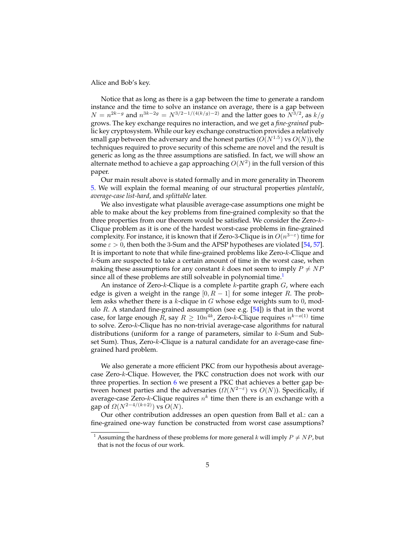#### Alice and Bob's key.

Notice that as long as there is a gap between the time to generate a random instance and the time to solve an instance on average, there is a gap between  $N = n^{2k-g}$  and  $n^{3k-2g} = N^{3/2-1/(4(k/g)-2)}$  and the latter goes to  $N^{3/2}$ , as  $k/g$ grows. The key exchange requires no interaction, and we get a *fine-grained* public key cryptosystem. While our key exchange construction provides a relatively small gap between the adversary and the honest parties ( $O(N^{1.5})$  vs  $O(N)$ ), the techniques required to prove security of this scheme are novel and the result is generic as long as the three assumptions are satisfied. In fact, we will show an alternate method to achieve a gap approaching  $O(N^2)$  in the full version of this paper.

Our main result above is stated formally and in more generality in Theorem [5.](#page-25-0) We will explain the formal meaning of our structural properties *plantable*, *average-case list-hard*, and *splittable* later.

We also investigate what plausible average-case assumptions one might be able to make about the key problems from fine-grained complexity so that the three properties from our theorem would be satisfied. We consider the Zero-k-Clique problem as it is one of the hardest worst-case problems in fine-grained complexity. For instance, it is known that if Zero-3-Clique is in  $O(n^{3-\varepsilon})$  time for some  $\varepsilon > 0$ , then both the 3-Sum and the APSP hypotheses are violated [\[54,](#page-39-3) [57\]](#page-39-4). It is important to note that while fine-grained problems like  $Zero-k$ -Clique and k-Sum are suspected to take a certain amount of time in the worst case, when making these assumptions for any constant k does not seem to imply  $P \neq NP$ since all of these problems are still solveable in polynomial time.<sup>[1](#page-4-0)</sup>

An instance of Zero- $k$ -Clique is a complete  $k$ -partite graph  $G$ , where each edge is given a weight in the range  $[0, R - 1]$  for some integer R. The problem asks whether there is a  $k$ -clique in  $G$  whose edge weights sum to  $0$ , modulo R. A standard fine-grained assumption (see e.g.  $[54]$ ) is that in the worst case, for large enough  $R$ , say  $R \ge 10n^{4k}$ , Zero-k-Clique requires  $n^{k - o(1)}$  time to solve. Zero-k-Clique has no non-trivial average-case algorithms for natural distributions (uniform for a range of parameters, similar to  $k$ -Sum and Subset Sum). Thus, Zero-k-Clique is a natural candidate for an average-case finegrained hard problem.

We also generate a more efficient PKC from our hypothesis about averagecase Zero-k-Clique. However, the PKC construction does not work with our three properties. In section [6](#page-29-0) we present a PKC that achieves a better gap between honest parties and the adversaries ( $\Omega(N^{2-\epsilon})$  vs  $O(N)$ ). Specifically, if average-case Zero- $k$ -Clique requires  $n^k$  time then there is an exchange with a gap of  $\Omega(N^{2-4/(k+2)})$  vs  $O(N)$ .

Our other contribution addresses an open question from Ball et al.: can a fine-grained one-way function be constructed from worst case assumptions?

<span id="page-4-0"></span><sup>&</sup>lt;sup>1</sup> Assuming the hardness of these problems for more general k will imply  $P \neq NP$ , but that is not the focus of our work.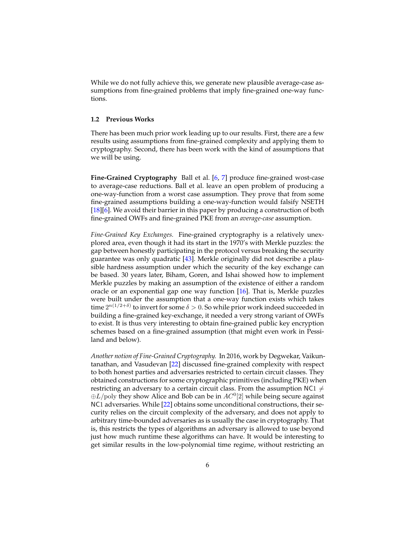While we do not fully achieve this, we generate new plausible average-case assumptions from fine-grained problems that imply fine-grained one-way functions.

#### **1.2 Previous Works**

There has been much prior work leading up to our results. First, there are a few results using assumptions from fine-grained complexity and applying them to cryptography. Second, there has been work with the kind of assumptions that we will be using.

**Fine-Grained Cryptography** Ball et al. [\[6,](#page-36-0) [7\]](#page-36-1) produce fine-grained wost-case to average-case reductions. Ball et al. leave an open problem of producing a one-way-function from a worst case assumption. They prove that from some fine-grained assumptions building a one-way-function would falsify NSETH [\[18\]](#page-37-7)[\[6\]](#page-36-0). We avoid their barrier in this paper by producing a construction of both fine-grained OWFs and fine-grained PKE from an *average-case* assumption.

*Fine-Grained Key Exchanges.* Fine-grained cryptography is a relatively unexplored area, even though it had its start in the 1970's with Merkle puzzles: the gap between honestly participating in the protocol versus breaking the security guarantee was only quadratic [\[43\]](#page-38-5). Merkle originally did not describe a plausible hardness assumption under which the security of the key exchange can be based. 30 years later, Biham, Goren, and Ishai showed how to implement Merkle puzzles by making an assumption of the existence of either a random oracle or an exponential gap one way function [\[16\]](#page-37-8). That is, Merkle puzzles were built under the assumption that a one-way function exists which takes time  $2^{n(1/2+\delta)}$  to invert for some  $\delta > 0$ . So while prior work indeed succeeded in building a fine-grained key-exchange, it needed a very strong variant of OWFs to exist. It is thus very interesting to obtain fine-grained public key encryption schemes based on a fine-grained assumption (that might even work in Pessiland and below).

*Another notion of Fine-Grained Cryptography.* In 2016, work by Degwekar, Vaikuntanathan, and Vasudevan [\[22\]](#page-37-9) discussed fine-grained complexity with respect to both honest parties and adversaries restricted to certain circuit classes. They obtained constructions for some cryptographic primitives (including PKE) when restricting an adversary to a certain circuit class. From the assumption NC1  $\neq$  $\oplus L$ /poly they show Alice and Bob can be in  $AC^0[2]$  while being secure against NC1 adversaries. While [\[22\]](#page-37-9) obtains some unconditional constructions, their security relies on the circuit complexity of the adversary, and does not apply to arbitrary time-bounded adversaries as is usually the case in cryptography. That is, this restricts the types of algorithms an adversary is allowed to use beyond just how much runtime these algorithms can have. It would be interesting to get similar results in the low-polynomial time regime, without restricting an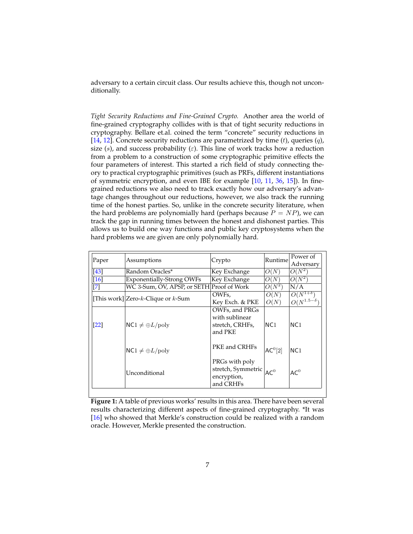adversary to a certain circuit class. Our results achieve this, though not unconditionally.

*Tight Security Reductions and Fine-Grained Crypto.* Another area the world of fine-grained cryptography collides with is that of tight security reductions in cryptography. Bellare et.al. coined the term "concrete" security reductions in [\[14,](#page-36-2) [12\]](#page-36-3). Concrete security reductions are parametrized by time  $(t)$ , queries  $(q)$ , size (s), and success probability ( $\varepsilon$ ). This line of work tracks how a reduction from a problem to a construction of some cryptographic primitive effects the four parameters of interest. This started a rich field of study connecting theory to practical cryptographic primitives (such as PRFs, different instantiations of symmetric encryption, and even IBE for example [\[10,](#page-36-4) [11,](#page-36-5) [36,](#page-38-6) [15\]](#page-36-6)). In finegrained reductions we also need to track exactly how our adversary's advantage changes throughout our reductions, however, we also track the running time of the honest parties. So, unlike in the concrete security literature, when the hard problems are polynomially hard (perhaps because  $P = NP$ ), we can track the gap in running times between the honest and dishonest parties. This allows us to build one way functions and public key cryptosystems when the hard problems we are given are only polynomially hard.

| Paper       | Assumptions                               | Crypto                                                                      | Runtime     | Power of            |
|-------------|-------------------------------------------|-----------------------------------------------------------------------------|-------------|---------------------|
|             |                                           |                                                                             |             | Adversary           |
| [43]        | Random Oracles*                           | Key Exchange                                                                | O(N)        | $O(N^2)$            |
| $[16]$      | <b>Exponentially-Strong OWFs</b>          | Key Exchange                                                                | O(N)        | $O(N^2)$            |
| $\boxed{7}$ | WC 3-Sum, OV, APSP, or SETH Proof of Work |                                                                             | $ O(N^2) $  | N/A                 |
|             | [This work]]Zero-k-Clique or k-Sum        | OWFs,                                                                       | O(N)        | $O(N^{1+\delta})$   |
|             |                                           | Key Exch. & PKE                                                             | O(N)        | $O(N^{1.5-\delta})$ |
| $[22]$      | $NC1 \neq \bigoplus L \text{/poly}$       | OWFs, and PRGs<br>with sublinear<br>stretch, CRHFs,<br>and PKE              | INC1        | NC1                 |
|             | $NC1 \neq \bigoplus L \text{/poly}$       | PKE and CRHFs                                                               | $ AC^0[2] $ | NC1                 |
|             | Unconditional                             | PRGs with poly<br>stretch, Symmetric $ _{AC^0}$<br>encryption,<br>and CRHFs |             | AC <sup>0</sup>     |

**Figure 1:** A table of previous works' results in this area. There have been several results characterizing different aspects of fine-grained cryptography. \*It was [\[16\]](#page-37-8) who showed that Merkle's construction could be realized with a random oracle. However, Merkle presented the construction.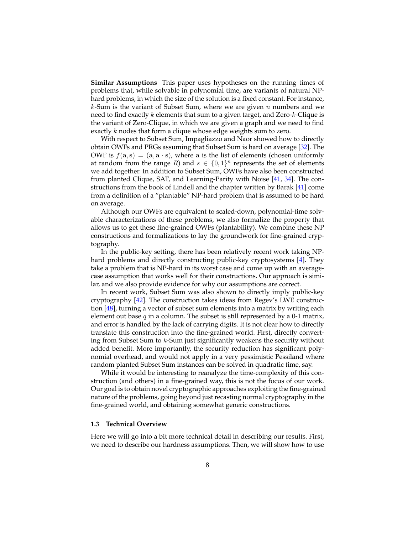**Similar Assumptions** This paper uses hypotheses on the running times of problems that, while solvable in polynomial time, are variants of natural NPhard problems, in which the size of the solution is a fixed constant. For instance,  $k$ -Sum is the variant of Subset Sum, where we are given  $n$  numbers and we need to find exactly  $k$  elements that sum to a given target, and Zero- $k$ -Clique is the variant of Zero-Clique, in which we are given a graph and we need to find exactly k nodes that form a clique whose edge weights sum to zero.

With respect to Subset Sum, Impagliazzo and Naor showed how to directly obtain OWFs and PRGs assuming that Subset Sum is hard on average [\[32\]](#page-37-10). The OWF is  $f(\mathbf{a}, \mathbf{s}) = (\mathbf{a}, \mathbf{a} \cdot \mathbf{s})$ , where a is the list of elements (chosen uniformly at random from the range R) and  $s \in \{0,1\}^n$  represents the set of elements we add together. In addition to Subset Sum, OWFs have also been constructed from planted Clique, SAT, and Learning-Parity with Noise [\[41,](#page-38-7) [34\]](#page-38-8). The constructions from the book of Lindell and the chapter written by Barak [\[41\]](#page-38-7) come from a definition of a "plantable" NP-hard problem that is assumed to be hard on average.

Although our OWFs are equivalent to scaled-down, polynomial-time solvable characterizations of these problems, we also formalize the property that allows us to get these fine-grained OWFs (plantability). We combine these NP constructions and formalizations to lay the groundwork for fine-grained cryptography.

In the public-key setting, there has been relatively recent work taking NPhard problems and directly constructing public-key cryptosystems [\[4\]](#page-36-7). They take a problem that is NP-hard in its worst case and come up with an averagecase assumption that works well for their constructions. Our approach is similar, and we also provide evidence for why our assumptions are correct.

In recent work, Subset Sum was also shown to directly imply public-key cryptography [\[42\]](#page-38-9). The construction takes ideas from Regev's LWE construction [\[48\]](#page-38-10), turning a vector of subset sum elements into a matrix by writing each element out base q in a column. The subset is still represented by a 0-1 matrix, and error is handled by the lack of carrying digits. It is not clear how to directly translate this construction into the fine-grained world. First, directly converting from Subset Sum to k-Sum just significantly weakens the security without added benefit. More importantly, the security reduction has significant polynomial overhead, and would not apply in a very pessimistic Pessiland where random planted Subset Sum instances can be solved in quadratic time, say.

While it would be interesting to reanalyze the time-complexity of this construction (and others) in a fine-grained way, this is not the focus of our work. Our goal is to obtain novel cryptographic approaches exploiting the fine-grained nature of the problems, going beyond just recasting normal cryptography in the fine-grained world, and obtaining somewhat generic constructions.

#### **1.3 Technical Overview**

Here we will go into a bit more technical detail in describing our results. First, we need to describe our hardness assumptions. Then, we will show how to use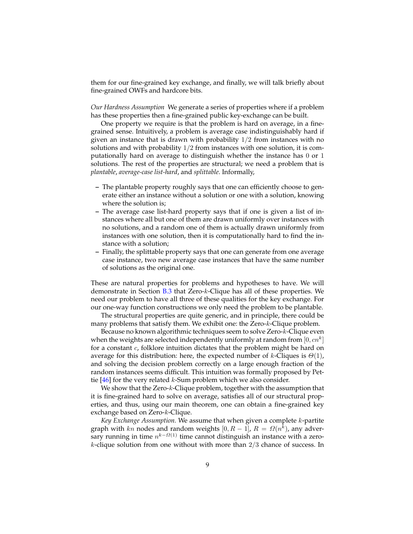them for our fine-grained key exchange, and finally, we will talk briefly about fine-grained OWFs and hardcore bits.

*Our Hardness Assumption* We generate a series of properties where if a problem has these properties then a fine-grained public key-exchange can be built.

One property we require is that the problem is hard on average, in a finegrained sense. Intuitively, a problem is average case indistinguishably hard if given an instance that is drawn with probability  $1/2$  from instances with no solutions and with probability 1/2 from instances with one solution, it is computationally hard on average to distinguish whether the instance has 0 or 1 solutions. The rest of the properties are structural; we need a problem that is *plantable*, *average-case list-hard*, and *splittable*. Informally,

- **–** The plantable property roughly says that one can efficiently choose to generate either an instance without a solution or one with a solution, knowing where the solution is;
- **–** The average case list-hard property says that if one is given a list of instances where all but one of them are drawn uniformly over instances with no solutions, and a random one of them is actually drawn uniformly from instances with one solution, then it is computationally hard to find the instance with a solution;
- **–** Finally, the splittable property says that one can generate from one average case instance, two new average case instances that have the same number of solutions as the original one.

These are natural properties for problems and hypotheses to have. We will demonstrate in Section [B.3](#page-52-0) that Zero-k-Clique has all of these properties. We need our problem to have all three of these qualities for the key exchange. For our one-way function constructions we only need the problem to be plantable.

The structural properties are quite generic, and in principle, there could be many problems that satisfy them. We exhibit one: the Zero-k-Clique problem.

Because no known algorithmic techniques seem to solve Zero-k-Clique even when the weights are selected independently uniformly at random from  $[0, cn^k]$ for a constant c, folklore intuition dictates that the problem might be hard on average for this distribution: here, the expected number of k-Cliques is  $\Theta(1)$ , and solving the decision problem correctly on a large enough fraction of the random instances seems difficult. This intuition was formally proposed by Pettie  $[46]$  for the very related k-Sum problem which we also consider.

We show that the Zero- $k$ -Clique problem, together with the assumption that it is fine-grained hard to solve on average, satisfies all of our structural properties, and thus, using our main theorem, one can obtain a fine-grained key exchange based on Zero-k-Clique.

*Key Exchange Assumption.* We assume that when given a complete k-partite graph with  $kn$  nodes and random weights  $[0, R-1]$ ,  $R = \Omega(n^{\bar{k}})$ , any adversary running in time  $n^{k-\varOmega(1)}$  time cannot distinguish an instance with a zerok-clique solution from one without with more than 2/3 chance of success. In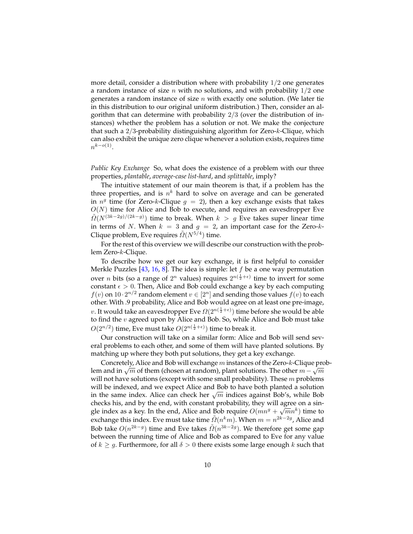more detail, consider a distribution where with probability 1/2 one generates a random instance of size *n* with no solutions, and with probability  $1/2$  one generates a random instance of size  $n$  with exactly one solution. (We later tie in this distribution to our original uniform distribution.) Then, consider an algorithm that can determine with probability 2/3 (over the distribution of instances) whether the problem has a solution or not. We make the conjecture that such a  $2/3$ -probability distinguishing algorithm for Zero-k-Clique, which can also exhibit the unique zero clique whenever a solution exists, requires time  $n^{k-o(1)}$ .

*Public Key Exchange* So, what does the existence of a problem with our three properties, *plantable*, *average-case list-hard*, and *splittable*, imply?

The intuitive statement of our main theorem is that, if a problem has the three properties, and is  $n^k$  hard to solve on average and can be generated in  $n^g$  time (for Zero-k-Clique  $g = 2$ ), then a key exchange exists that takes  $O(N)$  time for Alice and Bob to execute, and requires an eavesdropper Eve  $\tilde{Q}(N^{(3k-2g)/(2k-g)})$  time to break. When  $k > g$  Eve takes super linear time in terms of N. When  $k = 3$  and  $q = 2$ , an important case for the Zero-k-Clique problem, Eve requires  $\tilde{ \varOmega }(N^{5/4})$  time.

For the rest of this overview we will describe our construction with the problem Zero-k-Clique.

To describe how we get our key exchange, it is first helpful to consider Merkle Puzzles [\[43,](#page-38-5) [16,](#page-37-8) [8\]](#page-36-8). The idea is simple: let  $f$  be a one way permutation over *n* bits (so a range of  $2^n$  values) requires  $2^{n(\frac{1}{2} + \epsilon)}$  time to invert for some constant  $\epsilon > 0$ . Then, Alice and Bob could exchange a key by each computing  $f(v)$  on  $10 \cdot 2^{n/2}$  random element  $v \in [2^n]$  and sending those values  $f(v)$  to each other. With .9 probability, Alice and Bob would agree on at least one pre-image,  $v.$  It would take an eavesdropper Eve  $\varOmega(2^{n(\frac{1}{2}+\epsilon)})$  time before she would be able to find the  $v$  agreed upon by Alice and Bob. So, while Alice and Bob must take  $O(2^{n/2})$  time, Eve must take  $O(2^{n(\frac{1}{2}+\epsilon)})$  time to break it.

Our construction will take on a similar form: Alice and Bob will send several problems to each other, and some of them will have planted solutions. By matching up where they both put solutions, they get a key exchange.

Concretely, Alice and Bob will exchange m instances of the Zero-k-Clique prob-Concretely, Ance and bob will exchange m instances of the Zero- $\kappa$ -Chique pro-<br>lem and in  $\sqrt{m}$  of them (chosen at random), plant solutions. The other  $m - \sqrt{m}$ will not have solutions (except with some small probability). These  $m$  problems will be indexed, and we expect Alice and Bob to have both planted a solution will be indexed, and we expect Alice and bob to have both planted a solution in the same index. Alice can check her  $\sqrt{m}$  indices against Bob's, while Bob checks his, and by the end, with constant probability, they will agree on a single index as a key. In the end, Alice and Bob require  $O(mn^g + \sqrt{m}n^k)$  time to exchange this index. Eve must take time  $\tilde{Q}(n^k m)$ . When  $m = n^{2k-2g}$ , Alice and Bob take  $O(n^{2k-g})$  time and Eve takes  $\tilde{\Omega}(n^{3k-2g})$ . We therefore get some gap between the running time of Alice and Bob as compared to Eve for any value of  $k \geq g$ . Furthermore, for all  $\delta > 0$  there exists some large enough k such that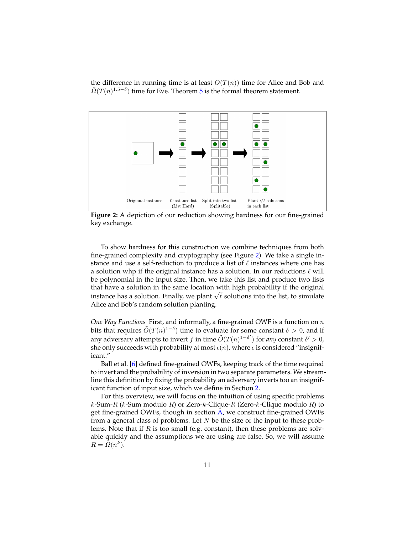the difference in running time is at least  $O(T(n))$  time for Alice and Bob and  $\tilde{Q}(T(n)^{1.5-\delta})$  $\tilde{Q}(T(n)^{1.5-\delta})$  $\tilde{Q}(T(n)^{1.5-\delta})$  time for Eve. Theorem 5 is the formal theorem statement.



<span id="page-10-0"></span>**Figure 2:** A depiction of our reduction showing hardness for our fine-grained key exchange.

To show hardness for this construction we combine techniques from both fine-grained complexity and cryptography (see Figure [2\)](#page-10-0). We take a single instance and use a self-reduction to produce a list of  $\ell$  instances where one has a solution whp if the original instance has a solution. In our reductions  $\ell$  will be polynomial in the input size. Then, we take this list and produce two lists that have a solution in the same location with high probability if the original that have a solution in the same location with high probability if the original<br>instance has a solution. Finally, we plant  $\sqrt{\ell}$  solutions into the list, to simulate Alice and Bob's random solution planting.

*One Way Functions* First, and informally, a fine-grained OWF is a function on n bits that requires  $\tilde{O}(T(n)^{1-\delta})$  time to evaluate for some constant  $\delta > 0$ , and if any adversary attempts to invert f in time  $\tilde{O}(T(n)^{1-\delta'})$  for *any* constant  $\delta' > 0$ , she only succeeds with probability at most  $\epsilon(n)$ , where  $\epsilon$  is considered "insignificant."

Ball et al. [\[6\]](#page-36-0) defined fine-grained OWFs, keeping track of the time required to invert and the probability of inversion in two separate parameters. We streamline this definition by fixing the probability an adversary inverts too an insignificant function of input size, which we define in Section [2.](#page-12-0)

For this overview, we will focus on the intuition of using specific problems  $k$ -Sum-R ( $k$ -Sum modulo  $R$ ) or Zero- $k$ -Clique-R (Zero- $k$ -Clique modulo  $R$ ) to get fine-grained OWFs, though in section [A,](#page-39-5) we construct fine-grained OWFs from a general class of problems. Let  $N$  be the size of the input to these problems. Note that if  $R$  is too small (e.g. constant), then these problems are solvable quickly and the assumptions we are using are false. So, we will assume  $R = \overline{\Omega}(n^k).$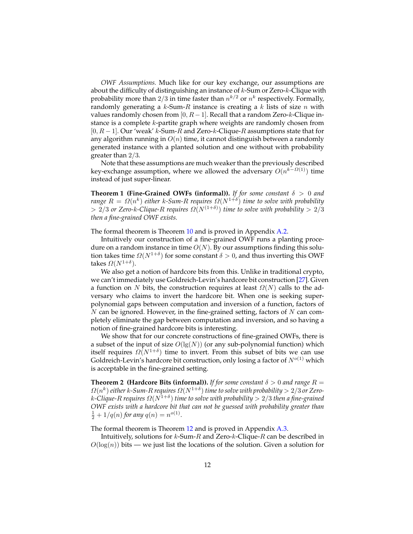*OWF Assumptions.* Much like for our key exchange, our assumptions are about the difficulty of distinguishing an instance of  $k$ -Sum or Zero- $k$ -Clique with probability more than  $2/3$  in time faster than  $n^{k/2}$  or  $n^k$  respectively. Formally, randomly generating a  $k$ -Sum- $R$  instance is creating a  $k$  lists of size  $n$  with values randomly chosen from  $[0, R-1]$ . Recall that a random Zero-k-Clique instance is a complete k-partite graph where weights are randomly chosen from  $[0, R-1]$ . Our 'weak' k-Sum-R and Zero-k-Clique-R assumptions state that for any algorithm running in  $O(n)$  time, it cannot distinguish between a randomly generated instance with a planted solution and one without with probability greater than 2/3.

Note that these assumptions are much weaker than the previously described key-exchange assumption, where we allowed the adversary  $O(n^{k-\Omega(1)})$  time instead of just super-linear.

**Theorem 1 (Fine-Grained OWFs (informal)).** *If for some constant*  $\delta > 0$  *and range*  $R = \Omega(n^k)$  either k-Sum-R requires  $\Omega(N^{1+\delta})$  time to solve with probability  $> 2/3$  or Zero-k-Clique-R requires  $\Omega(N^{(1+\delta)})$  time to solve with probability  $> 2/3$ *then a fine-grained OWF exists.*

The formal theorem is Theorem [10](#page-43-0) and is proved in Appendix [A.2.](#page-43-1)

Intuitively our construction of a fine-grained OWF runs a planting procedure on a random instance in time  $O(N)$ . By our assumptions finding this solution takes time  $\Omega(N^{1+\delta})$  for some constant  $\delta > 0$ , and thus inverting this OWF takes  $\Omega(N^{1+\delta}).$ 

We also get a notion of hardcore bits from this. Unlike in traditional crypto, we can't immediately use Goldreich-Levin's hardcore bit construction [\[27\]](#page-37-6). Given a function on N bits, the construction requires at least  $\Omega(N)$  calls to the adversary who claims to invert the hardcore bit. When one is seeking superpolynomial gaps between computation and inversion of a function, factors of N can be ignored. However, in the fine-grained setting, factors of  $N$  can completely eliminate the gap between computation and inversion, and so having a notion of fine-grained hardcore bits is interesting.

We show that for our concrete constructions of fine-grained OWFs, there is a subset of the input of size  $O(\lg(N))$  (or any sub-polynomial function) which itself requires  $\Omega(N^{1+\delta})$  time to invert. From this subset of bits we can use Goldreich-Levin's hardcore bit construction, only losing a factor of  $N^{o(1)}$  which is acceptable in the fine-grained setting.

**Theorem 2 (Hardcore Bits (informal)).** *If for some constant*  $\delta > 0$  *and range*  $R =$  $\Omega(n^k)$  either k-Sum-R requires  $\Omega(N^{1+\delta})$  time to solve with probability  $>2/3$  or Zerok*-Clique-*R *requires* Ω(N1+<sup>δ</sup> ) *time to solve with probability* > 2/3 *then a fine-grained OWF exists with a hardcore bit that can not be guessed with probability greater than*  $\frac{1}{2} + 1/q(n)$  for any  $q(n) = n^{o(1)}$ .

The formal theorem is Theorem [12](#page-46-0) and is proved in Appendix [A.3.](#page-46-1)

Intuitively, solutions for  $k$ -Sum-R and Zero- $k$ -Clique-R can be described in  $O(\log(n))$  bits — we just list the locations of the solution. Given a solution for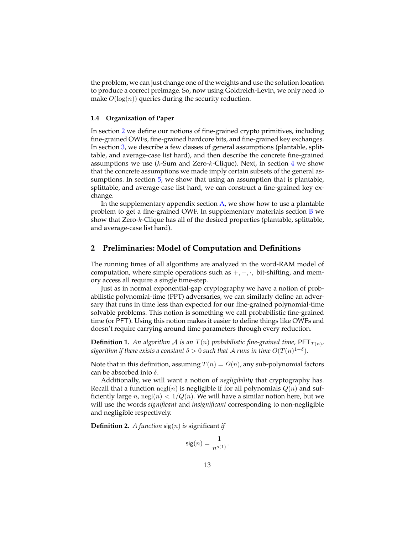the problem, we can just change one of the weights and use the solution location to produce a correct preimage. So, now using Goldreich-Levin, we only need to make  $O(log(n))$  queries during the security reduction.

## **1.4 Organization of Paper**

In section [2](#page-12-0) we define our notions of fine-grained crypto primitives, including fine-grained OWFs, fine-grained hardcore bits, and fine-grained key exchanges. In section [3,](#page-15-0) we describe a few classes of general assumptions (plantable, splittable, and average-case list hard), and then describe the concrete fine-grained assumptions we use  $(k$ -Sum and Zero-k-Clique). Next, in section [4](#page-20-0) we show that the concrete assumptions we made imply certain subsets of the general assumptions. In section [5,](#page-22-0) we show that using an assumption that is plantable, splittable, and average-case list hard, we can construct a fine-grained key exchange.

In the supplementary appendix section  $A$ , we show how to use a plantable problem to get a fine-grained OWF. In supplementary materials section [B](#page-49-0) we show that Zero-k-Clique has all of the desired properties (plantable, splittable, and average-case list hard).

## <span id="page-12-0"></span>**2 Preliminaries: Model of Computation and Definitions**

The running times of all algorithms are analyzed in the word-RAM model of computation, where simple operations such as  $+,-, \cdot$ , bit-shifting, and memory access all require a single time-step.

Just as in normal exponential-gap cryptography we have a notion of probabilistic polynomial-time (PPT) adversaries, we can similarly define an adversary that runs in time less than expected for our fine-grained polynomial-time solvable problems. This notion is something we call probabilistic fine-grained time (or PFT). Using this notion makes it easier to define things like OWFs and doesn't require carrying around time parameters through every reduction.

**Definition 1.** An algorithm A is an  $T(n)$  probabilistic fine-grained time,  $\textsf{PFT}_{T(n)}$ ,  $a$ lgorithm if there exists a constant  $\delta > 0$  such that  ${\mathcal A}$  runs in time  $O(T(n)^{1 - \delta}).$ 

Note that in this definition, assuming  $T(n) = \Omega(n)$ , any sub-polynomial factors can be absorbed into  $\delta$ .

Additionally, we will want a notion of *negligibility* that cryptography has. Recall that a function  $negl(n)$  is negligible if for all polynomials  $Q(n)$  and sufficiently large  $n$ , negl $(n)$  <  $1/Q(n)$ . We will have a similar notion here, but we will use the words *significant* and *insignificant* corresponding to non-negligible and negligible respectively.

**Definition 2.** *A function*  $\text{sig}(n)$  *is* significant *if* 

$$
\mathsf{sig}(n) = \frac{1}{n^{o(1)}}.
$$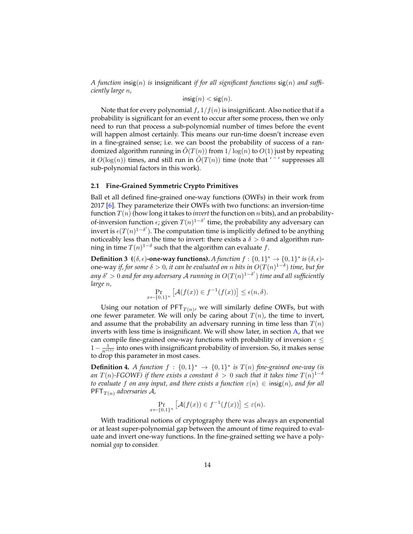*A function* insig(n) *is* insignificant *if for all significant functions* sig(n) *and sufficiently large* n*,*

 $insig(n) < sig(n)$ .

Note that for every polynomial  $f$ ,  $1/f(n)$  is insignificant. Also notice that if a probability is significant for an event to occur after some process, then we only need to run that process a sub-polynomial number of times before the event will happen almost certainly. This means our run-time doesn't increase even in a fine-grained sense; i.e. we can boost the probability of success of a randomized algorithm running in  $O(T(n))$  from  $1/\log(n)$  to  $O(1)$  just by repeating it  $O(log(n))$  times, and still run in  $\tilde{O}(T(n))$  time (note that '  $\tilde{O}$  suppresses all sub-polynomial factors in this work).

#### **2.1 Fine-Grained Symmetric Crypto Primitives**

Ball et all defined fine-grained one-way functions (OWFs) in their work from 2017 [\[6\]](#page-36-0). They parameterize their OWFs with two functions: an inversion-time function  $T(n)$  (how long it takes to *invert* the function on n bits), and an probabilityof-inversion function  $\epsilon$ ; given  $T(n)^{1-\delta'}$  time, the probability any adversary can invert is  $\epsilon(T(n)^{1-\delta'})$ . The computation time is implicitly defined to be anything noticeably less than the time to invert: there exists a  $\delta > 0$  and algorithm running in time  $T(n)^{1-\delta}$  such that the algorithm can evaluate  $f.$ 

**Definition 3** (( $\delta$ , $\epsilon$ )-one-way functions). *A* function  $f : \{0,1\}^* \to \{0,1\}^*$  is  $(\delta, \epsilon)$ one-way *if, for some*  $\delta > 0$ *, it can be evaluated on n bits in*  $O(T(n)^{1 - \delta})$  *time, but for* any  $\delta'>0$  and for any adversary  ${\mathcal A}$  running in  $O(T(n)^{1-\delta'})$  time and all sufficiently *large* n*,*

$$
\Pr_{x \leftarrow \{0,1\}^n} \left[ \mathcal{A}(f(x)) \in f^{-1}(f(x)) \right] \le \epsilon(n, \delta).
$$

Using our notation of PFT $_{T(n)}$ , we will similarly define OWFs, but with one fewer parameter. We will only be caring about  $T(n)$ , the time to invert, and assume that the probability an adversary running in time less than  $T(n)$ inverts with less time is insignificant. We will show later, in section  $A$ , that we can compile fine-grained one-way functions with probability of inversion  $\epsilon \leq$  $1-\frac{1}{n^{o(1)}}$  into ones with insignificant probability of inversion. So, it makes sense to drop this parameter in most cases.

<span id="page-13-0"></span>**Definition 4.** A function  $f : \{0,1\}^* \rightarrow \{0,1\}^*$  is  $T(n)$  fine-grained one-way (is an  $T(n)$ -FGOWF) if there exists a constant  $\delta \, > \, 0$  such that it takes time  $T(n)^{1-\delta}$ *to evaluate* f *on any input, and there exists a function*  $\varepsilon(n) \in \text{insig}(n)$ *, and for all*  $PFT_{T(n)}$  *adversaries* A,

$$
\Pr_{x \leftarrow \{0,1\}^n} \left[ \mathcal{A}(f(x)) \in f^{-1}(f(x)) \right] \le \varepsilon(n).
$$

With traditional notions of cryptography there was always an exponential or at least super-polynomial gap between the amount of time required to evaluate and invert one-way functions. In the fine-grained setting we have a polynomial *gap* to consider.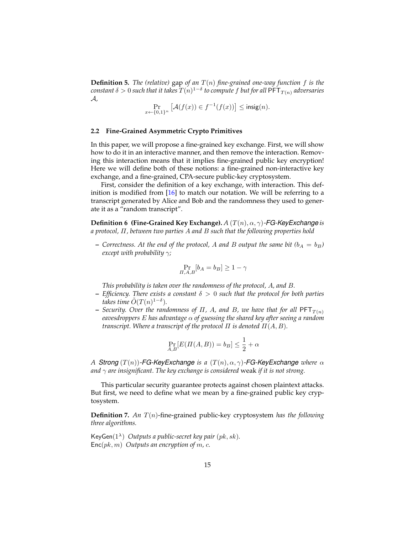**Definition 5.** *The (relative)* gap of an  $T(n)$  fine-grained one-way function f is the  $\alpha$  *constant*  $\delta > 0$  *such that it takes*  $T(n)^{1 - \delta}$  *to compute*  $f$  *but for all* <code>PFT $_{T(n)}$ </code> adversaries A*,*

$$
\Pr_{x \leftarrow \{0,1\}^n} \left[ \mathcal{A}(f(x)) \in f^{-1}(f(x)) \right] \le \mathsf{insig}(n).
$$

#### **2.2 Fine-Grained Asymmetric Crypto Primitives**

In this paper, we will propose a fine-grained key exchange. First, we will show how to do it in an interactive manner, and then remove the interaction. Removing this interaction means that it implies fine-grained public key encryption! Here we will define both of these notions: a fine-grained non-interactive key exchange, and a fine-grained, CPA-secure public-key cryptosystem.

First, consider the definition of a key exchange, with interaction. This definition is modified from [\[16\]](#page-37-8) to match our notation. We will be referring to a transcript generated by Alice and Bob and the randomness they used to generate it as a "random transcript".

<span id="page-14-0"></span>**Definition 6 (Fine-Grained Key Exchange).** *A*  $(T(n), \alpha, \gamma)$ *-FG-KeyExchange is a protocol,* Π*, between two parties* A *and* B *such that the following properties hold*

 $-$  *Correctness. At the end of the protocol, A and B output the same bit*  $(b_A = b_B)$ *except with probability* γ*;*

$$
\Pr_{\varPi,A,B}[b_A=b_B]\geq 1-\gamma
$$

*This probability is taken over the randomness of the protocol,* A*, and* B*.*

- **–** *Efficiency. There exists a constant* δ > 0 *such that the protocol for both parties*  $t$ akes time  $\tilde{O}(T(n)^{1-\delta}).$
- **–** *Security.* Over the randomness of  $\Pi$ ,  $A$ , and  $B$ , we have that for all PFT $_{T(n)}$ *eavesdroppers* E *has advantage* α *of guessing the shared key after seeing a random transcript. Where a transcript of the protocol*  $\Pi$  *is denoted*  $\Pi(A, B)$ *.*

$$
\Pr_{A,B}[E(\Pi(A,B)) = b_B] \le \frac{1}{2} + \alpha
$$

*A Strong* (T(n))*-FG-KeyExchange is a* (T(n), α, γ)*-FG-KeyExchange where* α *and* γ *are insignificant. The key exchange is considered* weak *if it is not strong.*

This particular security guarantee protects against chosen plaintext attacks. But first, we need to define what we mean by a fine-grained public key cryptosystem.

<span id="page-14-1"></span>**Definition 7.** *An* T(n)-fine-grained public-key cryptosystem *has the following three algorithms.*

KeyGen $(1^{\lambda})$  *Outputs a public-secret key pair*  $(pk, sk)$ *.* Enc(pk, m) *Outputs an encryption of* m*,* c*.*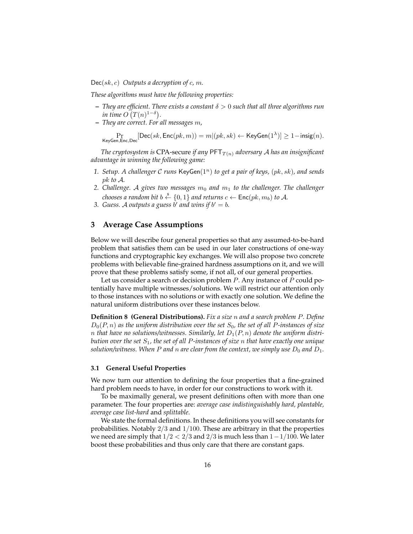Dec(sk, c) *Outputs a decryption of* c*,* m*.*

*These algorithms must have the following properties:*

- **–** *They are efficient. There exists a constant* δ > 0 *such that all three algorithms run in time*  $O(T(n)^{1-\delta})$ .
- **–** *They are correct. For all messages* m*,*

 $\Pr_{\mathsf{KeyGen}, \mathsf{Enc}, \mathsf{Dec}}[\mathsf{Dec}(sk, \mathsf{Enc}(pk, m)) = m | (pk, sk) \leftarrow \mathsf{KeyGen}(1^\lambda)] \ge 1 - \mathsf{insig}(n).$ 

*The cryptosystem is* CPA-secure *if any*  $PFT_{T(n)}$  *adversary A has an insignificant advantage in winning the following game:*

- *1. Setup. A challenger* C *runs* KeyGen(1n) *to get a pair of keys,* (pk, sk)*, and sends* pk *to* A*.*
- 2. Challenge. A gives two messages  $m_0$  and  $m_1$  to the challenger. The challenger *chooses a random bit*  $b \stackrel{\hspace{0.1em}\mathsf{\scriptscriptstyle\$}}{\leftarrow} \{0,1\}$  *and returns*  $c \leftarrow \mathsf{Enc}(pk, m_b)$  *to A.*
- 3. *Guess. A outputs a guess*  $\overline{b'}$  *and wins if*  $b' = b$ *.*

## <span id="page-15-0"></span>**3 Average Case Assumptions**

Below we will describe four general properties so that any assumed-to-be-hard problem that satisfies them can be used in our later constructions of one-way functions and cryptographic key exchanges. We will also propose two concrete problems with believable fine-grained hardness assumptions on it, and we will prove that these problems satisfy some, if not all, of our general properties.

Let us consider a search or decision problem  $P$ . Any instance of  $P$  could potentially have multiple witnesses/solutions. We will restrict our attention only to those instances with no solutions or with exactly one solution. We define the natural uniform distributions over these instances below.

**Definition 8 (General Distributions).** *Fix a size* n *and a search problem* P*. Define*  $D_0(P, n)$  as the uniform distribution over the set  $S_0$ , the set of all P-instances of size  $n$  that have no solutions/witnesses. Similarly, let  $D_1(P, n)$  denote the uniform distri*bution over the set* S1*, the set of all* P*-instances of size* n *that have exactly one unique solution/witness.* When P and n are clear from the context, we simply use  $D_0$  and  $D_1$ .

#### **3.1 General Useful Properties**

We now turn our attention to defining the four properties that a fine-grained hard problem needs to have, in order for our constructions to work with it.

To be maximally general, we present definitions often with more than one parameter. The four properties are: *average case indistinguishably hard, plantable, average case list-hard* and *splittable*.

<span id="page-15-1"></span>We state the formal definitions. In these definitions you will see constants for probabilities. Notably  $2/3$  and  $1/100$ . These are arbitrary in that the properties we need are simply that  $1/2 < 2/3$  and  $2/3$  is much less than  $1 - 1/100$ . We later boost these probabilities and thus only care that there are constant gaps.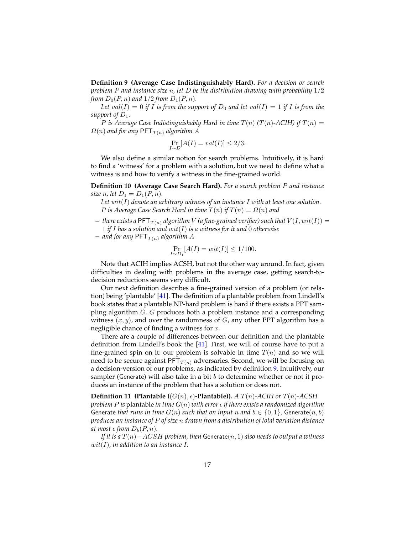**Definition 9 (Average Case Indistinguishably Hard).** *For a decision or search problem* P *and instance size* n*, let* D *be the distribution drawing with probability* 1/2 *from*  $D_0(P, n)$  *and*  $1/2$  *from*  $D_1(P, n)$ *.* 

Let  $val(I) = 0$  *if I is from the support of*  $D_0$  *and let*  $val(I) = 1$  *if I is from the support of*  $D_1$ *.* 

P is Average Case Indistinguishably Hard in time  $T(n)$  ( $T(n)$ -ACIH) if  $T(n)$  =  $\Omega(n)$  and for any  $\mathsf{PFT}_{T(n)}$  algorithm A

$$
\Pr_{I \sim D} [A(I) = val(I)] \le 2/3.
$$

We also define a similar notion for search problems. Intuitively, it is hard to find a 'witness' for a problem with a solution, but we need to define what a witness is and how to verify a witness in the fine-grained world.

**Definition 10 (Average Case Search Hard).** *For a search problem* P *and instance size n*, let  $D_1 = D_1(P, n)$ .

*Let* wit(I) *denote an arbitrary witness of an instance* I *with at least one solution. P* is Average Case Search Hard in time  $T(n)$  if  $T(n) = \Omega(n)$  and

- $-$  *there exists a* PFT<sub>T(n)</sub> algorithm V (a fine-grained verifier) such that  $V(I, wit(I)) =$ 1 *if* I *has a solution and* wit(I) *is a witness for it and* 0 *otherwise*
- $-$  *and for any* PFT<sub> $T(n)$ </sub> *algorithm A*

$$
\Pr_{I \sim D_1} [A(I) = wit(I)] \le 1/100.
$$

Note that ACIH implies ACSH, but not the other way around. In fact, given difficulties in dealing with problems in the average case, getting search-todecision reductions seems very difficult.

Our next definition describes a fine-grained version of a problem (or relation) being 'plantable' [\[41\]](#page-38-7). The definition of a plantable problem from Lindell's book states that a plantable NP-hard problem is hard if there exists a PPT sampling algorithm G. G produces both a problem instance and a corresponding witness  $(x, y)$ , and over the randomness of G, any other PPT algorithm has a negligible chance of finding a witness for  $x$ .

There are a couple of differences between our definition and the plantable definition from Lindell's book the [\[41\]](#page-38-7). First, we will of course have to put a fine-grained spin on it: our problem is solvable in time  $T(n)$  and so we will need to be secure against  $PFT_{T(n)}$  adversaries. Second, we will be focusing on a decision-version of our problems, as indicated by definition [9.](#page-15-1) Intuitively, our sampler (Generate) will also take in a bit b to determine whether or not it produces an instance of the problem that has a solution or does not.

<span id="page-16-0"></span>**Definition 11 (Plantable**  $((G(n), \epsilon)$ **-Plantable)).** *A*  $T(n)$ -*ACIH or*  $T(n)$ -*ACSH problem* P *is* plantable *in time*  $G(n)$  *with error*  $\epsilon$  *if there exists a randomized algorithm* Generate *that runs in time*  $G(n)$  *such that on input* n and  $b \in \{0,1\}$ , Generate $(n, b)$ *produces an instance of* P *of size* n *drawn from a distribution of total variation distance at most*  $\epsilon$  *from*  $D_b(P, n)$ *.* 

*If it is a* T(n)−ACSH *problem, then* Generate(n, 1) *also needs to output a witness* wit(I)*, in addition to an instance* I*.*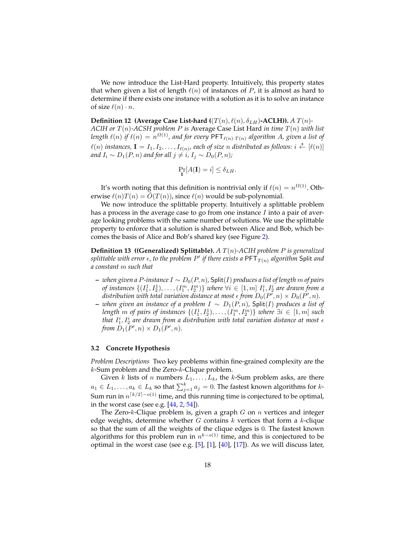We now introduce the List-Hard property. Intuitively, this property states that when given a list of length  $\ell(n)$  of instances of P, it is almost as hard to determine if there exists one instance with a solution as it is to solve an instance of size  $\ell(n) \cdot n$ .

<span id="page-17-0"></span>**Definition 12 (Average Case List-hard**  $((T(n), \ell(n), \delta_{LH})$ **-ACLH)).** *A*  $T(n)$ -*ACIH or* T(n)*-ACSH problem* P *is* Average Case List Hard *in time* T(n) *with list* length  $\ell(n)$  if  $\ell(n) = n^{\Omega(1)}$ , and for every  ${\sf PFT}_{\ell(n)\cdot T(n)}$  algorithm A, given a list of  $\ell(n)$  instances,  $\mathbf{I} = I_1, I_2, \ldots, I_{\ell(n)}$ , each of size  $n$  distributed as follows:  $i \stackrel{\hspace{0.1em}\mathbf{\scriptstyle\$}}{\leftarrow} [\ell(n)]$ *and*  $I_i \sim D_1(P, n)$  *and for all*  $j \neq i$ ,  $I_j \sim D_0(P, n)$ *;* 

$$
\Pr_{\mathbf{I}}[A(\mathbf{I}) = i] \le \delta_{LH}.
$$

It's worth noting that this definition is nontrivial only if  $\ell(n) = n^{\Omega(1)}.$  Otherwise  $\ell(n)T(n) = O(T(n))$ , since  $\ell(n)$  would be sub-polynomial.

We now introduce the splittable property. Intuitively a splittable problem has a process in the average case to go from one instance  $I$  into a pair of average looking problems with the same number of solutions. We use the splittable property to enforce that a solution is shared between Alice and Bob, which becomes the basis of Alice and Bob's shared key (see Figure [2\)](#page-10-0).

**Definition 13 ((Generalized) Splittable).** *A* T(n)*-ACIH problem* P *is generalized* splittable with error  $\epsilon$ , to the problem  $P'$  if there exists a  ${\sf PFT}_{T(n)}$  algorithm <code>Split</code> and *a constant* m *such that*

- **–** *when given a* P*-instance* I ∼ D0(P, n)*,* Split(I) *produces a list of length* m *of pairs of instances*  $\{(I_1^1, I_2^1), \ldots, (I_1^m, I_2^m)\}$  *where*  $\forall i \in [1, m]$   $I_1^i, I_2^i$  *are drawn from a* distribution with total variation distance at most  $\epsilon$  from  $D_0(P',n)\times D_0(P',n).$
- **–** *when given an instance of a problem* I ∼ D1(P, n)*,* Split(I) *produces a list of length* m of pairs of instances  $\{(I_1^1, I_2^1), \ldots, (I_1^m, I_2^m)\}$  where  $\exists i \in [1, m]$  such that  $I_1^i, I_2^i$  are drawn from a distribution with total variation distance at most  $\epsilon$ *from*  $D_1(P', n) \times D_1(P', n)$ *.*

# **3.2 Concrete Hypothesis**

*Problem Descriptions* Two key problems within fine-grained complexity are the k-Sum problem and the Zero-k-Clique problem.

Given k lists of n numbers  $L_1, \ldots, L_k$ , the k-Sum problem asks, are there  $a_1\in L_1,\ldots,a_k\in L_k$  so that  $\sum_{j=1}^k a_j=0.$  The fastest known algorithms for  $k$ -Sum run in  $n^{\lceil k/2\rceil -o(1)}$  time, and this running time is conjectured to be optimal, in the worst case (see e.g.  $[44, 2, 54]$  $[44, 2, 54]$  $[44, 2, 54]$  $[44, 2, 54]$  $[44, 2, 54]$ ).

The Zero-k-Clique problem is, given a graph  $G$  on  $n$  vertices and integer edge weights, determine whether  $G$  contains  $k$  vertices that form a  $k$ -clique so that the sum of all the weights of the clique edges is 0. The fastest known algorithms for this problem run in  $n^{k-o(1)}$  time, and this is conjectured to be optimal in the worst case (see e.g.  $[5]$ ,  $[1]$ ,  $[40]$ ,  $[17]$ ). As we will discuss later,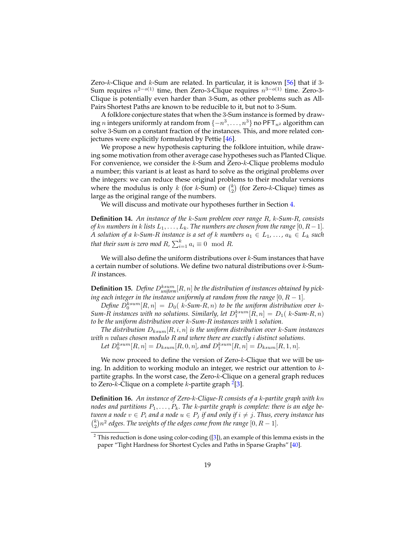Zero-k-Clique and  $k$ -Sum are related. In particular, it is known [\[56\]](#page-39-6) that if 3-Sum requires  $n^{2-o(1)}$  time, then Zero-3-Clique requires  $n^{3-o(1)}$  time. Zero-3-Clique is potentially even harder than 3-Sum, as other problems such as All-Pairs Shortest Paths are known to be reducible to it, but not to 3-Sum.

A folklore conjecture states that when the 3-Sum instance is formed by drawing  $n$  integers uniformly at random from  $\{-n^3,\ldots,n^3\}$  no <code>PFT $_{n^2}$ </code> algorithm can solve 3-Sum on a constant fraction of the instances. This, and more related conjectures were explicitly formulated by Pettie [\[46\]](#page-38-11).

We propose a new hypothesis capturing the folklore intuition, while drawing some motivation from other average case hypotheses such as Planted Clique. For convenience, we consider the k-Sum and Zero-k-Clique problems modulo a number; this variant is at least as hard to solve as the original problems over the integers: we can reduce these original problems to their modular versions where the modulus is only  $k$  (for  $k$ -Sum) or  $\binom{k}{2}$  (for Zero- $k$ -Clique) times as large as the original range of the numbers.

We will discuss and motivate our hypotheses further in Section [4.](#page-20-0)

**Definition 14.** *An instance of the* k*-Sum problem over range* R*,* k*-Sum-*R*, consists of* kn numbers in k lists  $L_1, \ldots, L_k$ . The numbers are chosen from the range [0,  $R-1$ ]. *A* solution of a k-Sum-R instance is a set of k numbers  $a_1 \in L_1, \ldots, a_k \in L_k$  such *that their sum is zero mod R*,  $\sum_{i=1}^{k} a_i \equiv 0 \mod R$ .

We will also define the uniform distributions over  $k$ -Sum instances that have a certain number of solutions. We define two natural distributions over  $k$ -Sum-R instances.

**Definition 15.** Define  $D_{uniform}^{ksum}[R,n]$  be the distribution of instances obtained by pick*ing each integer in the instance uniformly at random from the range*  $[0, R - 1]$ *.* 

Define  $D_0^{ksum}[R,n] = D_0(k\text{-Sum-R},n)$  to be the uniform distribution over k-*Sum-R* instances with no solutions. Similarly, let  $D_1^{ksum} [R,n] = D_1(k\text{-}Sum\text{-}R,n)$ *to be the uniform distribution over* k*-Sum-*R *instances with* 1 *solution.*

*The distribution*  $D_{ksum}[R, i, n]$  *is the uniform distribution over k-Sum instances with* n *values chosen modulo* R *and where there are exactly* i *distinct solutions.*

Let  $D_0^{ksum}[R,n] = D_{ksum}[R, 0, n]$ , and  $D_1^{ksum}[R,n] = D_{ksum}[R, 1, n]$ .

We now proceed to define the version of Zero- $k$ -Clique that we will be using. In addition to working modulo an integer, we restrict our attention to kpartite graphs. In the worst case, the Zero-k-Clique on a general graph reduces to Zero- $k$ -Clique on a complete  $k$ -partite graph  $^2$  $^2$ [\[3\]](#page-36-12).

**Definition 16.** *An instance of Zero-*k*-Clique-*R *consists of a* k*-partite graph with* kn nodes and partitions  $P_1, \ldots, P_k$ . The k-partite graph is complete: there is an edge be*tween a node*  $v \in P_i$  *and a node*  $u \in P_j$  *if and only if*  $i \neq j$ *. Thus, every instance has*  $\binom{k}{2}n^2$  edges. The weights of the edges come from the range  $[0, R - 1]$ *.* 

<span id="page-18-0"></span> $2$  This reduction is done using color-coding ([\[3\]](#page-36-12)), an example of this lemma exists in the paper "Tight Hardness for Shortest Cycles and Paths in Sparse Graphs" [\[40\]](#page-38-13).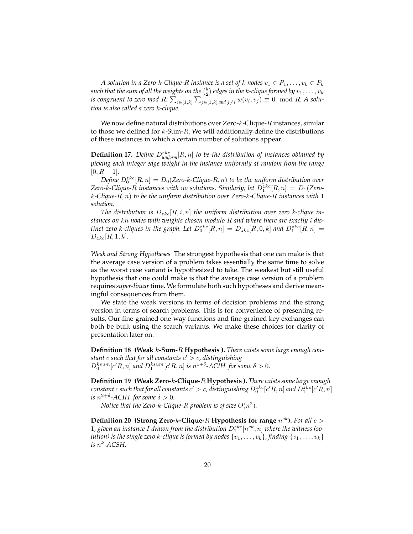*A solution in a Zero-k-Clique-R instance is a set of k nodes*  $v_1 \in P_1, \ldots, v_k \in P_k$ such that the sum of all the weights on t<u>he</u>  $\binom{k}{2}$  edges in the k-clique formed by  $v_1,\ldots,v_k$ is congruent to zero mod  $R: \sum_{i\in [1,k]}\sum_{j\in [1,k]$  and  $j\neq i} w(v_i,v_j) \equiv 0 \mod R$ . A solu*tion is also called a zero* k*-clique.*

We now define natural distributions over Zero-k-Clique-R instances, similar to those we defined for  $k$ -Sum-R. We will additionally define the distributions of these instances in which a certain number of solutions appear.

**Definition 17.** Define  $D_{uniform}^{zkc}[R,n]$  to be the distribution of instances obtained by *picking each integer edge weight in the instance uniformly at random from the range*  $[0, R - 1]$ .

Define  $D_0^{zkc}[R,n] = D_0(Zero-k\text{-Clique-R},n)$  to be the uniform distribution over Zero-k-Clique-R instances with no solutions. Similarly, let  $D_1^{zkc}[R,n] = D_1(Zero-1)$ k*-Clique-*R, n) *to be the uniform distribution over Zero-*k*-Clique-*R *instances with* 1 *solution.*

The distribution is  $D_{zkc}[R, i, n]$  the uniform distribution over zero k-clique in*stances on* kn *nodes with weights chosen modulo* R *and where there are exactly* i *dis*tinct zero k-cliques in the graph. Let  $D_0^{zkc}[R,n] = D_{zkc}[R,0,k]$  and  $D_1^{zkc}[R,n] =$  $D_{zkc}[R, 1, k]$ *.* 

*Weak and Strong Hypotheses* The strongest hypothesis that one can make is that the average case version of a problem takes essentially the same time to solve as the worst case variant is hypothesized to take. The weakest but still useful hypothesis that one could make is that the average case version of a problem requires *super-linear*time. We formulate both such hypotheses and derive meaningful consequences from them.

We state the weak versions in terms of decision problems and the strong version in terms of search problems. This is for convenience of presenting results. Our fine-grained one-way functions and fine-grained key exchanges can both be built using the search variants. We make these choices for clarity of presentation later on.

<span id="page-19-0"></span>**Definition 18 (Weak** k**-Sum-**R **Hypothesis ).** *There exists some large enough constant* c *such that for all constants* c <sup>0</sup> > c*, distinguishing*  $D_0^{ksum}[c'R, n]$  and  $D_1^{ksum}[c'R, n]$  is  $n^{1+\delta}$ -ACIH for some  $\delta > 0$ .

**Definition 19 (Weak Zero-**k**-Clique-**R **Hypothesis ).** *There exists some large enough* constant  $c$  such that for all constants  $c' > c$ , distinguishing  $D_0^{zkc}[c'R, n]$  and  $D_1^{\bar zkc}[c'R, n]$ *is*  $n^{2+\delta}$ -ACIH for some  $\delta > 0$ .

*Notice that the Zero-k-Clique-R problem is of size*  $O(n^2)$ *.* 

<span id="page-19-1"></span>**Definition 20 (Strong Zero-**k**-Clique-**R **Hypothesis for range** n ck**).** *For all* c >  $1$ , given an instance I drawn from the distribution  $D_1^{zkc}[n^{ck},n]$  where the witness (so*lution) is the single zero k-clique is formed by nodes*  $\{v_1, \ldots, v_k\}$ *, finding*  $\{v_1, \ldots, v_k\}$ is  $n^k$ -ACSH.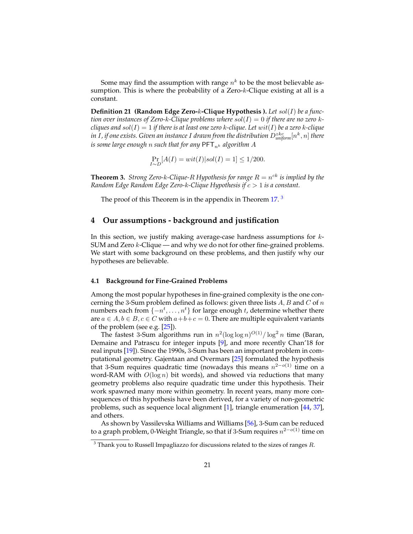Some may find the assumption with range  $n^k$  to be the most believable assumption. This is where the probability of a Zero-k-Clique existing at all is a constant.

**Definition 21 (Random Edge Zero-**k**-Clique Hypothesis ).** *Let* sol(I) *be a function over instances of Zero-k-Clique problems where*  $sol(I) = 0$  *if there are no zero kcliques and*  $sol(I) = 1$  *if there is at least one zero k-clique. Let*  $wit(I)$  *be a zero k-clique* in I, if one exists. Given an instance I drawn from the distribution  $D^{zkc}_{uniform}[n^k,n]$  there *is some large enough n such that for any*  $\text{PFT}_{n^k}$  *algorithm A* 

$$
\Pr_{I \sim D} [A(I) = wit(I)|sol(I) = 1] \le 1/200.
$$

**Theorem 3.** *Strong Zero-k-Clique-R Hypothesis for range*  $R = n^{ck}$  *is implied by the Random Edge Random Edge Zero-*k*-Clique Hypothesis if* c > 1 *is a constant.*

The proof of this Theorem is in the appendix in Theorem [17.](#page-58-0)<sup>[3](#page-20-1)</sup>

# <span id="page-20-0"></span>**4 Our assumptions - background and justification**

In this section, we justify making average-case hardness assumptions for  $k$ -SUM and Zero  $k$ -Clique — and why we do not for other fine-grained problems. We start with some background on these problems, and then justify why our hypotheses are believable.

## **4.1 Background for Fine-Grained Problems**

Among the most popular hypotheses in fine-grained complexity is the one concerning the 3-Sum problem defined as follows: given three lists  $A, B$  and  $C$  of  $n$ numbers each from  $\{-n^t, \ldots, n^t\}$  for large enough  $t$ , determine whether there are  $a \in A, b \in B, c \in C$  with  $a+b+c=0$ . There are multiple equivalent variants of the problem (see e.g. [\[25\]](#page-37-12)).

The fastest 3-Sum algorithms run in  $n^2(\log \log n)^{O(1)}/\log^2 n$  time (Baran, Demaine and Patrascu for integer inputs [\[9\]](#page-36-13), and more recently Chan'18 for real inputs [\[19\]](#page-37-13)). Since the 1990s, 3-Sum has been an important problem in computational geometry. Gajentaan and Overmars [\[25\]](#page-37-12) formulated the hypothesis that 3-Sum requires quadratic time (nowadays this means  $n^{2-o(1)}$  time on a word-RAM with  $O(\log n)$  bit words), and showed via reductions that many geometry problems also require quadratic time under this hypothesis. Their work spawned many more within geometry. In recent years, many more consequences of this hypothesis have been derived, for a variety of non-geometric problems, such as sequence local alignment [\[1\]](#page-36-11), triangle enumeration [\[44,](#page-38-12) [37\]](#page-38-14), and others.

As shown by Vassilevska Williams and Williams [\[56\]](#page-39-6), 3-Sum can be reduced to a graph problem, 0-Weight Triangle, so that if 3-Sum requires  $n^{2-o(1)}$  time on

<span id="page-20-1"></span> $3$  Thank you to Russell Impagliazzo for discussions related to the sizes of ranges  $R$ .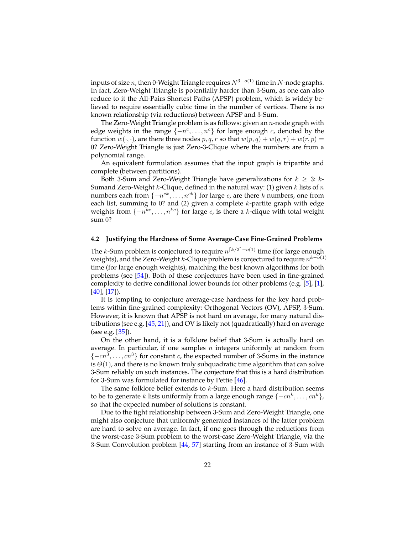inputs of size *n*, then 0-Weight Triangle requires  $N^{3-o(1)}$  time in N-node graphs. In fact, Zero-Weight Triangle is potentially harder than 3-Sum, as one can also reduce to it the All-Pairs Shortest Paths (APSP) problem, which is widely believed to require essentially cubic time in the number of vertices. There is no known relationship (via reductions) between APSP and 3-Sum.

The Zero-Weight Triangle problem is as follows: given an  $n$ -node graph with edge weights in the range  $\{-n^c, \ldots, n^c\}$  for large enough c, denoted by the function  $w(\cdot, \cdot)$ , are there three nodes  $p, q, r$  so that  $w(p, q) + w(q, r) + w(r, p) =$ 0? Zero-Weight Triangle is just Zero-3-Clique where the numbers are from a polynomial range.

An equivalent formulation assumes that the input graph is tripartite and complete (between partitions).

Both 3-Sum and Zero-Weight Triangle have generalizations for  $k \geq 3$ : k-Sumand Zero-Weight k-Clique, defined in the natural way: (1) given k lists of  $n$ numbers each from  $\{-n^{ck},\ldots,n^{ck}\}$  for large  $c$ , are there  $k$  numbers, one from each list, summing to  $0$ ? and  $(2)$  given a complete k-partite graph with edge weights from  $\{-n^{kc}, \ldots, n^{kc}\}$  for large  $c$ , is there a k-clique with total weight sum 0?

## **4.2 Justifying the Hardness of Some Average-Case Fine-Grained Problems**

The  $k$ -Sum problem is conjectured to require  $n^{\lceil k/2\rceil -o(1)}$  time (for large enough weights), and the Zero-Weight  $k$ -Clique problem is conjectured to require  $n^{k-o(1)}$ time (for large enough weights), matching the best known algorithms for both problems (see [\[54\]](#page-39-3)). Both of these conjectures have been used in fine-grained complexity to derive conditional lower bounds for other problems (e.g. [\[5\]](#page-36-10), [\[1\]](#page-36-11), [\[40\]](#page-38-13), [\[17\]](#page-37-11)).

It is tempting to conjecture average-case hardness for the key hard problems within fine-grained complexity: Orthogonal Vectors (OV), APSP, 3-Sum. However, it is known that APSP is not hard on average, for many natural distributions (see e.g. [\[45,](#page-38-15) [21\]](#page-37-14)), and OV is likely not (quadratically) hard on average (see e.g.  $[35]$ ).

On the other hand, it is a folklore belief that 3-Sum is actually hard on average. In particular, if one samples  $n$  integers uniformly at random from  ${-c_n}^3, \ldots, {c_n}^3$  for constant c, the expected number of 3-Sums in the instance is  $\Theta(1)$ , and there is no known truly subquadratic time algorithm that can solve 3-Sum reliably on such instances. The conjecture that this is a hard distribution for 3-Sum was formulated for instance by Pettie [\[46\]](#page-38-11).

The same folklore belief extends to k-Sum. Here a hard distribution seems to be to generate  $k$  lists uniformly from a large enough range  $\{-cn^k,\ldots,cn^k\}$ , so that the expected number of solutions is constant.

Due to the tight relationship between 3-Sum and Zero-Weight Triangle, one might also conjecture that uniformly generated instances of the latter problem are hard to solve on average. In fact, if one goes through the reductions from the worst-case 3-Sum problem to the worst-case Zero-Weight Triangle, via the 3-Sum Convolution problem [\[44,](#page-38-12) [57\]](#page-39-4) starting from an instance of 3-Sum with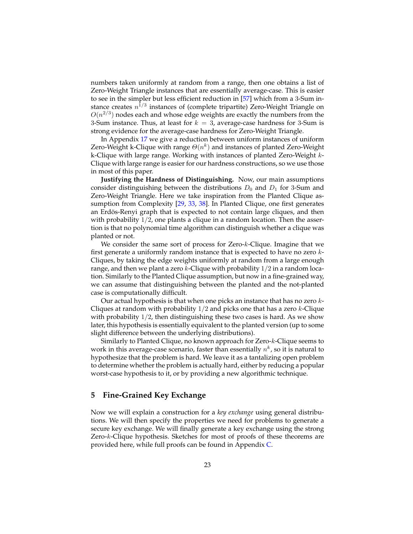numbers taken uniformly at random from a range, then one obtains a list of Zero-Weight Triangle instances that are essentially average-case. This is easier to see in the simpler but less efficient reduction in [\[57\]](#page-39-4) which from a 3-Sum instance creates  $n^{1/3}$  instances of (complete tripartite) Zero-Weight Triangle on  $O(n^{2/3})$  nodes each and whose edge weights are exactly the numbers from the 3-Sum instance. Thus, at least for  $k = 3$ , average-case hardness for 3-Sum is strong evidence for the average-case hardness for Zero-Weight Triangle.

In Appendix [17](#page-58-0) we give a reduction between uniform instances of uniform Zero-Weight k-Clique with range  $\Theta(n^k)$  and instances of planted Zero-Weight k-Clique with large range. Working with instances of planted Zero-Weight k-Clique with large range is easier for our hardness constructions, so we use those in most of this paper.

**Justifying the Hardness of Distinguishing.** Now, our main assumptions consider distinguishing between the distributions  $D_0$  and  $D_1$  for 3-Sum and Zero-Weight Triangle. Here we take inspiration from the Planted Clique assumption from Complexity [\[29,](#page-37-15) [33,](#page-38-17) [38\]](#page-38-18). In Planted Clique, one first generates an Erdös-Renyi graph that is expected to not contain large cliques, and then with probability  $1/2$ , one plants a clique in a random location. Then the assertion is that no polynomial time algorithm can distinguish whether a clique was planted or not.

We consider the same sort of process for Zero-k-Clique. Imagine that we first generate a uniformly random instance that is expected to have no zero k-Cliques, by taking the edge weights uniformly at random from a large enough range, and then we plant a zero k-Clique with probability  $1/2$  in a random location. Similarly to the Planted Clique assumption, but now in a fine-grained way, we can assume that distinguishing between the planted and the not-planted case is computationally difficult.

Our actual hypothesis is that when one picks an instance that has no zero  $k$ -Cliques at random with probability  $1/2$  and picks one that has a zero k-Clique with probability  $1/2$ , then distinguishing these two cases is hard. As we show later, this hypothesis is essentially equivalent to the planted version (up to some slight difference between the underlying distributions).

Similarly to Planted Clique, no known approach for Zero-k-Clique seems to work in this average-case scenario, faster than essentially  $n^k$ , so it is natural to hypothesize that the problem is hard. We leave it as a tantalizing open problem to determine whether the problem is actually hard, either by reducing a popular worst-case hypothesis to it, or by providing a new algorithmic technique.

## <span id="page-22-0"></span>**5 Fine-Grained Key Exchange**

Now we will explain a construction for a *key exchange* using general distributions. We will then specify the properties we need for problems to generate a secure key exchange. We will finally generate a key exchange using the strong Zero-k-Clique hypothesis. Sketches for most of proofs of these theorems are provided here, while full proofs can be found in Appendix [C.](#page-59-0)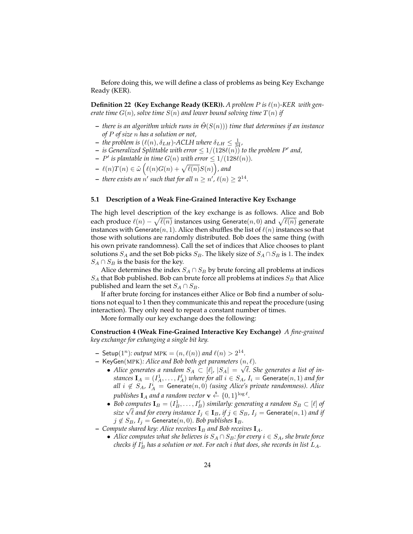Before doing this, we will define a class of problems as being Key Exchange Ready (KER).

**Definition 22 (Key Exchange Ready (KER)).** *A problem P is*  $\ell(n)$ -KER with gen*erate time*  $G(n)$ *, solve time*  $S(n)$  *and lower bound solving time*  $T(n)$  *if* 

- $-$  *there is an algorithm which runs in*  $\Theta(S(n))$  *time that determines if an instance of* P *of size* n *has a solution or not,*
- *– the problem is*  $(\ell(n), \delta_{LH})$ -ACLH where  $\delta_{LH} \leq \frac{1}{34}$ ,
- $-$  *is Generalized Splittable with error*  $\leq 1/(128\ell(n))$  *to the problem P' and,*
- *–*  $P'$  is plantable in time  $G(n)$  with error  $\leq 1/(128\ell(n))$ *.*
- $\ell(n)T(n) \in \tilde{\omega} \left( \ell(n)G(n) + \sqrt{\ell(n)}S(n) \right)$  , and
- $-$  *there exists an n' such that for all*  $n \geq n'$ *,*  $\ell(n) \geq 2^{14}$ *.*

# **5.1 Description of a Weak Fine-Grained Interactive Key Exchange**

The high level description of the key exchange is as follows. Alice and Bob each produce  $\ell(n) - \sqrt{\ell(n)}$  instances using Generate $(n,0)$  and  $\sqrt{\ell(n)}$  generate instances with Generate $(n, 1)$ . Alice then shuffles the list of  $\ell(n)$  instances so that those with solutions are randomly distributed. Bob does the same thing (with his own private randomness). Call the set of indices that Alice chooses to plant solutions  $S_A$  and the set Bob picks  $S_B$ . The likely size of  $S_A \cap S_B$  is 1. The index  $S_A \cap S_B$  is the basis for the key.

Alice determines the index  $S_A \cap S_B$  by brute forcing all problems at indices  $S_A$  that Bob published. Bob can brute force all problems at indices  $S_B$  that Alice published and learn the set  $S_A \cap S_B$ .

If after brute forcing for instances either Alice or Bob find a number of solutions not equal to 1 then they communicate this and repeat the procedure (using interaction). They only need to repeat a constant number of times.

<span id="page-23-0"></span>More formally our key exchange does the following:

**Construction 4 (Weak Fine-Grained Interactive Key Exchange)** *A fine-grained key exchange for exhanging a single bit key.*

- $-$  Setup $(1^n)$ *: output* MPK =  $(n, \ell(n))$  *and*  $\ell(n) > 2^{14}$ *.*
- $-$  KeyGen(MPK)*: Alice and Bob both get parameters*  $(n, \ell)$ .
	- Alice generates a random  $S_A \subset [\ell]$ ,  $|S_A| = \sqrt{\ell}$ . She generates a list of in $s$ tances  $\mathbf{I}_A = (I_A^1, \dots, I_A^{\ell})$  *where for all*  $i \in S_A$ *,*  $I_i = \mathsf{Generate}(n, 1)$  *and for* all  $i \notin S_A$ ,  $I^i_A = \mathsf{Generate}(n, 0)$  *(using Alice's private randomness). Alice* publishes  $\mathbf{I}_A$  and a random vector  $\mathbf{v}\overset{\hspace{0.1em}\mathsf{\scriptscriptstyle\$}}{\leftarrow} \{0,1\}^{\log \ell}.$
	- Bob computes  $I_B = (I_B^1, \ldots, I_B^{\ell})$  similarly: generating a random  $S_B \subset [\ell]$  of *size*  $\sqrt{\ell}$  *and for every instance*  $I_j \in I_B$ *, if*  $j \in S_B$ ,  $I_j =$  Generate(n, 1) *and if*  $j \notin S_B$ ,  $I_j =$  Generate $(n, 0)$ *. Bob publishes*  $I_B$ *.*
- $-$  *Compute shared key: Alice receives*  $\mathbf{I}_{B}$  *and Bob receives*  $\mathbf{I}_{A}$ *.* 
	- *Alice computes what she believes is*  $S_A \cap S_B$ *: for every*  $i \in S_A$ *, she brute force checks if*  $I^i_B$  *has a solution or not. For each*  $i$  *that does, she records in list*  $L_A$ *.*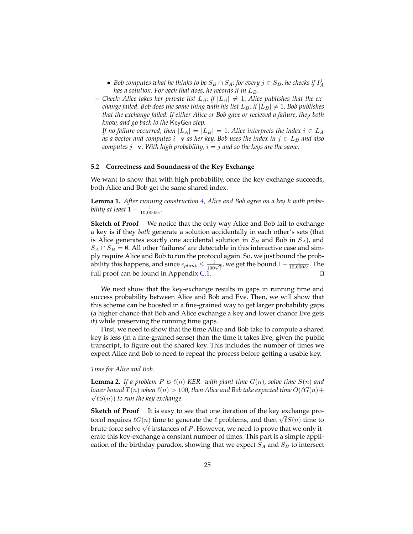- Bob computes what he thinks to be  $S_B \cap S_A$ : for every  $j \in S_B$ , he checks if  $I^j_A$ *has a solution. For each that does, he records it in*  $L_B$ .
- $-$  *Check: Alice takes her private list*  $L_A$ : *if*  $|L_A| \neq 1$ , Alice publishes that the ex*change failed. Bob does the same thing with his list*  $L_B$ : *if*  $|L_B| \neq 1$ , Bob publishes *that the exchange failed. If either Alice or Bob gave or recieved a failure, they both know, and go back to the* KeyGen *step.*

*If no failure occurred, then*  $|L_A| = |L_B| = 1$ *. Alice interprets the index*  $i \in L_A$ *as a vector and computes*  $i \cdot \mathbf{v}$  *as her key. Bob uses the index in*  $j \in L_B$  *and also computes*  $j \cdot v$ . With high probability,  $i = j$  and so the keys are the same.

#### **5.2 Correctness and Soundness of the Key Exchange**

We want to show that with high probability, once the key exchange succeeds, both Alice and Bob get the same shared index.

<span id="page-24-0"></span>**Lemma 1.** *After running construction [4,](#page-23-0) Alice and Bob agree on a key* k *with probability at least*  $1 - \frac{1}{10,000\ell e}$ *.* 

**Sketch of Proof** We notice that the only way Alice and Bob fail to exchange a key is if they *both* generate a solution accidentally in each other's sets (that is Alice generates exactly one accidental solution in  $S_B$  and Bob in  $S_A$ ), and  $S_A \cap S_B = \emptyset$ . All other 'failures' are detectable in this interactive case and simply require Alice and Bob to run the protocol again. So, we just bound the probability this happens, and since  $\epsilon_{plant} \leq \frac{1}{100\sqrt{\ell}}$ , we get the bound  $1-\frac{1}{10,000\ell e}$ . The full proof can be found in Appendix  $C.1$ .

We next show that the key-exchange results in gaps in running time and success probability between Alice and Bob and Eve. Then, we will show that this scheme can be boosted in a fine-grained way to get larger probability gaps (a higher chance that Bob and Alice exchange a key and lower chance Eve gets it) while preserving the running time gaps.

First, we need to show that the time Alice and Bob take to compute a shared key is less (in a fine-grained sense) than the time it takes Eve, given the public transcript, to figure out the shared key. This includes the number of times we expect Alice and Bob to need to repeat the process before getting a usable key.

#### <span id="page-24-1"></span>*Time for Alice and Bob.*

**Lemma 2.** If a problem P is  $\ell(n)$ -KER with plant time  $G(n)$ , solve time  $S(n)$  and *lower bound*  $T(n)$  *when*  $\ell(n) > 100$ *, then Alice and Bob take expected time*  $O(\ell G(n) + \sqrt{G(\ell(n))})$  $\sqrt{\ell S(n)}$  *to run the key exchange.* 

**Sketch of Proof** It is easy to see that one iteration of the key exchange pro-**EXECT OF FIGOLE** IT IS EASY to see that one neration of the key exchange pro-<br>tocol requires  $\ell G(n)$  time to generate the  $\ell$  problems, and then  $\sqrt{\ell}S(n)$  time to  $\text{bccor requires } \iota_{G(n)}$  three to generate the  $\iota$  problems, and then  $\sqrt{\iota_{G(n)}}$  three to brute-force solve  $\sqrt{\ell}$  instances of P. However, we need to prove that we only iterate this key-exchange a constant number of times. This part is a simple application of the birthday paradox, showing that we expect  $S_A$  and  $S_B$  to intersect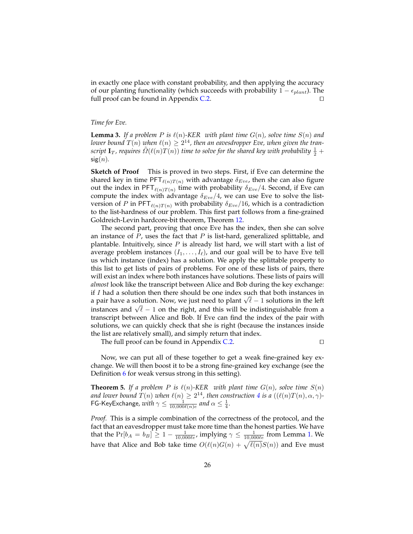in exactly one place with constant probability, and then applying the accuracy of our planting functionality (which succeeds with probability  $1 - \epsilon_{plant}$ ). The full proof can be found in Appendix [C.2.](#page-59-2)  $\Box$ 

#### <span id="page-25-1"></span>*Time for Eve.*

**Lemma 3.** If a problem P is  $\ell(n)$ -KER with plant time  $G(n)$ , solve time  $S(n)$  and lower bound  $T(n)$  when  $\ell(n) \geq 2^{14}$ , then an eavesdropper Eve, when given the tran $script$   ${\bf I}_T$ , requires  $\tilde \Omega(\ell(n)T(n))$  time to solve for the shared key with probability  $\frac{1}{2}$  +  $sig(n)$ .

**Sketch of Proof** This is proved in two steps. First, if Eve can determine the shared key in time PFT $_{\ell(n)T(n)}$  with advantage  $\delta_{Eve}$ , then she can also figure out the index in PFT $_{\ell(n)T(n)}$  time with probability  $\delta_{Eve}/4$ . Second, if Eve can compute the index with advantage  $\delta_{Eve}/4$ , we can use Eve to solve the listversion of P in PFT $_{\ell(n)T(n)}$  with probability  $\delta_{Eve}/16$ , which is a contradiction to the list-hardness of our problem. This first part follows from a fine-grained Goldreich-Levin hardcore-bit theorem, Theorem [12.](#page-46-0)

The second part, proving that once Eve has the index, then she can solve an instance of  $P$ , uses the fact that  $P$  is list-hard, generalized splittable, and plantable. Intuitively, since  $P$  is already list hard, we will start with a list of average problem instances  $(I_1, \ldots, I_\ell)$ , and our goal will be to have Eve tell us which instance (index) has a solution. We apply the splittable property to this list to get lists of pairs of problems. For one of these lists of pairs, there will exist an index where both instances have solutions. These lists of pairs will *almost* look like the transcript between Alice and Bob during the key exchange: if  $I$  had a solution then there should be one index such that both instances in if *I* had a solution then there should be one index such that both instances in<br>a pair have a solution. Now, we just need to plant  $\sqrt{\ell} - 1$  solutions in the left a pair nave a solution. Now, we just need to plant  $\sqrt{\ell-1}$  solutions in the left instances and  $\sqrt{\ell-1}$  on the right, and this will be indistinguishable from a transcript between Alice and Bob. If Eve can find the index of the pair with solutions, we can quickly check that she is right (because the instances inside the list are relatively small), and simply return that index.

The full proof can be found in Appendix  $C.2$ .

Now, we can put all of these together to get a weak fine-grained key exchange. We will then boost it to be a strong fine-grained key exchange (see the Definition [6](#page-14-0) for weak versus strong in this setting).

<span id="page-25-0"></span>**Theorem 5.** If a problem P is  $\ell(n)$ -KER with plant time  $G(n)$ , solve time  $S(n)$ and lower bound  $T(n)$  when  $\ell(n) \geq 2^{14}$  $\ell(n) \geq 2^{14}$  $\ell(n) \geq 2^{14}$ , then construction  $4$  is a  $((\ell(n)T(n), \alpha, \gamma)$ -FG-KeyExchange, with  $\gamma \le \frac{1}{10,000\ell(n)e}$  and  $\alpha \le \frac{1}{4}$ .

*Proof.* This is a simple combination of the correctness of the protocol, and the fact that an eavesdropper must take more time than the honest parties. We have that the  $Pr[b_A = b_B] \ge 1 - \frac{1}{10,000\ell e}$ , implying  $\gamma \le \frac{1}{10,000\ell e}$  from Lemma [1.](#page-24-0) We have that Alice and Bob take time  $O(\ell(n)G(n) + \sqrt{\ell(n)}S(n))$  and Eve must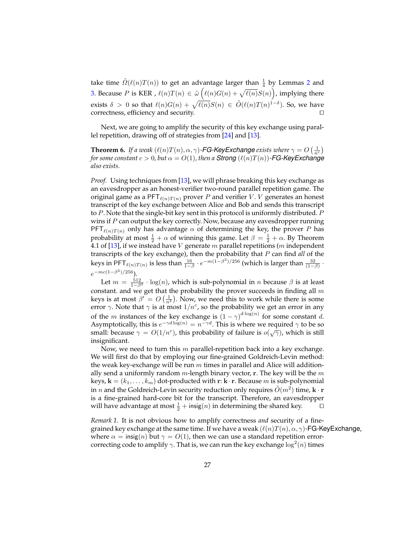take time  $\tilde{\Omega}(\ell(n)T(n))$  to get an advantage larger than  $\frac{1}{4}$  by Lemmas [2](#page-24-1) and [3.](#page-25-1) Because P is KER ,  $\ell(n)T(n) \in \tilde{\omega} \left( \ell(n)G(n) + \sqrt{\ell(n)}S(n) \right)$ , implying there exists  $\delta > 0$  so that  $\ell(n)G(n) + \sqrt{\ell(n)}S(n) \in \tilde{O}(\ell(n)T(n)^{1-\delta})$ . So, we have  $correctness$ , efficiency and security.  $\Box$ 

Next, we are going to amplify the security of this key exchange using parallel repetition, drawing off of strategies from [\[24\]](#page-37-16) and [\[13\]](#page-36-14).

<span id="page-26-0"></span>**Theorem 6.** *If a weak*  $(\ell(n)T(n), \alpha, \gamma)$ *-FG-KeyExchange exists where*  $\gamma = O\left(\frac{1}{n^c}\right)$ *for some constant*  $c > 0$ , but  $\alpha = O(1)$ , then a **Strong**  $(\ell(n)T(n))$ **-FG-KeyExchange** *also exists.*

*Proof.* Using techniques from [\[13\]](#page-36-14), we will phrase breaking this key exchange as an eavesdropper as an honest-verifier two-round parallel repetition game. The original game as a  $\text{PFT}_{\ell(n)T(n)}$  prover P and verifier V. V generates an honest transcript of the key exchange between Alice and Bob and sends this transcript to  $P$ . Note that the single-bit key sent in this protocol is uniformly distributed.  $P$ wins if  $P$  can output the key correctly. Now, because any eavesdropper running PFT<sub> $\ell(n)T(n)$ </sub> only has advantage  $\alpha$  of determining the key, the prover P has probability at most  $\frac{1}{2} + \alpha$  of winning this game. Let  $\beta = \frac{1}{2} + \alpha$ . By Theorem 4.1 of [\[13\]](#page-36-14), if we instead have *V* generate *m* parallel repetitions (*m* independent transcripts of the key exchange), then the probability that P can find *all* of the keys in PFT $_{\ell(n)T(n)}$  is less than  $\frac{16}{1-\beta} \cdot e^{-m(1-\beta^2)/256}$  (which is larger than  $\frac{32}{(1-\beta)}$ .  $e^{-mc(1-\beta^2)/256}$ ).

Let  $m = \frac{512}{1-\beta^2} \cdot \log(n)$ , which is sub-polynomial in n because  $\beta$  is at least constant. and we get that the probability the prover succeeds in finding all  $m$ keys is at most  $\beta' = O\left(\frac{1}{n^2}\right)$ . Now, we need this to work while there is some error  $\gamma$ . Note that  $\gamma$  is at most  $1/n^c$ , so the probability we get an error in any of the m instances of the key exchange is  $(1 - \gamma)^{d \cdot \log(n)}$  for some constant d. Asymptotically, this is  $e^{-\gamma d \log(n)} = n^{-\gamma d}$ . This is where we required  $\gamma$  to be so Solution, this is  $e^{i\theta} = h^{i\theta}$ . This is where we reduced  $\theta$  to be so small: because  $\gamma = O(1/n^c)$ , this probability of failure is  $o(\sqrt{\gamma})$ , which is still insignificant.

Now, we need to turn this  $m$  parallel-repetition back into a key exchange. We will first do that by employing our fine-grained Goldreich-Levin method: the weak key-exchange will be run  $m$  times in parallel and Alice will additionally send a uniformly random  $m$ -length binary vector, r. The key will be the  $m$ keys,  $\mathbf{k} = (k_1, \dots, k_m)$  dot-producted with  $\mathbf{r}: \mathbf{k} \cdot \mathbf{r}$ . Because m is sub-polynomial in  $n$  and the Goldreich-Levin security reduction only requires  $\tilde{O}(m^2)$  time,  $\mathbf{k} \cdot \mathbf{r}$ is a fine-grained hard-core bit for the transcript. Therefore, an eavesdropper will have advantage at most  $\frac{1}{2}$  + insig(*n*) in determining the shared key.  $\Box$ 

*Remark 1.* It is not obvious how to amplify correctness *and* security of a finegrained key exchange at the same time. If we have a weak  $(\ell(n)T(n), \alpha, \gamma)$ -FG-KeyExchange, where  $\alpha = \text{insig}(n)$  but  $\gamma = O(1)$ , then we can use a standard repetition errorcorrecting code to amplify  $\gamma$ . That is, we can run the key exchange  $\log^2(n)$  times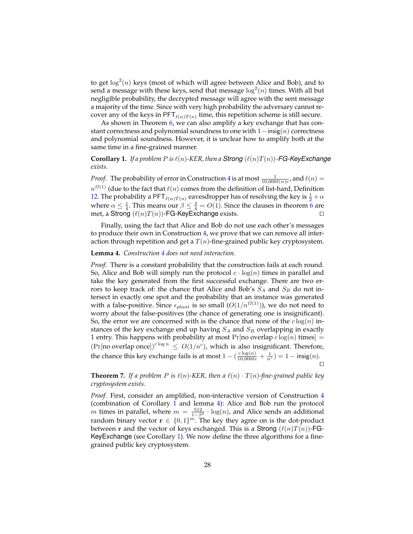to get  $\log^2(n)$  keys (most of which will agree between Alice and Bob), and to send a message with these keys, send that message  $\log^2(n)$  times. With all but negligible probability, the decrypted message will agree with the sent message a majority of the time. Since with very high probability the adversary cannot recover any of the keys in PFT $_{\ell(n)T(n)}$  time, this repetition scheme is still secure.

As shown in Theorem [6,](#page-26-0) we can also amplify a key exchange that has constant correctness and polynomial soundness to one with  $1 - \frac{\text{insig}(n)}{\text{corrections}}$ and polynomial soundness. However, it is unclear how to amplify both at the same time in a fine-grained manner.

<span id="page-27-0"></span>**Corollary 1.** *If a problem P is*  $\ell(n)$ -KER, then a *Strong*  $(\ell(n)T(n))$ -FG-KeyExchange *exists.*

*Proof.* The probability of error in Construction [4](#page-23-0) is at most  $\frac{1}{10,000\ell(n)e}$ , and  $\ell(n)$  =  $n^{\Omega(1)}$  (due to the fact that  $\ell(n)$  comes from the definition of list-hard, Definition [12.](#page-17-0) The probability a PFT<sub> $\ell(n)T(n)$ </sub> eavesdropper has of resolving the key is  $\frac{1}{2} + \alpha$ where  $\alpha \leq \frac{1}{4}$ . This means our  $\beta \leq \frac{3}{4} = O(1)$ . Since the clauses in theorem [6](#page-26-0) are met, a Strong  $(\ell(n)T(n))$ -FG-KeyExchange exists.  $\Box$ 

Finally, using the fact that Alice and Bob do not use each other's messages to produce their own in Construction [4,](#page-23-0) we prove that we can remove all interaction through repetition and get a  $T(n)$ -fine-grained public key cryptosystem.

## <span id="page-27-1"></span>**Lemma 4.** *Construction [4](#page-23-0) does not need interaction.*

*Proof.* There is a constant probability that the construction fails at each round. So, Alice and Bob will simply run the protocol  $c \cdot \log(n)$  times in parallel and take the key generated from the first successful exchange. There are two errors to keep track of: the chance that Alice and Bob's  $S_A$  and  $S_B$  do not intersect in exactly one spot and the probability that an instance was generated with a false-positive. Since  $\epsilon_{plant}$  is so small  $(O(1/n^{Q(1)}))$ , we do not need to worry about the false-positives (the chance of generating one is insignificant). So, the error we are concerned with is the chance that none of the  $c \log(n)$  instances of the key exchange end up having  $S_A$  and  $S_B$  overlapping in exactly 1 entry. This happens with probability at most Pr[no overlap  $c \log(n)$  times] = (Pr[no overlap once])<sup>clogn</sup>  $\leq O(1/n^c)$ , which is also insignificant. Therefore, the chance this key exchange fails is at most  $1 - (\frac{c \log(n)}{10,000 \ell e} + \frac{1}{n^c}) = 1 - \text{insig}(n)$ .

 $\Box$ 

**Theorem 7.** If a problem P is  $\ell(n)$ -KER, then a  $\ell(n) \cdot T(n)$ -fine-grained public key *cryptosystem exists.*

*Proof.* First, consider an amplified, non-interactive version of Construction [4](#page-23-0) (combination of Corollary [1](#page-27-0) and lemma [4\)](#page-27-1): Alice and Bob run the protocol m times in parallel, where  $m = \frac{512}{1-\beta^2} \cdot \log(n)$ , and Alice sends an additional random binary vector  $\mathbf{r} \in \{0,1\}^m$ . The key they agree on is the dot-product between r and the vector of keys exchanged. This is a Strong  $(\ell(n)T(n))$ -FG-KeyExchange (see Corollary [1\)](#page-27-0). We now define the three algorithms for a finegrained public key cryptosystem.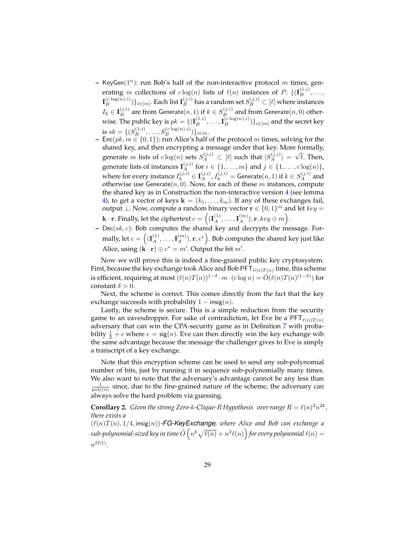- **–** KeyGen(1n): run Bob's half of the non-interactive protocol m times, generating m collections of  $c \log(n)$  lists of  $\ell(n)$  instances of P:  $\{(\mathbf{I}_{B}^{(1,i)}, \ldots,$  $\{ {\bf I}^{(c \log(n),i)}_B \}_{i \in [m]}.$  Each list  ${\bf I}^{(j,i)}_B$  has a random set  $S^{(j,i)}_B \subset [\ell]$  where instances  $I_k \in \mathbf{I}^{(j,i)}_B$  are from Generate $(n,1)$  if  $k \in S^{(j,i)}_B$  and from Generate $(n,0)$  otherwise. The public key is  $pk = \{({\bf I}^{(1,i)}_B,\ldots,{\bf I}^{(c \log(n),i)}_B)\}_{i \in [m]}$  and the secret key is  $sk = \{ (S_B^{(1,i)}, \ldots, S_B^{(c \log(n),i)}) \}_{i \in m}$ .
- **–** Enc(pk, m ∈ {0, 1}): run Alice's half of the protocol m times, solving for the shared key, and then encrypting a message under that key. More formally, generate m lists of  $c \log(n)$  sets  $S_A^{(j,i)} \subset [\ell]$  such that  $|S_A^{(j,i)}|$  = √  $\ell$ . Then, generate lists of instances  $I_A^{(j,i)}$  for  $i \in \{1,\ldots,m\}$  and  $j \in \{1,\ldots,c\log(n)\}\$ , where for every instance  $I_k^{(j,i)} \in \textbf{I}_A^{(j,i)}$  ,  $I_k^{(j,i)} = \textsf{Generate}(n,1)$  if  $k \in S_A^{(j,i)}$  and otherwise use Generate $(n, 0)$ . Now, for each of these m instances, compute the shared key as in Construction the non-interactive version [4](#page-23-0) (see lemma [4\)](#page-27-1), to get a vector of keys  $\mathbf{k} = (k_1, \ldots, k_m)$ . If any of these exchanges fail, output ⊥. Now, compute a random binary vector  $\mathbf{r} \in \{0,1\}^m$  and let  $key =$  $\mathbf{k}\cdot\mathbf{r}.$  Finally, let the ciphertext  $c=\Big(\mathbf{(I}_A^{(1)},\ldots,\mathbf{I}_A^{(m)}),\mathbf{r},\mathit{key}\oplus\mathit{m}\Big).$
- **–** Dec(sk, c): Bob computes the shared key and decrypts the message. Formally, let  $c = \left((\mathbf{I}^{(1)}_A,\ldots,\mathbf{I}^{(m)}_A),\mathbf{r},c^*\right)$ . Bob computes the shared key just like Alice, using  $(\mathbf{k} \cdot \mathbf{r}) \oplus c^* = m'$ . Output the bit  $m'$ .

Now we will prove this is indeed a fine-grained public key cryptosystem. First, because the key exchange took Alice and Bob PFT $_{\ell(n)T(n)}$  time, this scheme is efficient, requiring at most  $(\ell(n)T(n))^{1-\delta}\cdot m\cdot (c\log n)=\tilde{O}(\ell(n)T(n)^{(1-\delta)})$  for constant  $\delta > 0$ .

Next, the scheme is correct. This comes directly from the fact that the key exchange succeeds with probability  $1 - \text{insig}(n)$ .

Lastly, the scheme is secure. This is a simple reduction from the security game to an eavesdropper. For sake of contradiction, let Eve be a PFT $_{\ell(n)T(n)}$ adversary that can win the CPA-security game as in Definition [7](#page-14-1) with probability  $\frac{1}{2} + \epsilon$  where  $\epsilon = \text{sig}(n)$ . Eve can then directly win the key exchange wih the same advantage because the message the challenger gives to Eve is simply a transcript of a key exchange.

Note that this encryption scheme can be used to send any sub-polynomial number of bits, just by running it in sequence sub-polynomially many times. We also want to note that the adversary's advantage cannot be any less than  $\frac{1}{\text{poly}(n)}$  since, due to the fine-grained nature of the scheme, the adversary can always solve the hard problem via guessing.

<span id="page-28-0"></span>**Corollary 2.** *Given the strong Zero-k-Clique-R Hypothesis over range*  $R = \ell(n)^2 n^{2k}$ , *there exists a*

 $(\ell(n)T(n), 1/4, \text{insig}(n))$ -FG-KeyExchange, where Alice and Bob can exchange a  $\mathfrak{so}$ b-polynomial-sized key in time  $\tilde O\left(n^k\sqrt{\ell(n)}+n^2\ell(n)\right)$  for every polynomial  $\ell(n)=0$  $n^{\Omega(1)}$ .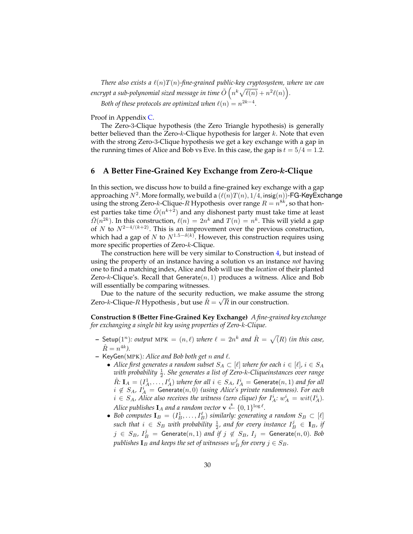*There also exists a*  $\ell(n)T(n)$ *-fine-grained public-key cryptosystem, where we can* encrypt a sub-polynomial sized message in time  $\tilde{O}\left(n^k\sqrt{\ell(n)} + n^2\ell(n)\right)$ . *Both of these protocols are optimized when*  $\ell(n) = n^{2k-4}$ *.* 

Proof in Appendix [C.](#page-59-0)

The Zero-3-Clique hypothesis (the Zero Triangle hypothesis) is generally better believed than the Zero- $k$ -Clique hypothesis for larger  $k$ . Note that even with the strong Zero-3-Clique hypothesis we get a key exchange with a gap in the running times of Alice and Bob vs Eve. In this case, the gap is  $t = 5/4 = 1.2$ .

# <span id="page-29-0"></span>**6 A Better Fine-Grained Key Exchange from Zero-**k**-Clique**

In this section, we discuss how to build a fine-grained key exchange with a gap approaching  $N^2.$  More formally, we build a  $(\ell(n)T(n), 1/4,$  insig $(n))$ -FG-KeyExchange using the strong Zero-k-Clique-R Hypothesis over range  $R = n^{8k}$ , so that honest parties take time  $\tilde{O}(n^{k+2})$  and any dishonest party must take time at least  $\tilde{Q}(n^{2k})$ . In this construction,  $\ell(n) = 2n^k$  and  $T(n) = n^k$ . This will yield a gap of N to  $N^{2-4/(k+2)}$ . This is an improvement over the previous construction, which had a gap of N to  $N^{1.5-\delta(k)}$ . However, this construction requires using more specific properties of Zero-k-Clique.

The construction here will be very similar to Construction [4,](#page-23-0) but instead of using the property of an instance having a solution vs an instance *not* having one to find a matching index, Alice and Bob will use the *location* of their planted Zero-k-Clique's. Recall that Generate $(n, 1)$  produces a witness. Alice and Bob will essentially be comparing witnesses.

Due to the nature of the security reduction, we make assume the strong Zero- $k$ -Clique- $R$  Hypothesis , but use  $\hat{R}=\sqrt{R}$  in our construction.

<span id="page-29-1"></span>**Construction 8 (Better Fine-Grained Key Exchange)** *A fine-grained key exchange for exchanging a single bit key using properties of Zero-*k*-Clique.*

- $\bullet$  Setup(1<sup>n</sup>): output MPK =  $(n, \ell)$  where  $\ell = 2n^k$  and  $\hat{R} = \sqrt(R)$  (in this case,  $\hat{R} = n^{4k}$ .
- $-$  KeyGen(MPK): Alice and Bob both get n and  $\ell$ .
	- *Alice first generates a random subset*  $S_A \subset [\ell]$  *where for each*  $i \in [\ell], i \in S_A$ *with probability* <sup>1</sup> 2 *. She generates a list of Zero-*k*-Cliqueinstances over range*  $\hat{R}$ :  $\mathbf{I}_A = (I_A^1, \dots, I_A^{\ell})$  *where for all*  $i \in S_A$ ,  $I_A^i = \text{Generate}(n, 1)$  *and for all*  $i \notin S_A$ ,  $I_A^i = \text{Generate}(n, 0)$  *(using Alice's private randomness). For each*  $i \in S_A$ , Alice also receives the witness (zero clique) for  $I^i_A$ :  $w^i_A = wt(I^i_A)$ . Alice publishes  $\mathbf{I}_A$  and a random vector  $\mathbf{v}\xleftarrow{\$} \{0,1\}^{\log \ell}.$
	- Bob computes  $I_B = (I_B^1, \ldots, I_B^{\ell})$  similarly: generating a random  $S_B \subset [\ell]$ such that  $i \in S_B$  with probability  $\frac{1}{2}$ , and for every instance  $I_B^j \in \mathbf{I}_B$ , if  $j ~\in~ S_B$ ,  $I_B^j ~=~ \textsf{Generate}(n,1)$  and if  $j ~\not \in~ S_B$ ,  $I_j ~=~ \textsf{Generate}(n,0)$ *. Bob* publishes  $\mathbf{I}_{B}$  and keeps the set of witnesses  $w_{B}^{j}$  for every  $j\in S_{B}.$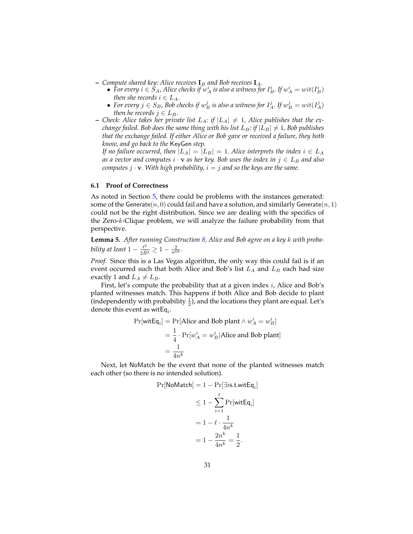- $-$  *Compute shared key: Alice receives*  $I_B$  *and Bob receives*  $I_A$ *.* 
	- $\bullet\,$  For every  $i\in \check{S}_A$ , Alice checks if  $\overline{w}_A^i$  is also a witness for  $I^i_B.$  If  $w_A^i= wit(I^i_B)$ *then she records*  $i \in L_A$ .
	- For every  $j \in S_B$ , Bob checks if  $w_B^j$  is also a witness for  $I^j_A.$  If  $w_B^j = wit(I^j_A)$ *then he records*  $j \in L_B$ *.*
- $\blacksquare$  *Check: Alice takes her private list*  $L_A$ : if  $|L_A| \neq 1$ , Alice publishes that the ex*change failed. Bob does the same thing with his list*  $L_B$ : *if*  $|L_B| \neq 1$ , Bob publishes *that the exchange failed. If either Alice or Bob gave or received a failure, they both know, and go back to the* KeyGen *step.*

*If no failure occurred, then*  $|L_A| = |L_B| = 1$ *. Alice interprets the index*  $i \in L_A$ *as a vector and computes*  $i \cdot v$  *as her key. Bob uses the index in*  $j \in L_B$  *and also computes*  $j \cdot v$ *. With high probability,*  $i = j$  *and so the keys are the same.* 

## **6.1 Proof of Correctness**

As noted in Section [5,](#page-22-0) there could be problems with the instances generated: some of the Generate $(n, 0)$  could fail and have a solution, and similarly Generate $(n, 1)$ could not be the right distribution. Since we are dealing with the specifics of the Zero-k-Clique problem, we will analyze the failure probability from that perspective.

<span id="page-30-0"></span>**Lemma 5.** *After running Construction [8,](#page-29-1) Alice and Bob agree on a key* k *with probability at least*  $1 - \frac{\ell^2}{2\hat{R}^2} \ge 1 - \frac{2}{n^{6k}}$ .

*Proof.* Since this is a Las Vegas algorithm, the only way this could fail is if an event occurred such that both Alice and Bob's list  $L_A$  and  $L_B$  each had size exactly 1 and  $L_A \neq L_B$ .

First, let's compute the probability that at a given index i, Alice and Bob's planted witnesses match. This happens if both Alice and Bob decide to plant (independently with probability  $\frac{1}{2}$ ), and the locations they plant are equal. Let's denote this event as witEq<sub>i</sub>.

$$
Pr[\text{witEq}_i] = Pr[\text{Alice and Bob plant} \land w_A^i = w_B^i]
$$

$$
= \frac{1}{4} \cdot Pr[w_A^i = w_B^i | \text{Alice and Bob plant}]
$$

$$
= \frac{1}{4n^k}
$$

Next, let NoMatch be the event that none of the planted witnesses match each other (so there is no intended solution).

$$
\Pr[\text{NoMatch}] = 1 - \Pr[\exists i \text{s.t.} \text{witEq}_i]
$$

$$
\leq 1 - \sum_{i=1}^{\ell} \Pr[\text{witEq}_i]
$$

$$
= 1 - \ell \cdot \frac{1}{4n^k}
$$

$$
= 1 - \frac{2n^k}{4n^k} = \frac{1}{2}.
$$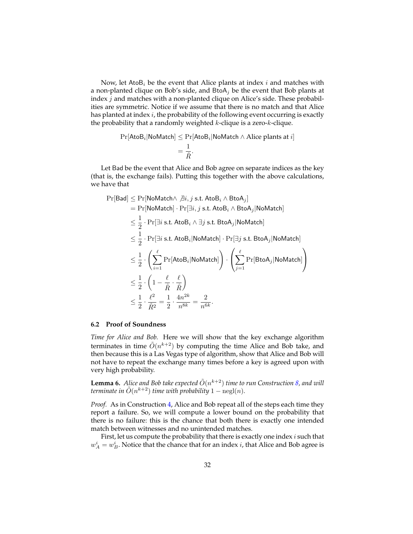Now, let AtoB<sub>i</sub> be the event that Alice plants at index i and matches with a non-planted clique on Bob's side, and BtoA<sub>j</sub> be the event that Bob plants at index  $j$  and matches with a non-planted clique on Alice's side. These probabilities are symmetric. Notice if we assume that there is no match and that Alice has planted at index  $i$ , the probability of the following event occurring is exactly the probability that a randomly weighted  $k$ -clique is a zero- $k$ -clique.

$$
\Pr[\text{AtoB}_i | \text{NoMatch}] \le \Pr[\text{AtoB}_i | \text{NoMatch} \land \text{Alice plants at } i]
$$

$$
= \frac{1}{\hat{R}}.
$$

Let Bad be the event that Alice and Bob agree on separate indices as the key (that is, the exchange fails). Putting this together with the above calculations, we have that

$$
\Pr[\mathsf{Bad}] \leq \Pr[\mathsf{NoMatch} \land \exists i, j \text{ s.t. } \mathsf{AtoB}_i \land \mathsf{BtoA}_j]
$$
\n
$$
= \Pr[\mathsf{NoMatch}] \cdot \Pr[\exists i, j \text{ s.t. } \mathsf{AtoB}_i \land \mathsf{BtoA}_j | \mathsf{NoMatch}]
$$
\n
$$
\leq \frac{1}{2} \cdot \Pr[\exists i \text{ s.t. } \mathsf{AtoB}_i \land \exists j \text{ s.t. } \mathsf{BtoA}_j | \mathsf{NoMatch}]
$$
\n
$$
\leq \frac{1}{2} \cdot \Pr[\exists i \text{ s.t. } \mathsf{AtoB}_i | \mathsf{NoMatch}] \cdot \Pr[\exists j \text{ s.t. } \mathsf{BtoA}_j | \mathsf{NoMatch}]
$$
\n
$$
\leq \frac{1}{2} \cdot \left( \sum_{i=1}^{\ell} \Pr[\mathsf{AtoB}_i | \mathsf{NoMatch}] \right) \cdot \left( \sum_{j=1}^{\ell} \Pr[\mathsf{BtoA}_j | \mathsf{NoMatch}] \right)
$$
\n
$$
\leq \frac{1}{2} \cdot \left( 1 - \frac{\ell}{\hat{R}} \cdot \frac{\ell}{\hat{R}} \right)
$$
\n
$$
\leq \frac{1}{2} \cdot \frac{\ell^2}{\hat{R}^2} = \frac{1}{2} \cdot \frac{4n^{2k}}{n^{8k}} = \frac{2}{n^{6k}}.
$$

#### **6.2 Proof of Soundness**

*Time for Alice and Bob.* Here we will show that the key exchange algorithm terminates in time  $\tilde{O}(n^{k+2})$  by computing the time Alice and Bob take, and then because this is a Las Vegas type of algorithm, show that Alice and Bob will not have to repeat the exchange many times before a key is agreed upon with very high probability.

<span id="page-31-0"></span>**Lemma 6.** Alice and Bob take expected  $\tilde{O}(n^{k+2})$  time to run Construction [8,](#page-29-1) and will *terminate in*  $\tilde{O}(n^{k+2})$  *time with probability*  $1 - negl(n)$ *.* 

*Proof.* As in Construction [4,](#page-23-0) Alice and Bob repeat all of the steps each time they report a failure. So, we will compute a lower bound on the probability that there is no failure: this is the chance that both there is exactly one intended match between witnesses and no unintended matches.

First, let us compute the probability that there is exactly one index  $i$  such that  $w^i_A=w^i_B$ . Notice that the chance that for an index *i*, that Alice and Bob agree is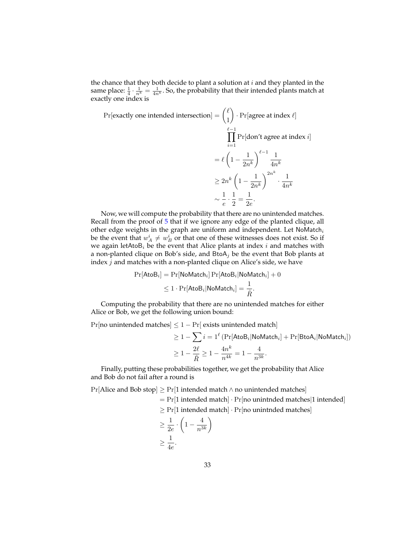the chance that they both decide to plant a solution at  $i$  and they planted in the same place:  $\frac{1}{4} \cdot \frac{1}{n^k} = \frac{1}{4n^k}$ . So, the probability that their intended plants match at exactly one index is

Pr[exactly one intended intersection] = 
$$
\binom{\ell}{1}
$$
 \cdot Pr[agree at index  $\ell]$   
\n
$$
\prod_{i=1}^{\ell-1} Pr[don't agree at index i]
$$
\n
$$
= \ell \left(1 - \frac{1}{2n^k}\right)^{\ell-1} \frac{1}{4n^k}
$$
\n
$$
\geq 2n^k \left(1 - \frac{1}{2n^k}\right)^{2n^k} \cdot \frac{1}{4n^k}
$$
\n
$$
\sim \frac{1}{e} \cdot \frac{1}{2} = \frac{1}{2e}.
$$

Now, we will compute the probability that there are no unintended matches. Recall from the proof of [5](#page-30-0) that if we ignore any edge of the planted clique, all other edge weights in the graph are uniform and independent. Let NoMatch $_i$ be the event that  $w_A^i \neq w_B^i$  or that one of these witnesses does not exist. So if we again letAtoB<sub>i</sub> be the event that Alice plants at index  $i$  and matches with a non-planted clique on Bob's side, and BtoA<sub>i</sub> be the event that Bob plants at index  $j$  and matches with a non-planted clique on Alice's side, we have

$$
\Pr[\mathsf{AtoB}_i] = \Pr[\mathsf{NoMatch}_i] \Pr[\mathsf{AtoB}_i | \mathsf{NoMatch}_i] + 0
$$
  

$$
\leq 1 \cdot \Pr[\mathsf{AtoB}_i | \mathsf{NoMatch}_i] = \frac{1}{\hat{R}}.
$$

Computing the probability that there are no unintended matches for either Alice or Bob, we get the following union bound:

Pr[no unintended matches]  $\leq 1 - Pr$ [ exists unintended match]

$$
\geq 1 - \sum_{i=1}^{n} i = 1^{\ell} \left( \Pr[\text{AtoB}_i | \text{NoMatch}_i] + \Pr[\text{BtoA}_i | \text{NoMatch}_i] \right)
$$

$$
\geq 1 - \frac{2\ell}{\hat{R}} \geq 1 - \frac{4n^k}{n^{4k}} = 1 - \frac{4}{n^{3k}}.
$$

Finally, putting these probabilities together, we get the probability that Alice and Bob do not fail after a round is

Pr[Alice and Bob stop]  $\geq$  Pr[1 intended match  $\land$  no unintended matches]

 $= Pr[1$  intended match $] \cdot Pr[no$  unintnded matches 1 intended

 $\geq \Pr[1 \text{ intended match}] \cdot \Pr[\text{no unintnded matches}]$ 

$$
\geq \frac{1}{2e} \cdot \left(1 - \frac{4}{n^{3k}}\right)
$$

$$
\geq \frac{1}{4e}.
$$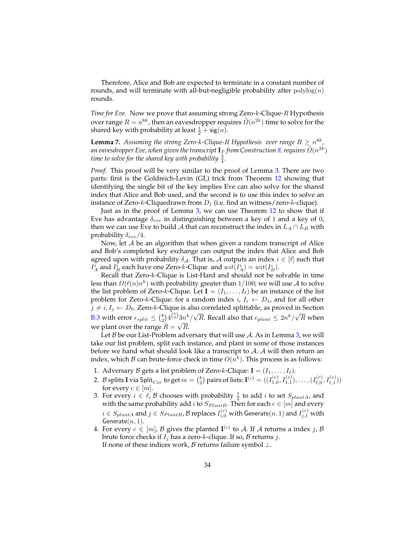Therefore, Alice and Bob are expected to terminate in a constant number of rounds, and will terminate with all-but-negligible probability after  $polylog(n)$ rounds.

*Time for Eve.* Now we prove that assuming strong Zero-k-Clique-R Hypothesis over range  $R = n^{8k}$ , then an eavesdropper requires  $\tilde{\Omega}(n^{2k})$  time to solve for the shared key with probability at least  $\frac{1}{2} + \mathsf{sig}(n)$ .

<span id="page-33-0"></span>**Lemma 7.** Assuming the strong Zero-k-Clique-R Hypothesis over range  $R \ge n^{8k}$ , an eavesdropper Eve, when given the transcript  $\mathbf{I}_T$  from Construction [8,](#page-29-1) requires  $\tilde{\Omega}(n^{2k})$ time to solve for the shared key with probability  $\frac{3}{4}$ .

*Proof.* This proof will be very similar to the proof of Lemma [3.](#page-25-1) There are two parts: first is the Goldreich-Levin (GL) trick from Theorem [12](#page-46-0) showing that identifying the single bit of the key implies Eve can also solve for the shared index that Alice and Bob used, and the second is to use this index to solve an instance of Zero-k-Cliquedrawn from  $D_1$  (i.e. find an witness/zero-k-clique).

Just as in the proof of Lemma [3,](#page-25-1) we can use Theorem [12](#page-46-0) to show that if Eve has advantage  $\delta_{eve}$  in distinguishing between a key of 1 and a key of 0, then we can use Eve to build A that can reconstruct the index in  $L_A \cap L_B$  with probability  $\delta_{eve}/4$ .

Now, let  $A$  be an algorithm that when given a random transcript of Alice and Bob's completed key exchange can output the index that Alice and Bob agreed upon with probability  $\delta_{\mathcal{A}}$ . That is, A outputs an index  $i \in [\ell]$  such that  $I_A^{\bar{i}}$  and  $I_B^{\bar{i}}$  each have one Zero-k-Clique and  $wit(I_A^i) = wit(I_B^i)$ .

Recall that Zero-k-Clique is List-Hard and should not be solvable in time less than  $\varOmega(\ell(n)n^k)$  with probability greater than 1/100; we will use  ${\mathcal A}$  to solve the list problem of Zero-k-Clique. Let  $I = (I_1, \ldots, I_\ell)$  be an instance of the list problem for Zero-k-Clique: for a random index  $i, I_i \leftarrow D_1$ , and for all other  $j \neq i, I_j \leftarrow D_0$ . Zero-k-Clique is also correlated splittable, as proved in Section [B.3](#page-57-0) with error  $\epsilon_{split} \leq {k \choose 2} 4^{{k \choose 2}} 3n^{k}/\sqrt{R}$ . Recall also that  $\epsilon_{plant} \leq 2n^{k}/\sqrt{R}$  when we plant over the range  $\hat{R}=\sqrt{R}.$ 

Let  $\beta$  be our List-Problem adversary that will use  $\mathcal{A}$ . As in Lemma [3,](#page-25-1) we will take our list problem, split each instance, and plant in some of those instances before we hand what should look like a transcript to A. A will then return an index, which  ${\cal B}$  can brute-force check in time  $O(n^k).$  This process is as follows:

- 1. Adversary B gets a list problem of Zero-k-Clique:  $\mathbf{I} = (I_1, \ldots, I_\ell)$ .
- 2. B splits I via Split $_{Cor}$  to get  $m = {k \choose 2}$  pairs of lists: I $^{(c)} = ((I_{1,0}^{(c)}, I_{1,1}^{(c)}), \ldots, (I_{\ell,0}^{(c)}))$  $l^{(c)}_{\ell,0},I^{(c)}_{\ell,1}))$ for every  $c \in [m]$ .
- 3. For every  $i \in \ell$ , B chooses with probability  $\frac{1}{2}$  to add i to set  $S_{plantA}$ , and with the same probability add  $i$  to  $S_{PlantB}$  . Then for each  $c \in [m]$  and every  $i \in S_{plantA}$  and  $j \in S_{PlantB}$  ,  ${\cal B}$  replaces  $I_{i,0}^{(c)}$  with Generate $(n,1)$  and  $I_{j,1}^{(c)}$  with Generate $(n, 1)$ .
- 4. For every  $c \in [m]$ ,  ${\cal B}$  gives the planted  ${\bf I}^{(c)}$  to  ${\cal A}$ . If  ${\cal A}$  returns a index  $j$ ,  ${\cal B}$ brute force checks if  $I_i$  has a zero-k-clique. If so,  $\beta$  returns j. If none of these indices work, B returns failure symbol  $\perp$ .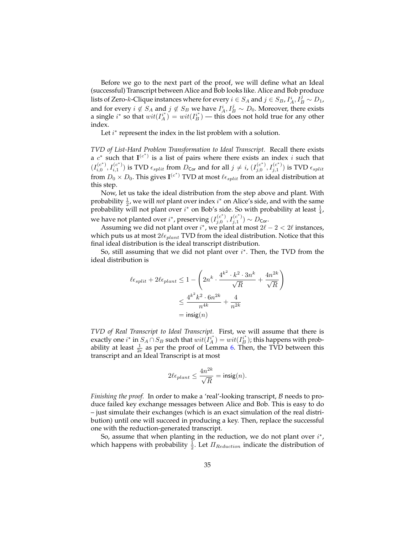Before we go to the next part of the proof, we will define what an Ideal (successful) Transcript between Alice and Bob looks like. Alice and Bob produce lists of Zero-*k*-Clique instances where for every  $i \in S_A$  and  $j \in S_B$ ,  $I_A^i, I_B^j \sim D_1$ , and for every  $i \notin S_A$  and  $j \notin S_B$  we have  $I_A^i, I_B^j \sim D_0$ . Moreover, there exists a single *i*<sup>\*</sup> so that  $wit(I_A^{\iota^*}) = wit(I_B^{\iota^*})$  — this does not hold true for any other index.

Let  $i^*$  represent the index in the list problem with a solution.

*TVD of List-Hard Problem Transformation to Ideal Transcript.* Recall there exists a  $c^*$  such that  $I^{(c^*)}$  is a list of pairs where there exists an index i such that  $(I_{i,0}^{(c^*)}, I_{i,1}^{(c^*)})$  is TVD  $\epsilon_{split}$  from  $D_{\text{Cor}}$  and for all  $j \neq i$ ,  $(I_{j,0}^{(c^*)}, I_{j,1}^{(c^*)})$  is TVD  $\epsilon_{split}$ from  $D_0 \times D_0$ . This gives  $\mathbf{I}^{(c^*)}$  TVD at most  $\ell \epsilon_{split}$  from an ideal distribution at this step.

Now, let us take the ideal distribution from the step above and plant. With probability  $\frac{1}{2}$ , we will *not* plant over index *i*<sup>\*</sup> on Alice's side, and with the same probability will not plant over  $i^*$  on Bob's side. So with probability at least  $\frac{1}{4}$ , we have not planted over  $i^*$ , preserving  $(I_{j,0}^{(c^*)}, I_{j,1}^{(c^*)}) \sim D_{\mathsf{Cor}}$ .

Assuming we did not plant over  $i^*$ , we plant at most  $2\ell - 2 < 2\ell$  instances, which puts us at most  $2\ell_{\epsilon_{plant}}$  TVD from the ideal distribution. Notice that this final ideal distribution is the ideal transcript distribution.

So, still assuming that we did not plant over  $i^*$ . Then, the TVD from the ideal distribution is

$$
\ell \epsilon_{split} + 2\ell \epsilon_{plant} \le 1 - \left(2n^k \cdot \frac{4^{k^2} \cdot k^2 \cdot 3n^k}{\sqrt{R}} + \frac{4n^{2k}}{\sqrt{R}}\right)
$$

$$
\le \frac{4^{k^2}k^2 \cdot 6n^{2k}}{n^{4k}} + \frac{4}{n^{2k}}
$$

$$
= \text{insig}(n)
$$

*TVD of Real Transcript to Ideal Transcript.* First, we will assume that there is exactly one  $i^*$  in  $S_A \cap S_B$  such that  $wit(I_A^{i^*}) = wit(I_B^{i^*})$ ; this happens with probability at least  $\frac{1}{2e}$  as per the proof of Lemma [6.](#page-31-0) Then, the TVD between this transcript and an Ideal Transcript is at most

$$
2\ell\epsilon_{plant}\leq \frac{4n^{2k}}{\sqrt{R}}=\mathrm{insig}(n).
$$

*Finishing the proof.* In order to make a 'real'-looking transcript, B needs to produce failed key exchange messages between Alice and Bob. This is easy to do – just simulate their exchanges (which is an exact simulation of the real distribution) until one will succeed in producing a key. Then, replace the successful one with the reduction-generated transcript.

So, assume that when planting in the reduction, we do not plant over  $i^*$ , which happens with probability  $\frac{1}{2}$ . Let  $\Pi_{Reduction}$  indicate the distribution of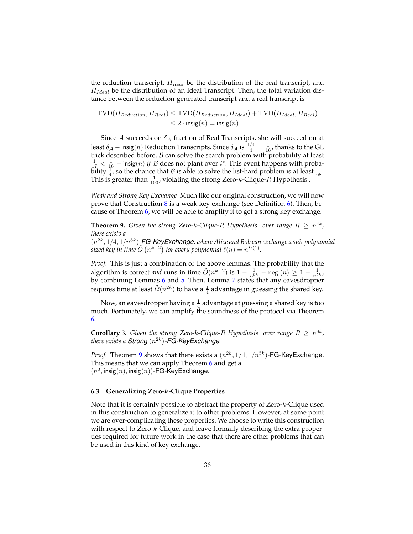the reduction transcript,  $\Pi_{Real}$  be the distribution of the real transcript, and  $\Pi_{Ideal}$  be the distribution of an Ideal Transcript. Then, the total variation distance between the reduction-generated transcript and a real transcript is

$$
\text{TVD}(T_{Reduction}, T_{Real}) \le \text{TVD}(T_{Reduction}, T_{Ideal}) + \text{TVD}(T_{Ideal}, T_{Real})
$$
  

$$
\le 2 \cdot \text{insig}(n) = \text{insig}(n).
$$

Since A succeeds on  $\delta_A$ -fraction of Real Transcripts, she will succeed on at least  $\delta_{\cal A}$  – insig $(n)$  Reduction Transcripts. Since  $\delta_{\cal A}$  is  $\frac{1/4}{4}=\frac{1}{16}$ , thanks to the GL trick described before,  $\beta$  can solve the search problem with probability at least  $\frac{1}{17} < \frac{1}{16}$  – insig(*n*) *if B* does not plant over *i*<sup>\*</sup>. This event happens with probability  $\frac{1}{4}$ , so the chance that *B* is able to solve the list-hard problem is at least  $\frac{1}{68}$ . This is greater than  $\frac{1}{100}$ , violating the strong Zero-k-Clique-R Hypothesis.

*Weak and Strong Key Exchange* Much like our original construction, we will now prove that Construction  $8$  is a weak key exchange (see Definition  $6$ ). Then, because of Theorem [6,](#page-26-0) we will be able to amplify it to get a strong key exchange.

<span id="page-35-0"></span>**Theorem 9.** Given the strong Zero-k-Clique-R Hypothesis over range  $R \ge n^{4k}$ , *there exists a*

 $(n^{2k}, 1/4, 1/n^{5k})$ -**FG-KeyExchange**, where Alice and Bob can exchange a sub-polynomialsized key in time  $\tilde{O}(n^{k+2})$  for every polynomial  $\ell(n) = n^{\Omega(1)}$ .

*Proof.* This is just a combination of the above lemmas. The probability that the algorithm is correct *and* runs in time  $\tilde{O}(n^{k+2})$  is  $1 - \frac{1}{n^{6k}} - \text{negl}(n) \ge 1 - \frac{1}{n^{5k}}$ , by combining Lemmas [6](#page-31-0) and [5.](#page-30-0) Then, Lemma [7](#page-33-0) states that any eavesdropper requires time at least  $\tilde{\Omega}(n^{2k})$  to have a  $\frac{1}{4}$  advantage in guessing the shared key.

Now, an eavesdropper having a  $\frac{1}{4}$  advantage at guessing a shared key is too much. Fortunately, we can amplify the soundness of the protocol via Theorem [6.](#page-26-0)

**Corollary 3.** Given the strong Zero-k-Clique-R Hypothesis over range  $R \ge n^{8k}$ , *there exists a Strong* (n 2k )*-FG-KeyExchange.*

*Proof.* Theorem [9](#page-35-0) shows that there exists a  $(n^{2k},1/4,1/n^{5k})$ -FG-KeyExchange. This means that we can apply Theorem [6](#page-26-0) and get a  $(n^2, \text{insig}(n), \text{insig}(n))$ -FG-KeyExchange.

#### **6.3 Generalizing Zero-**k**-Clique Properties**

Note that it is certainly possible to abstract the property of Zero-k-Clique used in this construction to generalize it to other problems. However, at some point we are over-complicating these properties. We choose to write this construction with respect to Zero-k-Clique, and leave formally describing the extra properties required for future work in the case that there are other problems that can be used in this kind of key exchange.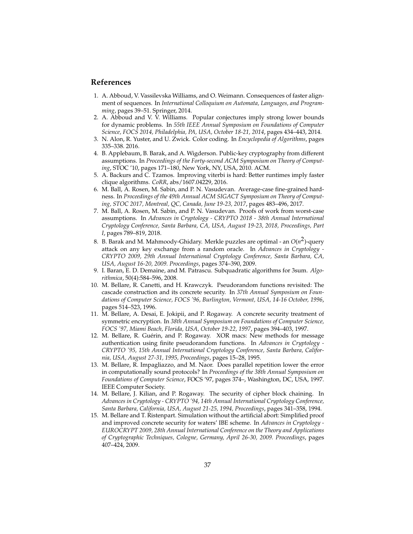# **References**

- <span id="page-36-11"></span>1. A. Abboud, V. Vassilevska Williams, and O. Weimann. Consequences of faster alignment of sequences. In *International Colloquium on Automata, Languages, and Programming*, pages 39–51. Springer, 2014.
- <span id="page-36-9"></span>2. A. Abboud and V. V. Williams. Popular conjectures imply strong lower bounds for dynamic problems. In *55th IEEE Annual Symposium on Foundations of Computer Science, FOCS 2014, Philadelphia, PA, USA, October 18-21, 2014*, pages 434–443, 2014.
- <span id="page-36-12"></span>3. N. Alon, R. Yuster, and U. Zwick. Color coding. In *Encyclopedia of Algorithms*, pages 335–338. 2016.
- <span id="page-36-7"></span>4. B. Applebaum, B. Barak, and A. Wigderson. Public-key cryptography from different assumptions. In *Proceedings of the Forty-second ACM Symposium on Theory of Computing*, STOC '10, pages 171–180, New York, NY, USA, 2010. ACM.
- <span id="page-36-10"></span>5. A. Backurs and C. Tzamos. Improving viterbi is hard: Better runtimes imply faster clique algorithms. *CoRR*, abs/1607.04229, 2016.
- <span id="page-36-0"></span>6. M. Ball, A. Rosen, M. Sabin, and P. N. Vasudevan. Average-case fine-grained hardness. In *Proceedings of the 49th Annual ACM SIGACT Symposium on Theory of Computing, STOC 2017, Montreal, QC, Canada, June 19-23, 2017*, pages 483–496, 2017.
- <span id="page-36-1"></span>7. M. Ball, A. Rosen, M. Sabin, and P. N. Vasudevan. Proofs of work from worst-case assumptions. In *Advances in Cryptology - CRYPTO 2018 - 38th Annual International Cryptology Conference, Santa Barbara, CA, USA, August 19-23, 2018, Proceedings, Part I*, pages 789–819, 2018.
- <span id="page-36-8"></span>8. B. Barak and M. Mahmoody-Ghidary. Merkle puzzles are optimal - an *O*(*n* 2 )-query attack on any key exchange from a random oracle. In *Advances in Cryptology - CRYPTO 2009, 29th Annual International Cryptology Conference, Santa Barbara, CA, USA, August 16-20, 2009. Proceedings*, pages 374–390, 2009.
- <span id="page-36-13"></span>9. I. Baran, E. D. Demaine, and M. Patrascu. Subquadratic algorithms for 3sum. *Algorithmica*, 50(4):584–596, 2008.
- <span id="page-36-4"></span>10. M. Bellare, R. Canetti, and H. Krawczyk. Pseudorandom functions revisited: The cascade construction and its concrete security. In *37th Annual Symposium on Foundations of Computer Science, FOCS '96, Burlington, Vermont, USA, 14-16 October, 1996*, pages 514–523, 1996.
- <span id="page-36-5"></span>11. M. Bellare, A. Desai, E. Jokipii, and P. Rogaway. A concrete security treatment of symmetric encryption. In *38th Annual Symposium on Foundations of Computer Science, FOCS '97, Miami Beach, Florida, USA, October 19-22, 1997*, pages 394–403, 1997.
- <span id="page-36-3"></span>12. M. Bellare, R. Guérin, and P. Rogaway. XOR macs: New methods for message authentication using finite pseudorandom functions. In *Advances in Cryptology - CRYPTO '95, 15th Annual International Cryptology Conference, Santa Barbara, California, USA, August 27-31, 1995, Proceedings*, pages 15–28, 1995.
- <span id="page-36-14"></span>13. M. Bellare, R. Impagliazzo, and M. Naor. Does parallel repetition lower the error in computationally sound protocols? In *Proceedings of the 38th Annual Symposium on Foundations of Computer Science*, FOCS '97, pages 374–, Washington, DC, USA, 1997. IEEE Computer Society.
- <span id="page-36-2"></span>14. M. Bellare, J. Kilian, and P. Rogaway. The security of cipher block chaining. In *Advances in Cryptology - CRYPTO '94, 14th Annual International Cryptology Conference, Santa Barbara, California, USA, August 21-25, 1994, Proceedings*, pages 341–358, 1994.
- <span id="page-36-6"></span>15. M. Bellare and T. Ristenpart. Simulation without the artificial abort: Simplified proof and improved concrete security for waters' IBE scheme. In *Advances in Cryptology - EUROCRYPT 2009, 28th Annual International Conference on the Theory and Applications of Cryptographic Techniques, Cologne, Germany, April 26-30, 2009. Proceedings*, pages 407–424, 2009.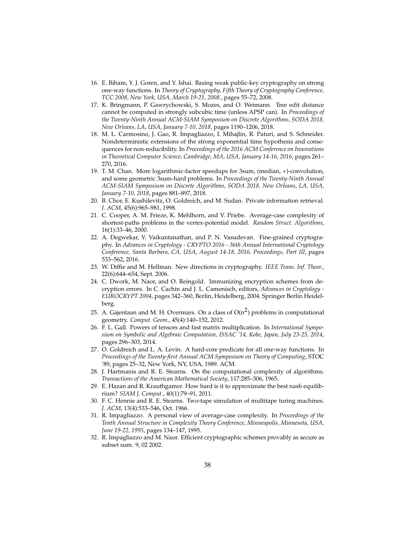- <span id="page-37-8"></span>16. E. Biham, Y. J. Goren, and Y. Ishai. Basing weak public-key cryptography on strong one-way functions. In *Theory of Cryptography, Fifth Theory of Cryptography Conference, TCC 2008, New York, USA, March 19-21, 2008.*, pages 55–72, 2008.
- <span id="page-37-11"></span>17. K. Bringmann, P. Gawrychowski, S. Mozes, and O. Weimann. Tree edit distance cannot be computed in strongly subcubic time (unless APSP can). In *Proceedings of the Twenty-Ninth Annual ACM-SIAM Symposium on Discrete Algorithms, SODA 2018, New Orleans, LA, USA, January 7-10, 2018*, pages 1190–1206, 2018.
- <span id="page-37-7"></span>18. M. L. Carmosino, J. Gao, R. Impagliazzo, I. Mihajlin, R. Paturi, and S. Schneider. Nondeterministic extensions of the strong exponential time hypothesis and consequences for non-reducibility. In *Proceedings of the 2016 ACM Conference on Innovations in Theoretical Computer Science, Cambridge, MA, USA, January 14-16, 2016*, pages 261– 270, 2016.
- <span id="page-37-13"></span>19. T. M. Chan. More logarithmic-factor speedups for 3sum, (median, +)-convolution, and some geometric 3sum-hard problems. In *Proceedings of the Twenty-Ninth Annual ACM-SIAM Symposium on Discrete Algorithms, SODA 2018, New Orleans, LA, USA, January 7-10, 2018*, pages 881–897, 2018.
- <span id="page-37-0"></span>20. B. Chor, E. Kushilevitz, O. Goldreich, and M. Sudan. Private information retrieval. *J. ACM*, 45(6):965–981, 1998.
- <span id="page-37-14"></span>21. C. Cooper, A. M. Frieze, K. Mehlhorn, and V. Priebe. Average-case complexity of shortest-paths problems in the vertex-potential model. *Random Struct. Algorithms*, 16(1):33–46, 2000.
- <span id="page-37-9"></span>22. A. Degwekar, V. Vaikuntanathan, and P. N. Vasudevan. Fine-grained cryptography. In *Advances in Cryptology - CRYPTO 2016 - 36th Annual International Cryptology Conference, Santa Barbara, CA, USA, August 14-18, 2016, Proceedings, Part III*, pages 533–562, 2016.
- <span id="page-37-4"></span>23. W. Diffie and M. Hellman. New directions in cryptography. *IEEE Trans. Inf. Theor.*, 22(6):644–654, Sept. 2006.
- <span id="page-37-16"></span>24. C. Dwork, M. Naor, and O. Reingold. Immunizing encryption schemes from decryption errors. In C. Cachin and J. L. Camenisch, editors, *Advances in Cryptology - EUROCRYPT 2004*, pages 342–360, Berlin, Heidelberg, 2004. Springer Berlin Heidelberg.
- <span id="page-37-12"></span>25. A. Gajentaan and M. H. Overmars. On a class of  $O(n^2)$  problems in computational geometry. *Comput. Geom.*, 45(4):140–152, 2012.
- <span id="page-37-5"></span>26. F. L. Gall. Powers of tensors and fast matrix multiplication. In *International Symposium on Symbolic and Algebraic Computation, ISSAC '14, Kobe, Japan, July 23-25, 2014*, pages 296–303, 2014.
- <span id="page-37-6"></span>27. O. Goldreich and L. A. Levin. A hard-core predicate for all one-way functions. In *Proceedings of the Twenty-first Annual ACM Symposium on Theory of Computing*, STOC '89, pages 25–32, New York, NY, USA, 1989. ACM.
- <span id="page-37-2"></span>28. J. Hartmanis and R. E. Stearns. On the computational complexity of algorithms. *Transactions of the American Mathematical Society*, 117:285–306, 1965.
- <span id="page-37-15"></span>29. E. Hazan and R. Krauthgamer. How hard is it to approximate the best nash equilibrium? *SIAM J. Comput.*, 40(1):79–91, 2011.
- <span id="page-37-3"></span>30. F. C. Hennie and R. E. Stearns. Two-tape simulation of multitape turing machines. *J. ACM*, 13(4):533–546, Oct. 1966.
- <span id="page-37-1"></span>31. R. Impagliazzo. A personal view of average-case complexity. In *Proceedings of the Tenth Annual Structure in Complexity Theory Conference, Minneapolis, Minnesota, USA, June 19-22, 1995*, pages 134–147, 1995.
- <span id="page-37-10"></span>32. R. Impagliazzo and M. Naor. Efficient cryptographic schemes provably as secure as subset sum. 9, 02 2002.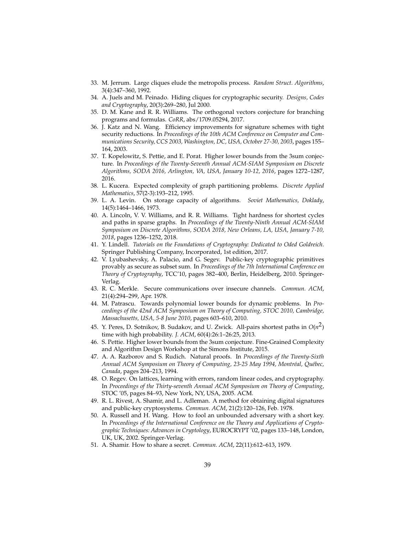- <span id="page-38-17"></span>33. M. Jerrum. Large cliques elude the metropolis process. *Random Struct. Algorithms*, 3(4):347–360, 1992.
- <span id="page-38-8"></span>34. A. Juels and M. Peinado. Hiding cliques for cryptographic security. *Designs, Codes and Cryptography*, 20(3):269–280, Jul 2000.
- <span id="page-38-16"></span>35. D. M. Kane and R. R. Williams. The orthogonal vectors conjecture for branching programs and formulas. *CoRR*, abs/1709.05294, 2017.
- <span id="page-38-6"></span>36. J. Katz and N. Wang. Efficiency improvements for signature schemes with tight security reductions. In *Proceedings of the 10th ACM Conference on Computer and Communications Security, CCS 2003, Washington, DC, USA, October 27-30, 2003*, pages 155– 164, 2003.
- <span id="page-38-14"></span>37. T. Kopelowitz, S. Pettie, and E. Porat. Higher lower bounds from the 3sum conjecture. In *Proceedings of the Twenty-Seventh Annual ACM-SIAM Symposium on Discrete Algorithms, SODA 2016, Arlington, VA, USA, January 10-12, 2016*, pages 1272–1287, 2016.
- <span id="page-38-18"></span>38. L. Kucera. Expected complexity of graph partitioning problems. *Discrete Applied Mathematics*, 57(2-3):193–212, 1995.
- <span id="page-38-3"></span>39. L. A. Levin. On storage capacity of algorithms. *Soviet Mathematics, Doklady*, 14(5):1464–1466, 1973.
- <span id="page-38-13"></span>40. A. Lincoln, V. V. Williams, and R. R. Williams. Tight hardness for shortest cycles and paths in sparse graphs. In *Proceedings of the Twenty-Ninth Annual ACM-SIAM Symposium on Discrete Algorithms, SODA 2018, New Orleans, LA, USA, January 7-10, 2018*, pages 1236–1252, 2018.
- <span id="page-38-7"></span>41. Y. Lindell. *Tutorials on the Foundations of Cryptography: Dedicated to Oded Goldreich*. Springer Publishing Company, Incorporated, 1st edition, 2017.
- <span id="page-38-9"></span>42. V. Lyubashevsky, A. Palacio, and G. Segev. Public-key cryptographic primitives provably as secure as subset sum. In *Proceedings of the 7th International Conference on Theory of Cryptography*, TCC'10, pages 382–400, Berlin, Heidelberg, 2010. Springer-Verlag.
- <span id="page-38-5"></span>43. R. C. Merkle. Secure communications over insecure channels. *Commun. ACM*, 21(4):294–299, Apr. 1978.
- <span id="page-38-12"></span>44. M. Patrascu. Towards polynomial lower bounds for dynamic problems. In *Proceedings of the 42nd ACM Symposium on Theory of Computing, STOC 2010, Cambridge, Massachusetts, USA, 5-8 June 2010*, pages 603–610, 2010.
- <span id="page-38-15"></span>45. Y. Peres, D. Sotnikov, B. Sudakov, and U. Zwick. All-pairs shortest paths in *O*(*n* 2 ) time with high probability. *J. ACM*, 60(4):26:1–26:25, 2013.
- <span id="page-38-11"></span>46. S. Pettie. Higher lower bounds from the 3sum conjecture. Fine-Grained Complexity and Algorithm Design Workshop at the Simons Institute, 2015.
- <span id="page-38-2"></span>47. A. A. Razborov and S. Rudich. Natural proofs. In *Proceedings of the Twenty-Sixth Annual ACM Symposium on Theory of Computing, 23-25 May 1994, Montr´eal, Qu´ebec, Canada*, pages 204–213, 1994.
- <span id="page-38-10"></span>48. O. Regev. On lattices, learning with errors, random linear codes, and cryptography. In *Proceedings of the Thirty-seventh Annual ACM Symposium on Theory of Computing*, STOC '05, pages 84–93, New York, NY, USA, 2005. ACM.
- <span id="page-38-4"></span>49. R. L. Rivest, A. Shamir, and L. Adleman. A method for obtaining digital signatures and public-key cryptosystems. *Commun. ACM*, 21(2):120–126, Feb. 1978.
- <span id="page-38-1"></span>50. A. Russell and H. Wang. How to fool an unbounded adversary with a short key. In *Proceedings of the International Conference on the Theory and Applications of Cryptographic Techniques: Advances in Cryptology*, EUROCRYPT '02, pages 133–148, London, UK, UK, 2002. Springer-Verlag.
- <span id="page-38-0"></span>51. A. Shamir. How to share a secret. *Commun. ACM*, 22(11):612–613, 1979.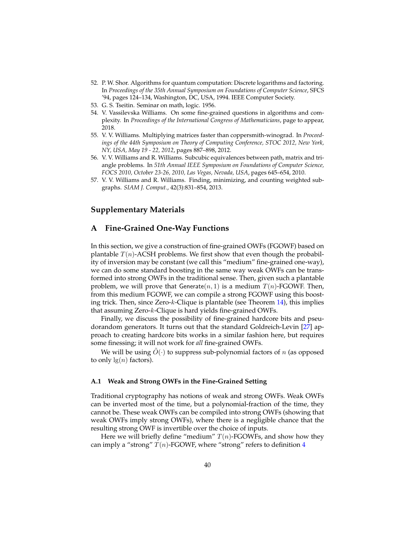- <span id="page-39-1"></span>52. P. W. Shor. Algorithms for quantum computation: Discrete logarithms and factoring. In *Proceedings of the 35th Annual Symposium on Foundations of Computer Science*, SFCS '94, pages 124–134, Washington, DC, USA, 1994. IEEE Computer Society.
- <span id="page-39-0"></span>53. G. S. Tseitin. Seminar on math, logic. 1956.
- <span id="page-39-3"></span>54. V. Vassilevska Williams. On some fine-grained questions in algorithms and complexity. In *Proceedings of the International Congress of Mathematicians*, page to appear, 2018.
- <span id="page-39-2"></span>55. V. V. Williams. Multiplying matrices faster than coppersmith-winograd. In *Proceedings of the 44th Symposium on Theory of Computing Conference, STOC 2012, New York, NY, USA, May 19 - 22, 2012*, pages 887–898, 2012.
- <span id="page-39-6"></span>56. V. V. Williams and R. Williams. Subcubic equivalences between path, matrix and triangle problems. In *51th Annual IEEE Symposium on Foundations of Computer Science, FOCS 2010, October 23-26, 2010, Las Vegas, Nevada, USA*, pages 645–654, 2010.
- <span id="page-39-4"></span>57. V. V. Williams and R. Williams. Finding, minimizing, and counting weighted subgraphs. *SIAM J. Comput.*, 42(3):831–854, 2013.

# **Supplementary Materials**

# <span id="page-39-5"></span>**A Fine-Grained One-Way Functions**

In this section, we give a construction of fine-grained OWFs (FGOWF) based on plantable  $T(n)$ -ACSH problems. We first show that even though the probability of inversion may be constant (we call this "medium" fine-grained one-way), we can do some standard boosting in the same way weak OWFs can be transformed into strong OWFs in the traditional sense. Then, given such a plantable problem, we will prove that Generate $(n, 1)$  is a medium  $T(n)$ -FGOWF. Then, from this medium FGOWF, we can compile a strong FGOWF using this boosting trick. Then, since Zero-k-Clique is plantable (see Theorem [14\)](#page-51-0), this implies that assuming Zero-k-Clique is hard yields fine-grained OWFs.

Finally, we discuss the possibility of fine-grained hardcore bits and pseudorandom generators. It turns out that the standard Goldreich-Levin [\[27\]](#page-37-6) approach to creating hardcore bits works in a similar fashion here, but requires some finessing; it will not work for *all* fine-grained OWFs.

We will be using  $O(\cdot)$  to suppress sub-polynomial factors of n (as opposed to only  $\lg(n)$  factors).

## **A.1 Weak and Strong OWFs in the Fine-Grained Setting**

Traditional cryptography has notions of weak and strong OWFs. Weak OWFs can be inverted most of the time, but a polynomial-fraction of the time, they cannot be. These weak OWFs can be compiled into strong OWFs (showing that weak OWFs imply strong OWFs), where there is a negligible chance that the resulting strong OWF is invertible over the choice of inputs.

<span id="page-39-7"></span>Here we will briefly define "medium"  $T(n)$ -FGOWFs, and show how they can imply a "strong"  $T(n)$ -FGOWF, where "strong" refers to definition [4](#page-13-0)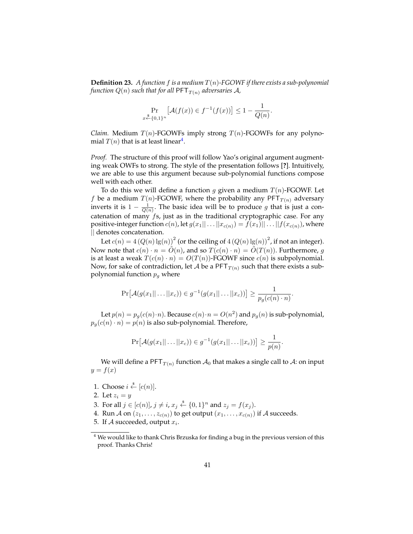**Definition 23.** *A function* f *is a medium* T(n)*-FGOWF if there exists a sub-polynomial function*  $Q(n)$  *such that for all*  $\text{PFT}_{T(n)}$  *adversaries* A,

$$
\Pr_{x \stackrel{\$}{\leftarrow} \{0,1\}^n} \left[ \mathcal{A}(f(x)) \in f^{-1}(f(x)) \right] \le 1 - \frac{1}{Q(n)}.
$$

*Claim.* Medium  $T(n)$ -FGOWFs imply strong  $T(n)$ -FGOWFs for any polynomial  $T(n)$  that is at least linear<sup>[4](#page-40-0)</sup>.

*Proof.* The structure of this proof will follow Yao's original argument augmenting weak OWFs to strong. The style of the presentation follows [**?**]. Intuitively, we are able to use this argument because sub-polynomial functions compose well with each other.

To do this we will define a function g given a medium  $T(n)$ -FGOWF. Let f be a medium  $T(n)$ -FGOWF, where the probability any PFT $_{T(n)}$  adversary inverts it is  $1 - \frac{1}{Q(n)}$ . The basic idea will be to produce g that is just a concatenation of many  $fs$ , just as in the traditional cryptographic case. For any positive-integer function  $c(n)$ , let  $g(x_1|| \dots ||x_{c(n)}) = f(x_1)|| \dots ||f(x_{c(n)})$ , where || denotes concatenation.

Let  $c(n) = 4 (Q(n) \lg(n))^2$  (or the ceiling of  $4 (Q(n) \lg(n))^2$ , if not an integer). Now note that  $c(n) \cdot n = \tilde{O}(n)$ , and so  $T(c(n) \cdot n) = \tilde{O}(T(n))$ . Furthermore, g is at least a weak  $T(c(n) \cdot n) = O(T(n))$ -FGOWF since  $c(n)$  is subpolynomial. Now, for sake of contradiction, let A be a  $\text{PFT}_{T(n)}$  such that there exists a subpolynomial function  $p<sub>q</sub>$  where

$$
\Pr[\mathcal{A}(g(x_1||\ldots||x_c)) \in g^{-1}(g(x_1||\ldots||x_c))] \geq \frac{1}{p_g(c(n)\cdot n)}.
$$

Let  $p(n) = p_g(c(n) \cdot n)$ . Because  $c(n) \cdot n = O(n^2)$  and  $p_g(n)$  is sub-polynomial,  $p_q(c(n) \cdot n) = p(n)$  is also sub-polynomial. Therefore,

$$
\Pr[\mathcal{A}(g(x_1||\ldots||x_c)) \in g^{-1}(g(x_1||\ldots||x_c))] \geq \frac{1}{p(n)}.
$$

We will define a PFT $_{T(n)}$  function  $\mathcal{A}_0$  that makes a single call to  $\mathcal{A}$ : on input  $y = f(x)$ 

- 1. Choose  $i \stackrel{\$}{\leftarrow} [c(n)]$ .
- 2. Let  $z_i = y$
- 3. For all  $j \in [c(n)]$ ,  $j \neq i$ ,  $x_j \stackrel{\$}{\leftarrow} \{0,1\}^n$  and  $z_j = f(x_j)$ .
- 4. Run A on  $(z_1, \ldots, z_{c(n)})$  to get output  $(x_1, \ldots, x_{c(n)})$  if A succeeds.
- 5. If  $\mathcal A$  succeeded, output  $x_i$ .

<span id="page-40-0"></span> $4$  We would like to thank Chris Brzuska for finding a bug in the previous version of this proof. Thanks Chris!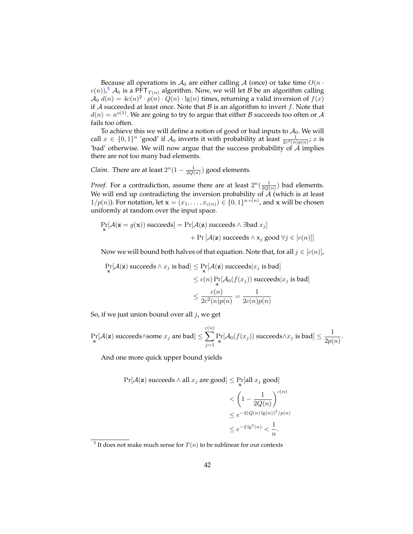Because all operations in  $A_0$  are either calling A (once) or take time  $O(n \cdot n)$  $c(n)$ ), $^5$  $^5$   $\mathcal{A}_0$  is a <code>PFT $_{T(n)}$ </code> algorithm. Now, we will let  $\mathcal B$  be an algorithm calling  $\mathcal{A}_0$   $d(n) = 4c(n)^2 \cdot p(n) \cdot Q(n) \cdot \lg(n)$  times, returning a valid inversion of  $f(x)$ if  $A$  succeeded at least once. Note that  $B$  is an algorithm to invert  $f$ . Note that  $d(n) = n^{o(1)}$ . We are going to try to argue that either  $\mathcal B$  succeeds too often or  $\mathcal A$ fails too often.

To achieve this we will define a notion of good or bad inputs to  $A_0$ . We will call  $x \in \{0,1\}^n$  'good' if  $\mathcal{A}_0$  inverts it with probability at least  $\frac{1}{2c^2(n)p(n)}$ ; x is 'bad' otherwise. We will now argue that the success probability of  $\hat{A}$  implies there are not too many bad elements.

*Claim.* There are at least  $2^n(1-\frac{1}{2Q(n)})$  good elements.

*Proof.* For a contradiction, assume there are at least  $2^n(\frac{1}{2Q(n)})$  bad elements. We will end up contradicting the inversion probability of  $\hat{\mathcal{A}}$  (which is at least  $1/p(n)$ ). For notation, let  $\mathbf{x} = (x_1, \ldots, x_{c(n)}) \in \{0,1\}^{n \cdot c(n)}$ , and x will be chosen uniformly at random over the input space.

$$
\Pr_{\mathbf{x}}[\mathcal{A}(\mathbf{z} = g(\mathbf{x})) \text{ succeeds}] = \Pr[\mathcal{A}(\mathbf{z}) \text{ succeeds} \land \exists \text{bad } x_j]
$$

$$
+ \Pr[\mathcal{A}(\mathbf{z}) \text{ succeeds} \land x_j \text{ good } \forall j \in [c(n)]]
$$

Now we will bound both halves of that equation. Note that, for all  $j \in [c(n)]$ ,

$$
\Pr_{\mathbf{x}}[\mathcal{A}(\mathbf{z}) \text{ succeeds} \land x_j \text{ is bad}] \le \Pr_{\mathbf{x}}[\mathcal{A}(\mathbf{z}) \text{ succeeds}|x_j \text{ is bad}]
$$
  

$$
\le c(n) \Pr_{\mathbf{x}}[\mathcal{A}_0(f(x_j)) \text{ succeeds}|x_j \text{ is bad}]
$$
  

$$
\le \frac{c(n)}{2c^2(n)p(n)} = \frac{1}{2c(n)p(n)}
$$

So, if we just union bound over all  $j$ , we get

$$
\Pr_{\mathbf{x}}[\mathcal{A}(\mathbf{z}) \text{ succeeds} \land \text{some } x_j \text{ are bad}] \leq \sum_{j=1}^{c(n)} \Pr_{\mathbf{x}}[\mathcal{A}_0(f(x_j)) \text{ succeeds} \land x_j \text{ is bad}] \leq \frac{1}{2p(n)}.
$$

And one more quick upper bound yields

$$
\Pr[\mathcal{A}(\mathbf{z}) \text{ succeeds} \land \text{all } x_j \text{ are good}] \le \Pr[\text{all } x_j \text{ good}]
$$

$$
< \left(1 - \frac{1}{2Q(n)}\right)^{c(n)}
$$

$$
\le e^{-2(Q(n)\lg(n))^2/p(n)}
$$

$$
\le e^{-2\lg^2(n)} < \frac{1}{n}.
$$

<span id="page-41-0"></span> $^5$  It does not make much sense for  $T(n)$  to be sublinear for our contexts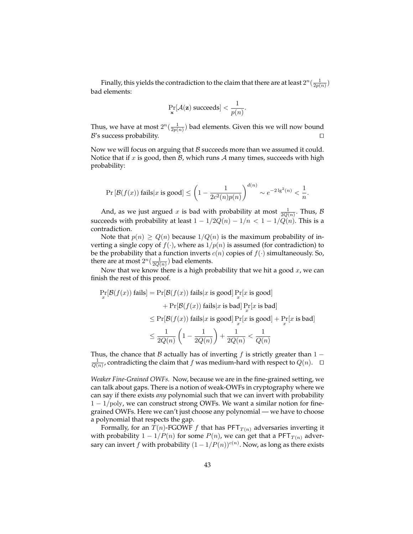Finally, this yields the contradiction to the claim that there are at least  $2^n(\frac{1}{2p(n)})$ bad elements:

$$
\Pr_{\mathbf{x}}[\mathcal{A}(\mathbf{z}) \text{ succeeds}] < \frac{1}{p(n)}.
$$

Thus, we have at most  $2^n(\frac{1}{2p(n)})$  bad elements. Given this we will now bound  $\mathcal{B}'$ s success probability.

Now we will focus on arguing that  $\beta$  succeeds more than we assumed it could. Notice that if x is good, then  $B$ , which runs A many times, succeeds with high probability:

$$
\Pr\left[\mathcal{B}(f(x)) \text{ fails}|x \text{ is good}\right] \le \left(1 - \frac{1}{2c^2(n)p(n)}\right)^{d(n)} \sim e^{-2\lg^2(n)} < \frac{1}{n}.
$$

And, as we just argued  $x$  is bad with probability at most  $\frac{1}{2Q(n)}$ . Thus,  ${\cal B}$ succeeds with probability at least  $1 - 1/2Q(n) - 1/n < 1 - 1/Q(n)$ . This is a contradiction.

Note that  $p(n) \ge Q(n)$  because  $1/Q(n)$  is the maximum probability of inverting a single copy of  $f(.)$ , where as  $1/p(n)$  is assumed (for contradiction) to be the probability that a function inverts  $c(n)$  copies of  $f(\cdot)$  simultaneously. So, there are at most  $2^n(\frac{1}{2Q(n)})$  bad elements.

Now that we know there is a high probability that we hit a good  $x$ , we can finish the rest of this proof.

$$
\Pr_x[\mathcal{B}(f(x)) \text{ fails}] = \Pr[\mathcal{B}(f(x)) \text{ fails}|x \text{ is good}] \Pr_x[x \text{ is good}]
$$

$$
+ \Pr[\mathcal{B}(f(x)) \text{ fails}|x \text{ is bad}] \Pr_x[x \text{ is bad}]
$$

$$
\leq \Pr[\mathcal{B}(f(x)) \text{ fails}|x \text{ is good}] \Pr_x[x \text{ is good}] + \Pr_x[x \text{ is bad}]
$$

$$
\leq \frac{1}{2Q(n)} \left(1 - \frac{1}{2Q(n)}\right) + \frac{1}{2Q(n)} < \frac{1}{Q(n)}
$$

Thus, the chance that B actually has of inverting f is strictly greater than 1  $\frac{1}{Q(n)}$ , contradicting the claim that  $f$  was medium-hard with respect to  $Q(n)$ .  $\Box$ 

*Weaker Fine-Grained OWFs.* Now, because we are in the fine-grained setting, we can talk about gaps. There is a notion of weak-OWFs in cryptography where we can say if there exists *any* polynomial such that we can invert with probability  $1 - 1$ /poly, we can construct strong OWFs. We want a similar notion for finegrained OWFs. Here we can't just choose any polynomial — we have to choose a polynomial that respects the gap.

Formally, for an  $T(n)$ -FGOWF f that has PFT $_{T(n)}$  adversaries inverting it with probability  $1 - 1/P(n)$  for some  $P(n)$ , we can get that a PFT<sub>T(n)</sub> adversary can invert  $f$  with probability  $(1-1/P(n))^{c(n)}.$  Now, as long as there exists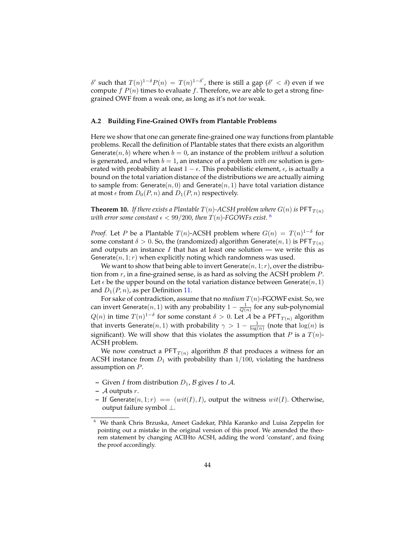δ' such that  $T(n)^{1-δ}P(n) = T(n)^{1-δ'}$ , there is still a gap (δ' < δ) even if we compute  $f P(n)$  times to evaluate  $f$ . Therefore, we are able to get a strong finegrained OWF from a weak one, as long as it's not *too* weak.

#### <span id="page-43-1"></span>**A.2 Building Fine-Grained OWFs from Plantable Problems**

Here we show that one can generate fine-grained one way functions from plantable problems. Recall the definition of Plantable states that there exists an algorithm Generate( $n, b$ ) where when  $b = 0$ , an instance of the problem *without* a solution is generated, and when  $b = 1$ , an instance of a problem *with one* solution is generated with probability at least  $1 - \epsilon$ . This probabilistic element,  $\epsilon$ , is actually a bound on the total variation distance of the distributions we are actually aiming to sample from: Generate $(n, 0)$  and Generate $(n, 1)$  have total variation distance at most  $\epsilon$  from  $D_0(P, n)$  and  $D_1(P, n)$  respectively.

<span id="page-43-0"></span>**Theorem 10.** If there exists a Plantable  $T(n)$ -ACSH problem where  $G(n)$  is  $PFT_{T(n)}$ *with error some constant*  $\epsilon < 99/200$ , then  $T(n)$ -FGOWFs exist. <sup>[6](#page-43-2)</sup>

*Proof.* Let P be a Plantable  $T(n)$ -ACSH problem where  $G(n) = T(n)^{1-\delta}$  for some constant  $\delta > 0$ . So, the (randomized) algorithm Generate(n, 1) is PFT $_{T(n)}$ and outputs an instance  $I$  that has at least one solution — we write this as Generate( $n, 1; r$ ) when explicitly noting which randomness was used.

We want to show that being able to invert Generate $(n, 1; r)$ , over the distribution from  $r$ , in a fine-grained sense, is as hard as solving the ACSH problem  $P$ . Let  $\epsilon$  be the upper bound on the total variation distance between Generate $(n, 1)$ and  $D_1(P, n)$ , as per Definition [11.](#page-16-0)

For sake of contradiction, assume that no *medium* T(n)-FGOWF exist. So, we can invert Generate $(n,1)$  with any probability  $1-\frac{1}{Q(n)}$  for any sub-polynomial  $Q(n)$  in time  $T(n)^{1-\delta}$  for some constant  $\delta > 0$ . Let A be a PFT<sub>T(n)</sub> algorithm that inverts Generate $(n,1)$  with probability  $\gamma > 1 - \frac{1}{\log(n)}$  (note that  $\log(n)$  is significant). We will show that this violates the assumption that P is a  $T(n)$ -ACSH problem.

We now construct a PFT $_{T(n)}$  algorithm B that produces a witness for an ACSH instance from  $D_1$  with probability than  $1/100$ , violating the hardness assumption on P.

- **–** Given *I* from distribution  $D_1$ ,  $\beta$  gives *I* to  $\mathcal{A}$ .
- **–** A outputs r.
- **–** If Generate $(n, 1; r)$  ==  $(wit(I), I)$ , output the witness  $wit(I)$ . Otherwise, output failure symbol ⊥.

<span id="page-43-2"></span><sup>6</sup> We thank Chris Brzuska, Ameet Gadekar, Pihla Karanko and Luisa Zeppelin for pointing out a mistake in the original version of this proof. We amended the theorem statement by changing ACIHto ACSH, adding the word 'constant', and fixing the proof accordingly.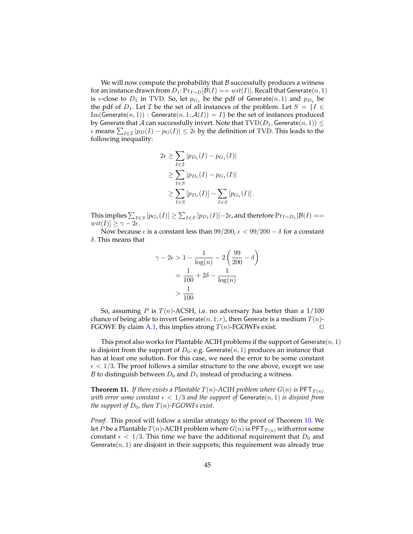We will now compute the probability that  $\beta$  successfully produces a witness for an instance drawn from  $D_1: Pr_{I\sim D}[\mathcal{B}(I) == wit(I)].$  Recall that Generate $(n, 1)$ is  $\epsilon$ -close to  $D_1$  in TVD. So, let  $p_{G_1}$  be the pdf of Generate $(n, 1)$  and  $p_{D_1}$  be the pdf of  $D_1$ . Let  $\mathcal I$  be the set of all instances of the problem. Let  $S = \{I \in$ Im(Generate $(n, 1)$ ) : Generate $(n, 1; \mathcal{A}(I)) = I$ } be the set of instances produced by Generate that A can successfully invert. Note that  $TVD(D_1,$  Generate $(n, 1)) \leq$  $\epsilon$  means  $\sum_{I \in \mathcal{I}} |p_D(I) - p_G(I)| \leq 2\epsilon$  by the definition of TVD. This leads to the following inequality:

$$
2\epsilon \geq \sum_{I \in \mathcal{I}} |p_{D_1}(I) - p_{G_1}(I)|
$$
  
\n
$$
\geq \sum_{I \in S} |p_{D_1}(I) - p_{G_1}(I)|
$$
  
\n
$$
\geq \sum_{I \in S} [p_{D_1}(I)] - \sum_{I \in S} [p_{G_1}(I)].
$$

This implies  $\sum_{I\in S} [p_{G_1}(I)]\geq \sum_{I\in S} [p_{D_1}(I)]-2\epsilon$ , and therefore  $\Pr_{I\sim D_1}[\mathcal{B}(I)=$  $wit(I)| \geq \gamma - 2\epsilon.$ 

Now because  $\epsilon$  is a constant less than 99/200,  $\epsilon < 99/200 - \delta$  for a constant  $\delta$ . This means that

$$
\gamma - 2\epsilon > 1 - \frac{1}{\log(n)} - 2\left(\frac{99}{200} - \delta\right)
$$

$$
= \frac{1}{100} + 2\delta - \frac{1}{\log(n)}
$$

$$
> \frac{1}{100}
$$

So, assuming P is  $T(n)$ -ACSH, i.e. no adversary has better than a  $1/100$ chance of being able to invert Generate $(n, 1; r)$ , then Generate is a medium  $T(n)$ -FGOWF. By claim [A.1,](#page-39-7) this implies strong  $T(n)$ -FGOWFs exist.  $\square$ 

This proof also works for Plantable ACIH problems if the support of Generate $(n, 1)$ is disjoint from the support of  $D_0$ : e.g. Generate $(n, 1)$  produces an instance that has at least one solution. For this case, we need the error to be some constant  $\epsilon$  < 1/3. The proof follows a similar structure to the one above, except we use B to distinguish between  $D_0$  and  $D_1$  instead of producing a witness.

**Theorem 11.** *If there exists a Plantable*  $T(n)$ -ACIH problem where  $G(n)$  is  $PFT_{T(n)}$ *with error some constant*  $\epsilon < 1/3$  *and the support of Generate* $(n, 1)$  *is disjoint from the support of*  $D_0$ , then  $T(n)$ -FGOWFs exist.

*Proof.* This proof will follow a similar strategy to the proof of Theorem [10.](#page-43-0) We let P be a Plantable  $T(n)$ -ACIH problem where  $G(n)$  is PFT $_{T(n)}$  with error some constant  $\epsilon$  < 1/3. This time we have the additional requirement that  $D_0$  and Generate( $n$ , 1) are disjoint in their supports; this requirement was already true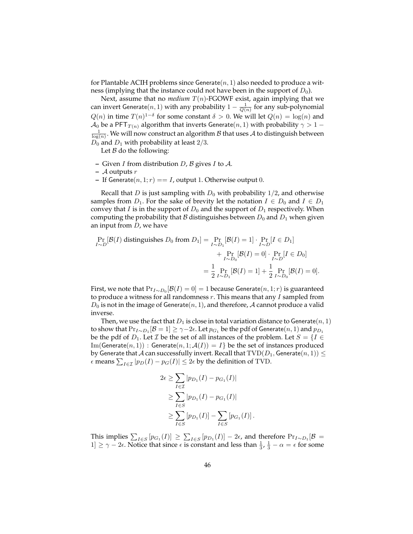for Plantable ACIH problems since Generate( $n, 1$ ) also needed to produce a witness (implying that the instance could not have been in the support of  $D_0$ ).

Next, assume that no *medium*  $T(n)$ -FGOWF exist, again implying that we can invert Generate $(n,1)$  with any probability  $1-\frac{1}{Q(n)}$  for any sub-polynomial  $Q(n)$  in time  $T(n)^{1-\delta}$  for some constant  $\delta > 0$ . We will let  $Q(n) = \log(n)$  and  $\mathcal{A}_0$  be a PFT<sub>T(n)</sub> algorithm that inverts Generate(n, 1) with probability  $\gamma > 1$  –  $\frac{1}{\log(n)}.$  We will now construct an algorithm  ${\cal B}$  that uses  ${\cal A}$  to distinguish between  $D_0$  and  $D_1$  with probability at least  $2/3$ .

Let  $\beta$  do the following:

- **–** Given I from distribution D, B gives I to A.
- **–** A outputs r
- **–** If Generate $(n, 1; r) = I$ , output 1. Otherwise output 0.

Recall that D is just sampling with  $D_0$  with probability 1/2, and otherwise samples from  $D_1$ . For the sake of brevity let the notation  $I \in D_0$  and  $I \in D_1$ convey that I is in the support of  $D_0$  and the support of  $D_1$  respectively. When computing the probability that B distinguishes between  $D_0$  and  $D_1$  when given an input from  $D$ , we have

$$
\Pr_{I \sim D}[\mathcal{B}(I) \text{ distinguishes } D_0 \text{ from } D_1] = \Pr_{I \sim D_1}[\mathcal{B}(I) = 1] \cdot \Pr_{I \sim D} [I \in D_1]
$$

$$
+ \Pr_{I \sim D_0}[\mathcal{B}(I) = 0] \cdot \Pr_{I \sim D} [I \in D_0]
$$

$$
= \frac{1}{2} \Pr_{I \sim D_1}[\mathcal{B}(I) = 1] + \frac{1}{2} \Pr_{I \sim D_0}[\mathcal{B}(I) = 0].
$$

First, we note that  $\Pr_{I \sim D_0}[\mathcal{B}(I) = 0] = 1$  because Generate $(n, 1; r)$  is guaranteed to produce a witness for all randomness  $r$ . This means that any  $I$  sampled from  $D_0$  is not in the image of Generate $(n, 1)$ , and therefore, A cannot produce a valid inverse.

Then, we use the fact that  $D_1$  is close in total variation distance to Generate $(n, 1)$ to show that  $\Pr_{I\sim D_1}[\mathcal{B}=1]\geq \gamma{-}2\epsilon.$  Let  $p_{G_1}$  be the pdf of Generate $(n,1)$  and  $p_{D_1}$ be the pdf of  $D_1$ . Let  $\mathcal I$  be the set of all instances of the problem. Let  $S = \{I \in$ Im(Generate $(n, 1)$ ) : Generate $(n, 1; \mathcal{A}(I)) = I$ } be the set of instances produced by Generate that A can successfully invert. Recall that  $TVD(D_1,$  Generate $(n, 1)) \leq$  $\epsilon$  means  $\sum_{I \in \mathcal{I}} |p_D(I) - p_G(I)| \leq 2\epsilon$  by the definition of TVD.

$$
2\epsilon \geq \sum_{I \in \mathcal{I}} |p_{D_1}(I) - p_{G_1}(I)|
$$
  
\n
$$
\geq \sum_{I \in S} |p_{D_1}(I) - p_{G_1}(I)|
$$
  
\n
$$
\geq \sum_{I \in S} [p_{D_1}(I)] - \sum_{I \in S} [p_{G_1}(I)].
$$

This implies  $\sum_{I \in S} [p_{G_1}(I)] \ge \sum_{I \in S} [p_{D_1}(I)] - 2\epsilon$ , and therefore  $Pr_{I \sim D_1}[\mathcal{B} =$ 1] ≥  $\gamma$  – 2 $\epsilon$ . Notice that since  $\epsilon$  is constant and less than  $\frac{1}{3}$ ,  $\frac{1}{3}$  –  $\alpha = \epsilon$  for some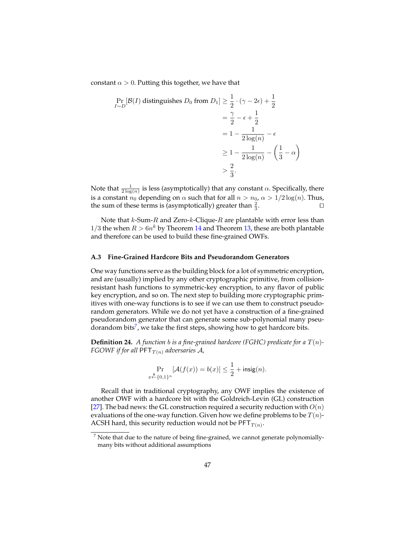constant  $\alpha > 0$ . Putting this together, we have that

$$
\Pr_{I \sim D}[\mathcal{B}(I) \text{ distinguishes } D_0 \text{ from } D_1] \ge \frac{1}{2} \cdot (\gamma - 2\epsilon) + \frac{1}{2}
$$
\n
$$
= \frac{\gamma}{2} - \epsilon + \frac{1}{2}
$$
\n
$$
= 1 - \frac{1}{2 \log(n)} - \epsilon
$$
\n
$$
\ge 1 - \frac{1}{2 \log(n)} - \left(\frac{1}{3} - \alpha\right)
$$
\n
$$
> \frac{2}{3}.
$$

 $\setminus$ 

Note that  $\frac{1}{2 \log(n)}$  is less (asymptotically) that any constant  $\alpha$ . Specifically, there is a constant  $n_0$  depending on  $\alpha$  such that for all  $n > n_0$ ,  $\alpha > 1/2 \log(n)$ . Thus, the sum of these terms is (asymptotically) greater than  $\frac{2}{3}$ . The contract of  $\Box$ 

Note that  $k$ -Sum- $R$  and Zero- $k$ -Clique- $R$  are plantable with error less than 1/3 the when  $R > 6n^k$  by Theorem [14](#page-51-0) and Theorem [13,](#page-49-1) these are both plantable and therefore can be used to build these fine-grained OWFs.

## <span id="page-46-1"></span>**A.3 Fine-Grained Hardcore Bits and Pseudorandom Generators**

One way functions serve as the building block for a lot of symmetric encryption, and are (usually) implied by any other cryptographic primitive, from collisionresistant hash functions to symmetric-key encryption, to any flavor of public key encryption, and so on. The next step to building more cryptographic primitives with one-way functions is to see if we can use them to construct pseudorandom generators. While we do not yet have a construction of a fine-grained pseudorandom generator that can generate some sub-polynomial many pseu-dorandom bits<sup>[7](#page-46-2)</sup>, we take the first steps, showing how to get hardcore bits.

**Definition 24.** *A function* b *is a fine-grained hardcore (FGHC) predicate for a* T(n)*- FGOWF if for all*  $PFT_{T(n)}$  *adversaries* A,

$$
\Pr_{x \stackrel{k}{\leftarrow} \{0,1\}^n} [\mathcal{A}(f(x)) = b(x)] \le \frac{1}{2} + \mathsf{insig}(n).
$$

Recall that in traditional cryptography, any OWF implies the existence of another OWF with a hardcore bit with the Goldreich-Levin (GL) construction [\[27\]](#page-37-6). The bad news: the GL construction required a security reduction with  $O(n)$ evaluations of the one-way function. Given how we define problems to be  $T(n)$ -ACSH hard, this security reduction would not be PFT $_{T(n)}$ .

<span id="page-46-2"></span><span id="page-46-0"></span> $<sup>7</sup>$  Note that due to the nature of being fine-grained, we cannot generate polynomially-</sup> many bits without additional assumptions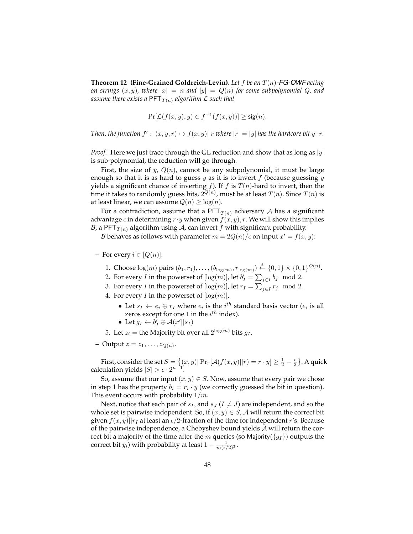**Theorem 12 (Fine-Grained Goldreich-Levin).** *Let* f *be an* T(n)*-FG-OWF acting on strings*  $(x, y)$ *, where*  $|x| = n$  *and*  $|y| = Q(n)$  *for some subpolynomial*  $Q$ *, and assume there exists a* PFT $_{T(n)}$  *algorithm*  $\mathcal L$  *such that* 

$$
\Pr[\mathcal{L}(f(x,y),y) \in f^{-1}(f(x,y))] \ge \text{sig}(n).
$$

*Then, the function*  $f' : (x, y, r) \mapsto f(x, y) || r$  *where*  $|r| = |y|$  *has the hardcore bit*  $y \cdot r$ *.* 

*Proof.* Here we just trace through the GL reduction and show that as long as  $|y|$ is sub-polynomial, the reduction will go through.

First, the size of y,  $Q(n)$ , cannot be any subpolynomial, it must be large enough so that it is as hard to guess  $y$  as it is to invert  $f$  (because guessing  $y$ yields a significant chance of inverting f). If f is  $T(n)$ -hard to invert, then the time it takes to randomly guess bits,  $2^{\overline{Q}(n)}$ , must be at least  $T(n)$ . Since  $T(n)$  is at least linear, we can assume  $Q(n) \geq log(n)$ .

For a contradiction, assume that a  $\text{PFT}_{T(n)}$  adversary A has a significant advantage  $\epsilon$  in determining  $r \cdot y$  when given  $f(x, y)$ ,  $r$ . We will show this implies B, a PFT $_{T(n)}$  algorithm using A, can invert f with significant probability.

*B* behaves as follows with parameter  $m = 2Q(n)/\epsilon$  on input  $x' = f(x, y)$ :

- **–** For every  $i \in [Q(n)]$ :
	- 1. Choose  $log(m)$  pairs  $(b_1, r_1), \ldots, (b_{log(m)}, r_{log(m)}) \stackrel{\$}{\leftarrow} \{0, 1\} \times \{0, 1\}^{Q(n)}$ .
	- 2. For every *I* in the powerset of  $[\log(m)]$ , let  $b'_I = \sum_{j \in I} b_j \mod 2$ .
	- 3. For every *I* in the powerset of  $[\log(m)]$ , let  $r_I = \sum_{j \in I} r_j \mod 2$ .
	- 4. For every *I* in the powerset of  $\lceil \log(m) \rceil$ ,
		- Let  $s_I \leftarrow e_i \oplus r_I$  where  $e_i$  is the  $i^{th}$  standard basis vector  $(e_i$  is all zeros except for one 1 in the  $i^{th}$  index).
		- Let  $g_I \leftarrow b_I^{\prime} \oplus \mathcal{A}(x' || s_I)$
	- 5. Let  $z_i$  = the Majority bit over all  $2^{\log(m)}$  bits  $g_I$ .
- $\blacksquare$  Output  $z = z_1, \ldots, z_{Q(n)}$ .

First, consider the set  $S = \{(x, y) | \Pr_r[\mathcal{A}(f(x, y)||r) = r \cdot y] \ge \frac{1}{2} + \frac{\epsilon}{2}\}$ . A quick calculation yields  $|S| > \epsilon \cdot 2^{n-1}$ .

So, assume that our input  $(x, y) \in S$ . Now, assume that every pair we chose in step 1 has the property  $b_i = r_i \cdot y$  (we correctly guessed the bit in question). This event occurs with probability  $1/m$ .

Next, notice that each pair of  $s_I$ , and  $s_J$  ( $I \neq J$ ) are independent, and so the whole set is pairwise independent. So, if  $(x, y) \in S$ , A will return the correct bit given  $f(x, y)||r_I$  at least an  $\epsilon/2$ -fraction of the time for independent r's. Because of the pairwise independence, a Chebyshev bound yields  $A$  will return the correct bit a majority of the time after the m queries (so Majority( $\{g_I\}$ ) outputs the correct bit  $y_i$ ) with probability at least  $1 - \frac{1}{m(\epsilon/2)^2}$ .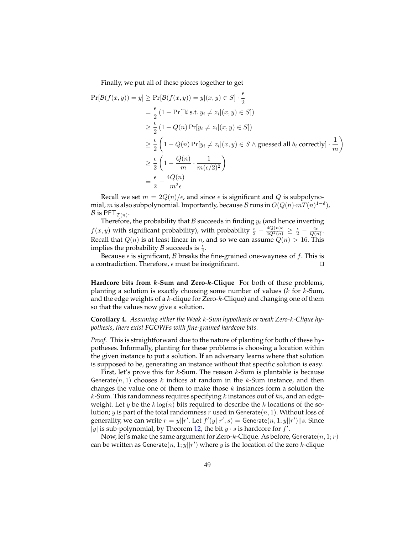Finally, we put all of these pieces together to get

$$
\Pr[\mathcal{B}(f(x,y)) = y] \ge \Pr[\mathcal{B}(f(x,y)) = y | (x,y) \in S] \cdot \frac{\epsilon}{2}
$$
  
\n
$$
= \frac{\epsilon}{2} (1 - \Pr[\exists i \text{ s.t. } y_i \ne z_i | (x,y) \in S])
$$
  
\n
$$
\ge \frac{\epsilon}{2} (1 - Q(n) \Pr[y_i \ne z_i | (x,y) \in S])
$$
  
\n
$$
\ge \frac{\epsilon}{2} \left( 1 - Q(n) \Pr[y_i \ne z_i | (x,y) \in S \land \text{guessed all } b_i \text{ correctly}] \cdot \frac{1}{m} \right)
$$
  
\n
$$
\ge \frac{\epsilon}{2} \left( 1 - \frac{Q(n)}{m} \cdot \frac{1}{m(\epsilon/2)^2} \right)
$$
  
\n
$$
= \frac{\epsilon}{2} - \frac{4Q(n)}{m^2 \epsilon}
$$

Recall we set  $m = 2Q(n)/\epsilon$ , and since  $\epsilon$  is significant and Q is subpolynomial,  $m$  is also subpolynomial. Importantly, because  ${\cal B}$  runs in  $O(Q(n) \cdot mT(n)^{1-\delta})$ ,  $\mathcal B$  is PFT $_{T(n)}$ .

Therefore, the probability that  $\beta$  succeeds in finding  $y_i$  (and hence inverting  $f(x, y)$  with significant probability), with probability  $\frac{\epsilon}{2} - \frac{4Q(n)\epsilon}{4Q^2(n)} \ge \frac{\epsilon}{2} - \frac{4\epsilon}{Q(n)}$ . Recall that  $Q(n)$  is at least linear in *n*, and so we can assume  $Q(n) > 16$ . This implies the probability  $\mathcal B$  succeeds is  $\frac{\epsilon}{4}$ .

Because  $\epsilon$  is significant, B breaks the fine-grained one-wayness of f. This is a contradiction. Therefore,  $\epsilon$  must be insignificant.

**Hardcore bits from** k**-Sum and Zero-**k**-Clique** For both of these problems, planting a solution is exactly choosing some number of values ( $k$  for  $k$ -Sum, and the edge weights of a k-clique for Zero-k-Clique) and changing one of them so that the values now give a solution.

**Corollary 4.** *Assuming either the Weak* k*-Sum hypothesis or weak Zero-*k*-Clique hypothesis, there exist FGOWFs with fine-grained hardcore bits.*

*Proof.* This is straightforward due to the nature of planting for both of these hypotheses. Informally, planting for these problems is choosing a location within the given instance to put a solution. If an adversary learns where that solution is supposed to be, generating an instance without that specific solution is easy.

First, let's prove this for  $k$ -Sum. The reason  $k$ -Sum is plantable is because Generate( $n, 1$ ) chooses k indices at random in the k-Sum instance, and then changes the value one of them to make those  $k$  instances form a solution the k-Sum. This randomness requires specifying k instances out of  $kn$ , and an edgeweight. Let y be the  $k \log(n)$  bits required to describe the k locations of the solution; y is part of the total randomness r used in Generate $(n, 1)$ . Without loss of generality, we can write  $r = y||r'$ . Let  $f'(y||r', s) =$  Generate $(n, 1; y||r')||s$ . Since |y| is sub-polynomial, by Theorem [12,](#page-46-0) the bit  $y \cdot s$  is hardcore for  $f'$ .

Now, let's make the same argument for Zero-k-Clique. As before, Generate $(n, 1; r)$ can be written as Generate $(n,1;y||r')$  where  $y$  is the location of the zero  $k$ -clique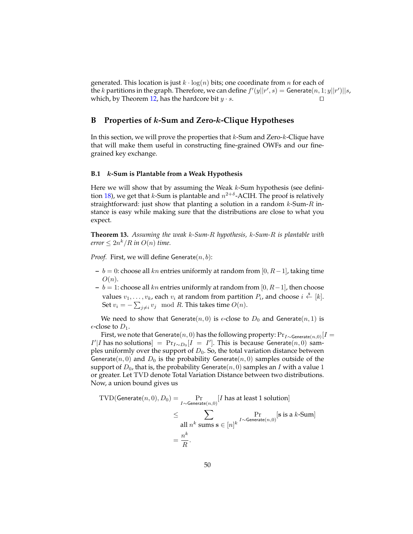generated. This location is just  $k \cdot \log(n)$  bits; one coordinate from n for each of the k partitions in the graph. Therefore, we can define  $f'(y||r',s) =$  Generate $(n,1;y||r')||s$ , which, by Theorem [12,](#page-46-0) has the hardcore bit  $y \cdot s$ .

# <span id="page-49-0"></span>**B Properties of** k**-Sum and Zero-**k**-Clique Hypotheses**

In this section, we will prove the properties that  $k$ -Sum and Zero- $k$ -Clique have that will make them useful in constructing fine-grained OWFs and our finegrained key exchange.

## **B.1** k**-Sum is Plantable from a Weak Hypothesis**

Here we will show that by assuming the Weak k-Sum hypothesis (see defini-tion [18\)](#page-19-0), we get that *k*-Sum is plantable and  $n^{2+\delta}$ -ACIH. The proof is relatively straightforward: just show that planting a solution in a random  $k$ -Sum- $R$  instance is easy while making sure that the distributions are close to what you expect.

<span id="page-49-1"></span>**Theorem 13.** *Assuming the weak* k*-Sum-*R *hypothesis,* k*-Sum-*R *is plantable with*  $error \leq 2n^k/R$  *in*  $O(n)$  *time.* 

*Proof.* First, we will define Generate $(n, b)$ :

- **–** b = 0: choose all kn entries uniformly at random from [0, R−1], taking time  $O(n)$ .
- **–** b = 1: choose all kn entries uniformly at random from [0, R−1], then choose values  $v_1, \ldots, v_k$ , each  $v_i$  at random from partition  $P_i$ , and choose  $i \stackrel{\hspace{0.1em}\mathsf{\scriptscriptstyle\$}}{\leftarrow} [k].$ Set  $v_i = -\sum_{j \neq i} v_j \mod R$ . This takes time  $O(n)$ .

We need to show that Generate $(n, 0)$  is  $\epsilon$ -close to  $D_0$  and Generate $(n, 1)$  is  $\epsilon$ -close to  $D_1$ .

First, we note that Generate(n, 0) has the following property:  $Pr<sub>I</sub> \sim$ Generate(n,0)[ $I$  =  $I'|I$  has no solutions] =  $Pr_{I\sim D_0}[I = I']$ . This is because Generate $(n,0)$  samples uniformly over the support of  $D_0$ . So, the total variation distance between Generate(n, 0) and  $D_0$  is the probability Generate(n, 0) samples outside of the support of  $D_0$ , that is, the probability Generate(n, 0) samples an I with a value 1 or greater. Let TVD denote Total Variation Distance between two distributions. Now, a union bound gives us

$$
\text{TVD}(\text{Generate}(n, 0), D_0) = \Pr_{I \sim \text{Generate}(n, 0)}[I \text{ has at least 1 solution}]
$$
  
\n
$$
\leq \sum_{\text{all } n^k \text{ sums s } \in [n]^k} \Pr_{I \sim \text{Generate}(n, 0)}[\text{s is a } k\text{-Sum}]
$$
  
\n
$$
= \frac{n^k}{R}.
$$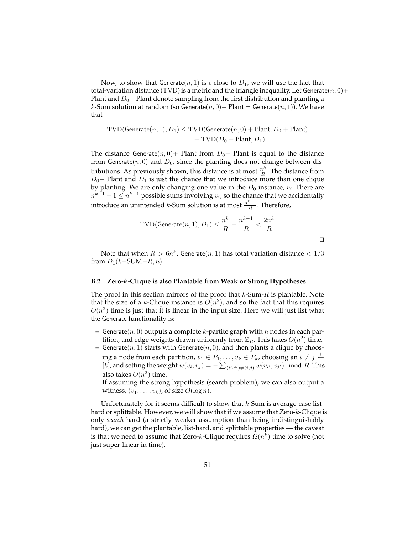Now, to show that Generate(n, 1) is  $\epsilon$ -close to  $D_1$ , we will use the fact that total-variation distance (TVD) is a metric and the triangle inequality. Let Generate $(n, 0)$ + Plant and  $D_0$ + Plant denote sampling from the first distribution and planting a k-Sum solution at random (so Generate $(n, 0)$  + Plant = Generate $(n, 1)$ ). We have that

$$
TVD(Generate(n, 1), D_1) \leq TVD(Generate(n, 0) + Plant, D_0 + Plant) + TVD(D_0 + Plant, D_1).
$$

The distance Generate $(n, 0)$ + Plant from  $D_0$ + Plant is equal to the distance from Generate( $n$ , 0) and  $D_0$ , since the planting does not change between distributions. As previously shown, this distance is at most  $\frac{n^k}{B}$  $\frac{n^{\infty}}{R}$ . The distance from  $D_0$ + Plant and  $D_1$  is just the chance that we introduce more than one clique by planting. We are only changing one value in the  $D_0$  instance,  $v_i$ . There are  $n^{k-1} - 1 \leq n^{k-1}$  possible sums involving  $v_i$ , so the chance that we accidentally introduce an unintended *k*-Sum solution is at most  $\frac{n^{k-1}}{R}$  $\frac{m}{R}$ . Therefore,

$$
\text{TVD}(\text{Generate}(n, 1), D_1) \le \frac{n^k}{R} + \frac{n^{k-1}}{R} < \frac{2n^k}{R}
$$

Note that when  $R>6n^k$ , Generate $(n,1)$  has total variation distance  $< 1/3$ from  $D_1(k-\text{SUM}-R, n)$ .

## **B.2 Zero-**k**-Clique is also Plantable from Weak or Strong Hypotheses**

The proof in this section mirrors of the proof that  $k$ -Sum- $R$  is plantable. Note that the size of a k-Clique instance is  $O(n^2)$ , and so the fact that this requires  $O(n^2)$  time is just that it is linear in the input size. Here we will just list what the Generate functionality is:

- **–** Generate $(n, 0)$  outputs a complete k-partite graph with n nodes in each partition, and edge weights drawn uniformly from  $\mathbb{Z}_R$ . This takes  $O(n^2)$  time.
- **–** Generate( $n, 1$ ) starts with Generate( $n, 0$ ), and then plants a clique by choosing a node from each partition,  $v_1 \in P_1, \ldots, v_k \in P_k$ , choosing an  $i \neq j \stackrel{\$}{\leftarrow}$ [k], and setting the weight  $w(v_i, v_j) = -\sum_{(i',j') \neq (i,j)} w(v_{i'}, v_{j'}) \mod R$ . This also takes  $O(n^2)$  time.

If assuming the strong hypothesis (search problem), we can also output a witness,  $(v_1, \ldots, v_k)$ , of size  $O(\log n)$ .

Unfortunately for it seems difficult to show that  $k$ -Sum is average-case listhard or splittable. However, we will show that if we assume that Zero-k-Clique is only *search* hard (a strictly weaker assumption than being indistinguishably hard), we can get the plantable, list-hard, and splittable properties — the caveat is that we need to assume that Zero- $k$ -Clique requires  $\tilde{\tilde\varOmega}(n^{\bar k})$  time to solve (not just super-linear in time).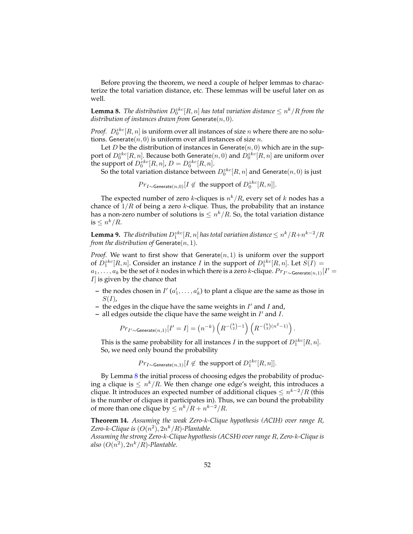Before proving the theorem, we need a couple of helper lemmas to characterize the total variation distance, etc. These lemmas will be useful later on as well.

<span id="page-51-1"></span>**Lemma 8.** The distribution  $D_0^{zkc}[R,n]$  has total variation distance  $\leq n^k/R$  from the *distribution of instances drawn from* Generate(n, 0)*.*

*Proof.*  $D_0^{zkc}[R,n]$  is uniform over all instances of size  $n$  where there are no solutions. Generate $(n, 0)$  is uniform over all instances of size n.

Let *D* be the distribution of instances in Generate( $n$ , 0) which are in the support of  $D_0^{zkc}[R,n]$ . Because both Generate $(n,0)$  and  $D_0^{zkc}[R,n]$  are uniform over the support of  $D_0^{zkc}[R,n]$ ,  $D=D_0^{zkc}[R,n]$ .

So the total variation distance between  $D_0^{zkc}[R,n]$  and Generate $(n,0)$  is just

 $Pr_{I \sim \mathsf{Generate}(n,0)}[I \not\in \mathsf{the} \text{ support of } D_0^{zkc}[R,n]].$ 

The expected number of zero *k*-cliques is  $n^k/R$ , every set of  $k$  nodes has a chance of  $1/R$  of being a zero k-clique. Thus, the probability that an instance has a non-zero number of solutions is  $\le n^k/R$ . So, the total variation distance is  $\leq n^k/R$ .

<span id="page-51-2"></span>**Lemma 9.** The distribution  $D_1^{zkc}[R,n]$  has total variation distance  $\le n^k/R + n^{k-2}/R$ *from the distribution of Generate* $(n, 1)$ *.* 

*Proof.* We want to first show that  $Generate(n, 1)$  is uniform over the support of  $D_1^{zkc}[R,n]$ . Consider an instance I in the support of  $D_1^{zkc}[R,n]$ . Let  $S(I)$  =  $a_1, \ldots, a_k$  be the set of k nodes in which there is a zero k-clique.  $Pr_{I' \sim \text{Generate}(n,1)}[I']$  $I$  is given by the chance that

- the nodes chosen in  $I'(a'_1, \ldots, a'_k)$  to plant a clique are the same as those in  $S(I)$ ,
- $-$  the edges in the clique have the same weights in  $I'$  and  $I$  and,
- all edges outside the clique have the same weight in  $I'$  and  $I$ .

$$
Pr_{I' \sim \text{Generate}(n,1)}[I' = I] = (n^{-k}) \left( R^{-\binom{k}{2}-1} \right) \left( R^{-\binom{k}{2}(n^2-1)} \right).
$$

This is the same probability for all instances  $I$  in the support of  $D_1^{zkc}[R,n]$ . So, we need only bound the probability

 $Pr_{I \sim \mathsf{Generate}(n,1)}[I \not\in \mathsf{the} \text{ support of } D_1^{zkc}[R,n]].$ 

By Lemma [8](#page-51-1) the initial process of choosing edges the probability of producing a clique is  $\le n^k/R$ . We then change one edge's weight, this introduces a clique. It introduces an expected number of additional cliques  $\le n^{k-2}/R$  (this is the number of cliques it participates in). Thus, we can bound the probability of more than one clique by  $\leq n^k/R + n^{k-2}/R$ .

<span id="page-51-0"></span>**Theorem 14.** *Assuming the weak Zero-*k*-Clique hypothesis (ACIH) over range* R*,* Zero-k-Clique is  $(O(n^2), 2n^k/R)$ -Plantable.

*Assuming the strong Zero-*k*-Clique hypothesis (ACSH) over range* R*, Zero-*k*-Clique is* also  $(O(n^2), 2n^k/R)$ -Plantable.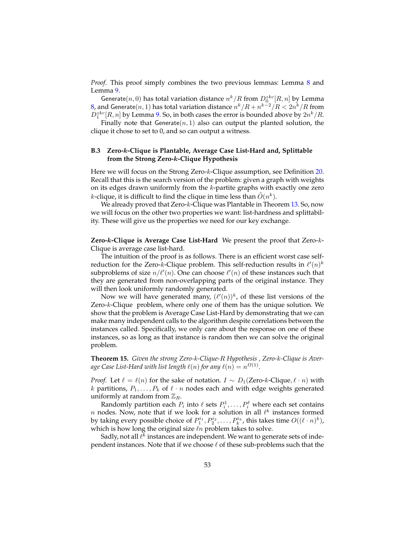*Proof.* This proof simply combines the two previous lemmas: Lemma [8](#page-51-1) and Lemma [9.](#page-51-2)

Generate $(n,0)$  has total variation distance  $n^k/R$  from  $D_0^{zkc}[R,n]$  by Lemma  $8$ , and Generate $(n,1)$  has total variation distance  $n^k/R + n^{k-2}/R < 2n^k/R$  from  $D_1^{zkc}[R,n]$  by Lemma [9.](#page-51-2) So, in both cases the error is bounded above by  $2n^k/R$ .

Finally note that Generate $(n, 1)$  also can output the planted solution, the clique it chose to set to 0, and so can output a witness.

## <span id="page-52-0"></span>**B.3 Zero-**k**-Clique is Plantable, Average Case List-Hard and, Splittable from the Strong Zero-**k**-Clique Hypothesis**

Here we will focus on the Strong Zero-k-Clique assumption, see Definition [20.](#page-19-1) Recall that this is the search version of the problem: given a graph with weights on its edges drawn uniformly from the  $k$ -partite graphs with exactly one zero *k*-clique, it is difficult to find the clique in time less than  $\tilde{O}(n^k)$ .

We already proved that Zero-k-Clique was Plantable in Theorem [13.](#page-49-1) So, now we will focus on the other two properties we want: list-hardness and splittability. These will give us the properties we need for our key exchange.

**Zero-**k**-Clique is Average Case List-Hard** We present the proof that Zero-k-Clique is average case list-hard.

The intuition of the proof is as follows. There is an efficient worst case selfreduction for the Zero-k-Clique problem. This self-reduction results in  $\ell'(n)^k$ subproblems of size  $n/\ell'(n)$ . One can choose  $\ell'(n)$  of these instances such that they are generated from non-overlapping parts of the original instance. They will then look uniformly randomly generated.

Now we will have generated many,  $(\ell'(n))^k$ , of these list versions of the Zero-k-Clique problem, where only one of them has the unique solution. We show that the problem is Average Case List-Hard by demonstrating that we can make many independent calls to the algorithm despite correlations between the instances called. Specifically, we only care about the response on one of these instances, so as long as that instance is random then we can solve the original problem.

<span id="page-52-1"></span>**Theorem 15.** *Given the strong Zero-*k*-Clique-*R *Hypothesis , Zero-*k*-Clique is Aver*age Case List-Hard with list length  $\ell(n)$  for any  $\ell(n) = n^{\Omega(1)}.$ 

*Proof.* Let  $\ell = \ell(n)$  for the sake of notation.  $I \sim D_1(Zero-k\text{-Clique}, \ell \cdot n)$  with k partitions,  $P_1, \ldots, P_k$  of  $\ell \cdot n$  nodes each and with edge weights generated uniformly at random from  $\mathbb{Z}_R$ .

Randomly partition each  $P_i$  into  $\ell$  sets  $P_i^1, \ldots, P_i^{\ell}$  where each set contains n nodes. Now, note that if we look for a solution in all  $\ell^k$  instances formed by taking every possible choice of  $P_1^{i_1}, P_2^{i_2}, \ldots, P_k^{i_k}$ , this takes time  $O((\ell \cdot n)^k)$ , which is how long the original size  $\ln$  problem takes to solve.

Sadly, not all  $\ell^{\bar{k}}$  instances are independent. We want to generate sets of independent instances. Note that if we choose  $\ell$  of these sub-problems such that the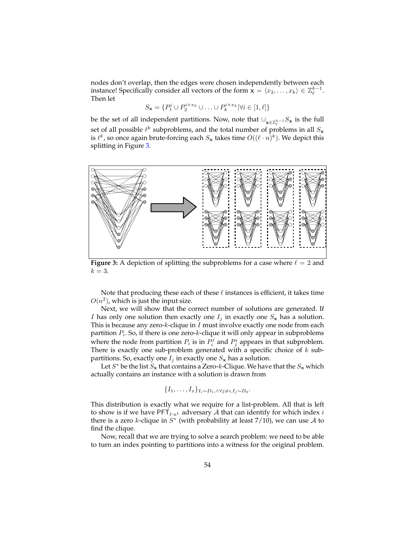nodes don't overlap, then the edges were chosen independently between each instance! Specifically consider all vectors of the form  $\mathbf{x} = \langle x_2, \dots, x_k \rangle \in \mathbb{Z}_{\ell}^{k-1}$ . Then let

$$
S_{\mathbf{x}} = \{P_1^i \cup P_2^{i+x_2} \cup \ldots \cup P_k^{i+x_k} | \forall i \in [1, \ell] \}
$$

be the set of all independent partitions. Now, note that  $\cup_{\mathbf{x}\in\mathbb{Z}_{\ell}^{k-1}}S_{\mathbf{x}}$  is the full set of all possible  $\ell^k$  subproblems, and the total number of problems in all  $S_{\mathbf{x}}$ is  $\ell^k$ , so once again brute-forcing each  $S_{\mathbf{x}}$  takes time  $O((\ell \cdot n)^k)$ . We depict this splitting in Figure [3.](#page-53-0)



<span id="page-53-0"></span>**Figure 3:** A depiction of splitting the subproblems for a case where  $\ell = 2$  and  $k=3$ .

Note that producing these each of these  $\ell$  instances is efficient, it takes time  $O(n^2)$ , which is just the input size.

Next, we will show that the correct number of solutions are generated. If I has only one solution then exactly one  $I_j$  in exactly one  $S_x$  has a solution. This is because any zero-k-clique in I must involve exactly one node from each partition  $P_i$ . So, if there is one zero- $k$ -clique it will only appear in subproblems where the node from partition  $P_i$  is in  $P_i^j$  and  $P_j^i$  appears in that subproblem. There is exactly one sub-problem generated with a specific choice of  $k$  subpartitions. So, exactly one  $I_j$  in exactly one  $S_x$  has a solution.

Let  $S^*$  be the list  $S_{\mathbf{x}}$  that contains a Zero- $k$ -Clique. We have that the  $S_{\mathbf{x}}$  which actually contains an instance with a solution is drawn from

$$
\{I_1,\ldots,I_x\}_{I_i\sim D_1,\wedge\forall j\neq i,I_j\sim D_0}.
$$

This distribution is exactly what we require for a list-problem. All that is left to show is if we have  $\mathsf{PFT}_{\ell\cdot n^k}$  adversary A that can identify for which index  $i$ there is a zero k-clique in  $S^*$  (with probability at least 7/10), we can use A to find the clique.

Now, recall that we are trying to solve a search problem: we need to be able to turn an index pointing to partitions into a witness for the original problem.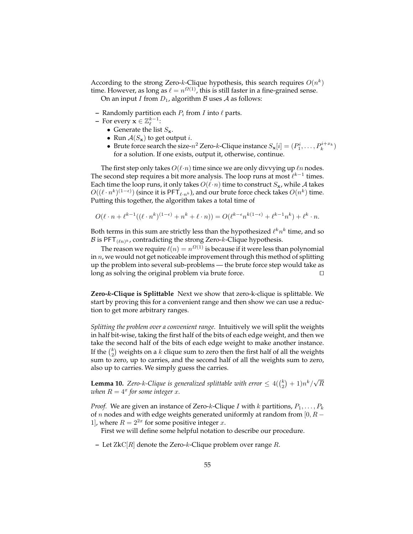According to the strong Zero-k-Clique hypothesis, this search requires  $O(n^k)$ time. However, as long as  $\ell = n^{\Omega(1)}$ , this is still faster in a fine-grained sense.

On an input I from  $D_1$ , algorithm B uses A as follows:

- **–** Randomly partition each  $P_i$  from  $I$  into  $\ell$  parts.
- **–** For every  $\mathbf{x} \in \mathbb{Z}_{\ell}^{k-1}$ :
	- Generate the list  $S_{\mathbf{x}}$ .
	- Run  $A(S_x)$  to get output *i*.
	- Brute force search the size- $n^2$  Zero-k-Clique instance  $S_x[i] = (P_1^i, \ldots, P_k^{i+x_k})$ for a solution. If one exists, output it, otherwise, continue.

The first step only takes  $O(\ell \cdot n)$  time since we are only divvying up  $\ell n$  nodes. The second step requires a bit more analysis. The loop runs at most  $\ell^{k-1}$  times. Each time the loop runs, it only takes  $O(\ell \cdot n)$  time to construct  $S_{\mathbf{x}}$ , while A takes  $O((\ell \cdot n^k)^{(1-\epsilon)})$  (since it is PFT $_{\ell \cdot n^k}$ ), and our brute force check takes  $O(n^k)$  time. Putting this together, the algorithm takes a total time of

$$
O(\ell \cdot n + \ell^{k-1}((\ell \cdot n^k)^{(1-\epsilon)} + n^k + \ell \cdot n)) = O(\ell^{k-\epsilon} n^{k(1-\epsilon)} + \ell^{k-1} n^k) + \ell^k \cdot n.
$$

Both terms in this sum are strictly less than the hypothesized  $\ell^k n^k$  time, and so *B* is PFT $_{(\ell n)^k}$ , contradicting the strong Zero-*k*-Clique hypothesis.

The reason we require  $\ell(n) = n^{\Omega(1)}$  is because if it were less than polynomial in  $n$ , we would not get noticeable improvement through this method of splitting up the problem into several sub-problems — the brute force step would take as long as solving the original problem via brute force.  $\Box$ 

**Zero-**k**-Clique is Splittable** Next we show that zero-k-clique is splittable. We start by proving this for a convenient range and then show we can use a reduction to get more arbitrary ranges.

*Splitting the problem over a convenient range.* Intuitively we will split the weights in half bit-wise, taking the first half of the bits of each edge weight, and then we take the second half of the bits of each edge weight to make another instance. If the  $\binom{k}{2}$  weights on a  $k$  clique sum to zero then the first half of all the weights sum to zero, up to carries, and the second half of all the weights sum to zero, also up to carries. We simply guess the carries.

<span id="page-54-0"></span>**Lemma 10.** Zero-k-Clique is generalized splittable with error  $\leq 4({k \choose 2} + 1)n^k/\sqrt{k}$ R when  $R = 4^x$  for some integer x.

*Proof.* We are given an instance of Zero-k-Clique I with k partitions,  $P_1, \ldots, P_k$ of *n* nodes and with edge weights generated uniformly at random from [0,  $R$  – 1], where  $R = 2^{2x}$  for some positive integer x.

First we will define some helpful notation to describe our procedure.

**–** Let ZkC[R] denote the Zero-k-Clique problem over range R.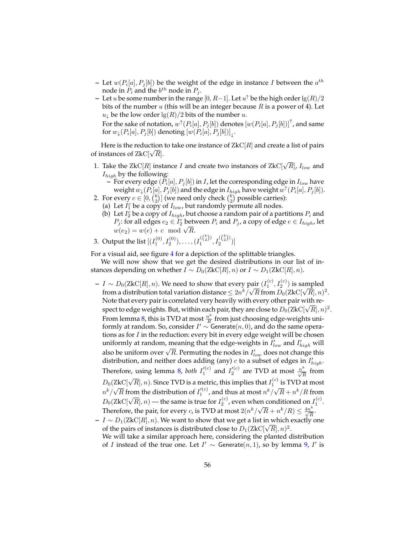- Let  $w(P_i[a], P_j[b])$  be the weight of the edge in instance I between the  $a^{th}$ node in  $P_i$  and the  $b^{th}$  node in  $P_j$ .
- **–** Let u be some number in the range [0, R−1]. Let u <sup>↑</sup> be the high orderlg(R)/2 bits of the number  $u$  (this will be an integer because  $R$  is a power of 4). Let  $u_{\downarrow}$  be the low order lg( $R$ )/2 bits of the number u.

For the sake of notation,  $w^{\uparrow}(P_i[a], P_j[b])$  denotes  $[w(P_i[a], P_j[b])]^{\uparrow}$ , and same for  $w_{\downarrow}(P_i[a], P_j[b])$  denoting  $[w(P_i[a], P_j[b])]_{\downarrow}$ .

Here is the reduction to take one instance of  $ZkC[R]$  and create a list of pairs There is the reduction<br>of instances of  $ZkC[\sqrt{R}]$ .

- 1. Take the ZkC[ $R$ ] instance I and create two instances of ZkC[ $\sqrt{R}$ ],  $I_{low}$  and  $I_{high}$  by the following
	- $-$  For every edge  $(P_i[a], P_j[b])$  in *I* , let the corresponding edge in  $I_{low}$  have weight  $w_\downarrow(P_i[a], P_j[b])$  and the edge in  $I_{high}$  have weight  $w^\uparrow(P_i[a], P_j[b])$ .
- 2. For every  $c \in [0, \binom{k}{2}]$  (we need only check  $\binom{k}{2}$  possible carries): (a) Let  $I_1^c$  be a copy of  $I_{low}$ , but randomly permute all nodes.
	- (b) Let  $I_2^c$  be a copy of  $I_{high}$ , but choose a random pair of a partitions  $P_i$  and  $P_j$ : for all edges  $e_2 \in I_2^c$  between  $P_i$  and  $P_j$ , a copy of edge  $e \in I_{high}$ , let  $r_j$ . for an edges  $e_2 \in I_2$  between  $w(e_2) = w(e) + c \mod \sqrt{R}$ .
- 3. Output the list  $[(I_1^{(0)}, I_2^{(0)}), \ldots, (I_1^{(\binom{k}{2})}, I_2^{(\binom{k}{2})})]$

For a visual aid, see figure [4](#page-65-0) for a depiction of the splittable triangles.

We will now show that we get the desired distributions in our list of instances depending on whether  $I \sim D_0(ZkC[R], n)$  or  $I \sim D_1(ZkC[R], n)$ .

- **–** *I* ∼ D<sub>0</sub>(ZkC[*R*], *n*). We need to show that every pair  $(I_1^{(c)}, I_2^{(c)})$  is sampled  $T \sim D_0(ZK\epsilon[R], n)$ , we need to show that every pair  $(T_1^-, T_2^-)$  is sampled from a distribution total variation distance  $\leq 2n^k/\sqrt{R}$  from  $D_0(ZK\epsilon[\sqrt{R}], n)^2$ . Note that every pair is correlated very heavily with every other pair with re-Note that every pair is correlated very heavily whilevery other pair while-<br>spect to edge weights. But, within each pair, they are close to  $D_0({\rm ZkC}[\sqrt{R}],n)^2$ . From lemma  $8$ , this is TVD at most  $\frac{n^k}{R}$  $\frac{n^{\pi}}{R}$  from just choosing edge-weights uniformly at random. So, consider  $I' \sim$  Generate $(n, 0)$ , and do the same operations as for  $I$  in the reduction: every bit in every edge weight will be chosen uniformly at random, meaning that the edge-weights in  $I'_{low}$  and  $I'_{high}$  will also be uniform over  $\sqrt{R}$ . Permuting the nodes in  $I'_{low}$  does not change this distribution, and neither does adding (any)  $c$  to a subset of edges in  $I'_{high}$ . Therefore, using lemma [8,](#page-51-1) *both*  $I_1^{\prime (c)}$  and  $I_2^{\prime (c)}$  are TVD at most  $\frac{n^k}{\sqrt{R}}$  from  $D_0(ZkC[\sqrt{R}], n)$ . Since TVD is a metric, this implies that  $I_1^{(c)}$  is TVD at most  $\frac{L_0(L)}{n^k/\sqrt{2}}$  $\overline{R}$  from the distribution of  $I_1^{(c)}$ , and thus at most  $n^k/\sqrt{R}$  $\overline{R}+n^{k}/R$  from  $D_0(ZkC[\sqrt{R}], n)$  — the same is true for  $I_2^{(c)}$ , even when conditioned on  $I_1^{(c)}$ . Therefore, the pair, for every  $c$ , is TVD at most  $2(n^k/\sqrt{R} + n^k/R) \leq \frac{4n^k}{\sqrt{R}}$ .
- **–** I ∼ D1(ZkC[R], n). We want to show that we get a list in which exactly one  $T \sim D_1(ZKC[R], n)$ , we want to show that we get a fist in which to the pairs of instances is distributed close to  $D_1(ZKC[\sqrt{R}], n)^2$ . We will take a similar approach here, considering the planted distribution of *I* instead of the true one. Let  $I' \sim$  Generate $(n, 1)$ , so by lemma [9,](#page-51-2)  $I'$  is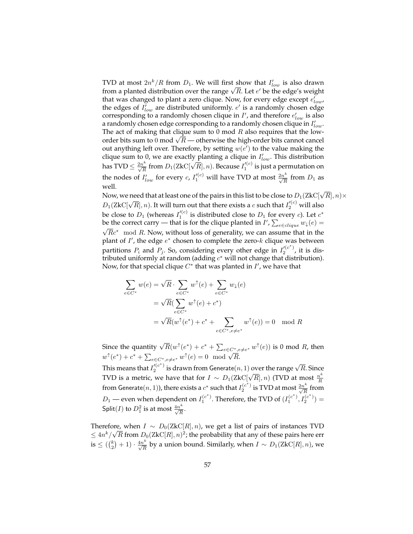TVD at most  $2n^k/R$  from  $D_1$ . We will first show that  $I'_{low}$  is also drawn from a planted distribution over the range  $\sqrt{R}$ . Let e' be the edge's weight that was changed to plant a zero clique. Now, for every edge except  $e'_{low}$ , the edges of  $I'_{low}$  are distributed uniformly.  $e'$  is a randomly chosen edge corresponding to a randomly chosen clique in  $I'$ , and therefore  $e'_{low}$  is also a randomly chosen edge corresponding to a randomly chosen clique in  $I'_{low}$ . The act of making that clique sum to  $0 \mod R$  also requires that the low-The act of making that chique sum to 0 mod  $\pi$  also requires that the low-<br>order bits sum to 0 mod  $\sqrt{R}$  — otherwise the high-order bits cannot cancel out anything left over. Therefore, by setting  $w(e')$  to the value making the clique sum to 0, we are exactly planting a clique in  $I'_{low}$ . This distribution has TVD  $\leq \frac{2n^k}{\sqrt{R}}$  from  $D_1(ZkC[\sqrt{R}], n)$ . Because  $I_1^{(c)}$  is just a permutation on the nodes of  $I'_{low}$  for every  $c$ ,  $I'^{(c)}_1$  will have TVD at most  $\frac{2n^k}{\sqrt{R}}$  from  $D_1$  as well.

wen.<br>Now, we need that at least one of the pairs in this list to be close to  $D_1(\operatorname{ZkC}[\sqrt{R}],n)\times$ Now, we need that at least one of the pairs in this list to be close to  $D_1(z\kappa C_V)$ <br> $D_1(Z\kappa C_V\overline{R}), n$ ). It will turn out that there exists a c such that  $I_2^{(c)}$  will also be close to  $D_1$  (whereas  $I_1^{\prime (c)}$  is distributed close to  $D_1$  for every  $c$ ). Let  $c^*$ be the correct carry — that is for the clique planted in  $I'$ ,  $\sum_{e \in clique} w_{\downarrow}(e) =$  $\sqrt{R}c^*$  mod R. Now, without loss of generality, we can assume that in the plant of  $I'$ , the edge  $e^*$  chosen to complete the zero- $k$  clique was between partitions  $P_i$  and  $P_j$ . So, considering every other edge in  $I_2'^{(c^*)}$ , it is distributed uniformly at random (adding  $c^*$  will not change that distribution). Now, for that special clique  $C^*$  that was planted in  $I'$ , we have that

$$
\sum_{e \in C^*} w(e) = \sqrt{R} \cdot \sum_{e \in C^*} w^\uparrow(e) + \sum_{e \in C^*} w_\downarrow(e)
$$

$$
= \sqrt{R} (\sum_{e \in C^*} w^\uparrow(e) + c^*)
$$

$$
= \sqrt{R} (w^\uparrow(e^*) + c^* + \sum_{e \in C^*, e \neq e^*} w^\uparrow(e)) = 0 \mod R
$$

Since the quantity  $\sqrt{R}(w^{\uparrow}(e^*) + c^* + \sum_{e \in C^*, e \neq e^*} w^{\uparrow}(e))$  is 0 mod R, then since the quantity  $\mathbf{v}_1(w)(v) + v + \sum_{e \in C^*, e \neq e^*} w^{\dagger}(e) = 0$  mod  $\sqrt{R}$ . This means that  $I_2^{(c^*)}$  is drawn from Generate $(n, 1)$  over the range  $\sqrt{R}$ . Since TVD is a metric, we have that for  $I \sim D_1(ZkC[\sqrt{R}], n)$  (TVD at most  $\frac{n^k}{R}$ R from Generate $(n,1)$ ), there exists a  $c^*$  such that  $I_2^{(c^*)}$  is TVD at most  $\frac{2n^k}{\sqrt{R}}$  from  $D_1$  — even when dependent on  $I_1^{(c^*)}$ . Therefore, the TVD of  $(I_1^{(c^*)}, I_2^{(c^*)})$  = Split $(I)$  to  $D_1^2$  is at most  $\frac{4n^k}{\sqrt{R}}$ .

Therefore, when  $I \sim D_0(\text{ZkC}[R], n)$ , we get a list of pairs of instances TVD  $\leq 4n^{k}/\sqrt{R}$  from  $D_{0}(\text{ZkC}[R],n)^{2}$ ; the probability that any of these pairs here err is  $\leq (\binom{k}{2}+1) \cdot \frac{4n^k}{\sqrt{R}}$  by a union bound. Similarly, when  $I \sim D_1(\operatorname{ZkC}[R], n)$ , we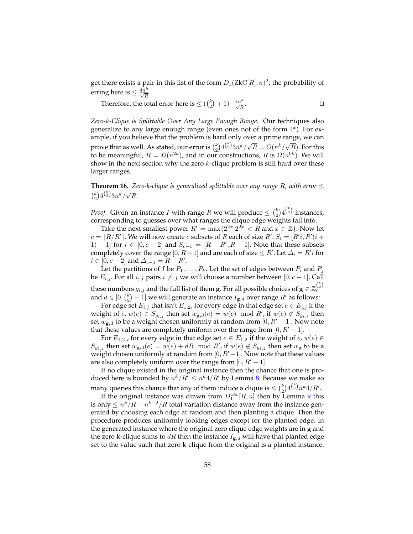get there exists a pair in this list of the form  $D_1(\text{ZkC}[R], n)^2$ ; the probability of erring here is  $\leq \frac{4n^k}{\sqrt{R}}$ .

Therefore, the total error here is  $\leq (\binom{k}{2}+1)\cdot \frac{4n^k}{\sqrt{R}}$ . The contract of  $\Box$ 

<span id="page-57-0"></span>*Zero-*k*-Clique is Splittable Over Any Large Enough Range.* Our techniques also generalize to any large enough range (even ones not of the form  $4<sup>x</sup>$ ). For example, if you believe that the problem is hard only over a prime range, we can prove that as well. As stated, our error is  $\binom{k}{2} 4^{\binom{k}{2}} 3n^k/\sqrt{R} = O(n^k/\sqrt{R})$ . For this to be meaningful,  $R = \Omega(n^{2k})$ , and in our constructions, R is  $\Omega(n^{6k})$ . We will show in the next section why the zero  $k$ -clique problem is still hard over these larger ranges.

<span id="page-57-1"></span>**Theorem 16.** *Zero-k-clique is generalized splittable over any range* R*, with error* ≤ √  ${k \choose 2} 4^{{k \choose 2}} 3n^k / \sqrt{R}.$ 

*Proof.* Given an instance I with range R we will produce  $\leq \binom{k}{2} 4^{\binom{k}{2}}$  instances, corresponding to guesses over what ranges the clique edge weights fall into.

Take the next smallest power  $R' = \max\{2^{2x}|2^{2x} < R$  and  $x \in \mathbb{Z}\}$ . Now let  $c = \lceil R/R' \rceil$ . We will now create c subsets of R each of size  $R'$ .  $S_i = \lceil R'i, R'(i + \ell) \rceil$ 1) – 1] for  $i \in [0, c - 2]$  and  $S_{c-1} = [R - R', R - 1]$ . Note that these subsets completely cover the range  $[0, R-1]$  and are each of size  $\leq R'$ . Let  $\Delta_i = R'i$  for  $i \in [0, c-2]$  and  $\Delta_{c-1} = R - R'.$ 

Let the partitions of I be  $P_1, \ldots, P_k$ . Let the set of edges between  $P_i$  and  $P_j$ be  $E_{i,j}$ . For all  $i, j$  pairs  $i \neq j$  we will choose a number between [0,  $c - 1$ ]. Call these numbers  $g_{i,j}$  and the full list of them g. For all possible choices of  $\mathbf{g}\in\mathbb{Z}_c^{k\choose 2}$ and  $d \in [0, \binom{k}{2}-1]$  we will generate an instance  $I_{\mathbf{g}, d}$  over range  $R'$  as follows:

For edge set  $E_{i,j}$  that isn't  $E_{1,2}$ , for every edge in that edge set  $e \in E_{i,j}$  if the weight of  $e$ ,  $w(e) \in S_{g_{i,j}}$  then set  $w_{g,d}(e) = w(e) \mod R'$ , if  $w(e) \notin S_{g_{i,j}}$  then set  $w_{\mathbf{g},d}$  to be a weight chosen uniformly at random from [0,  $R' - 1$ ]. Now note that these values are completely uniform over the range from  $[0, R' - 1]$ .

For  $E_{1,2}$ , for every edge in that edge set  $e \in E_{1,2}$  if the weight of  $e$ ,  $w(e) \in$  $S_{g_{1,2}}$  then set  $w_{\mathbf{g},d}(e) = w(e) + dR \mod R'$ , if  $w(e) \notin S_{g_{1,2}}$  then set  $w_{\mathbf{g}}$  to be a weight chosen uniformly at random from [ $0, R' - 1$ ]. Now note that these values are also completely uniform over the range from  $[0, R' - 1]$ .

If no clique existed in the original instance then the chance that one is produced here is bounded by  $n^k/R' \leq n^k4/R'$  by Lemma [8.](#page-51-1) Because we make so many queries this chance that any of them induce a clique is  $\leq \binom{k}{2} 4^{\binom{k}{2}} n^k 4/R'.$ 

If the original instance was drawn from  $D_1^{zkc}[R,n]$  then by Lemma [9](#page-51-2) this is only  $\leq n^{k} / R + n^{k-2} / R$  total variation distance away from the instance generated by choosing each edge at random and then planting a clique. Then the procedure produces uniformly looking edges except for the planted edge. In the generated instance where the original zero clique edge weights are in g and the zero k-clique sums to dR then the instance  $I_{g,d}$  will have that planted edge set to the value such that zero k-clique from the original is a planted instance.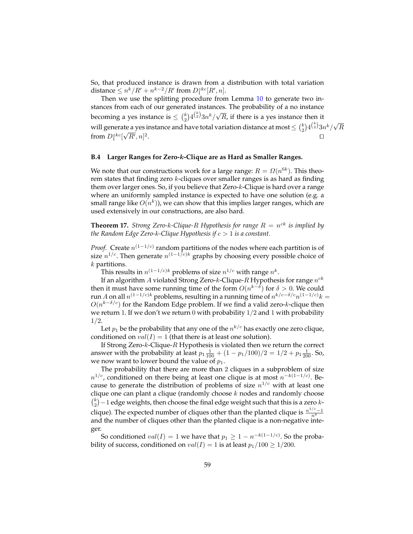So, that produced instance is drawn from a distribution with total variation distance  $\leq n^k/R' + n^{k-2}/R'$  from  $D_1^{zkc}[R',n]$ .

Then we use the splitting procedure from Lemma [10](#page-54-0) to generate two instances from each of our generated instances. The probability of a no instance becoming a yes instance is  $\leq \binom{k}{2} 4^{\binom{k}{2}} 3n^k/\sqrt{R}$ , if there is a yes instance then it will generate a yes instance and have total variation distance at most  $\leq {k \choose 2} 4^{k \choose 2} 3n^k/\sqrt{2}$ te a yes instance and have total variation distance at most  $\leq {k \choose 2} 4^{\binom{n}{2}} 3n^k/\sqrt{R}$ from  $D_1^{zkc}[\sqrt{R'},n]^2$ . The contract of the contract of the contract of the contract of the contract of the contract of the contract of the contract of the contract of the contract of the contract of the contract of the contract of the contract

#### **B.4 Larger Ranges for Zero-**k**-Clique are as Hard as Smaller Ranges.**

We note that our constructions work for a large range:  $R = \Omega(n^{6k})$ . This theorem states that finding zero k-cliques over smaller ranges is as hard as finding them over larger ones. So, if you believe that Zero-k-Clique is hard over a range where an uniformly sampled instance is expected to have one solution (e.g. a small range like  $O(n^k)$ ), we can show that this implies larger ranges, which are used extensively in our constructions, are also hard.

<span id="page-58-0"></span>**Theorem 17.** *Strong Zero-k-Clique-R Hypothesis for range*  $R = n^{ck}$  *is implied by the Random Edge Zero-*k*-Clique Hypothesis if* c > 1 *is a constant.*

*Proof.* Create  $n^{(1-1/c)}$  random partitions of the nodes where each partition is of size  $n^{1/c}$ . Then generate  $n^{(1-1/c)k}$  graphs by choosing every possible choice of k partitions.

This results in  $n^{(1-1/c)k}$  problems of size  $n^{1/c}$  with range  $n^k$ .

If an algorithm  $A$  violated Strong Zero- $k$ -Clique- $R$  Hypothesis for range  $n^{ck}$ then it must have some running time of the form  $O(n^{k-\delta})$  for  $\delta > 0$ . We could run A on all  $n^{(1-1/c)k}$  problems, resulting in a running time of  $n^{k/c- \delta/c} n^{(1-1/c)}k =$  $O(n^{k-\delta/c})$  for the Random Edge problem. If we find a valid zero-k-clique then we return 1. If we don't we return 0 with probability  $1/2$  and 1 with probability 1/2.

Let  $p_1$  be the probability that any one of the  $n^{k/c}$  has exactly one zero clique, conditioned on  $val(I) = 1$  (that there is at least one solution).

If Strong Zero- $k$ -Clique- $R$  Hypothesis is violated then we return the correct answer with the probability at least  $p_1 \frac{1}{100} + (1 - p_1/100)/2 = 1/2 + p_1 \frac{1}{200}$ . So, we now want to lower bound the value of  $p_1$ .

The probability that there are more than 2 cliques in a subproblem of size  $n^{1/c}$ , conditioned on there being at least one clique is at most  $n^{-k(1-1/c)}$ . Because to generate the distribution of problems of size  $n^{1/c}$  with at least one clique one can plant a clique (randomly choose  $k$  nodes and randomly choose  $\binom{k}{2}$  – 1 edge weights, then choose the final edge weight such that this is a zero kclique). The expected number of cliques other than the planted clique is  $\frac{n^{1/c}-1}{n^k}$ and the number of cliques other than the planted clique is a non-negative integer.

So conditioned  $val(I) = 1$  we have that  $p_1 \geq 1 - n^{-k(1-1/c)}$ . So the probability of success, conditioned on  $val(I) = 1$  is at least  $p_1/100 \ge 1/200$ .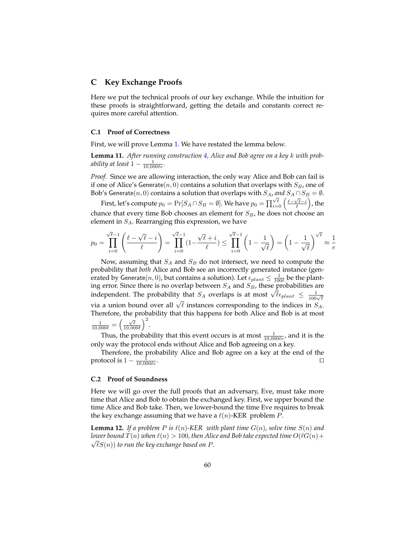## <span id="page-59-0"></span>**C Key Exchange Proofs**

Here we put the technical proofs of our key exchange. While the intuition for these proofs is straightforward, getting the details and constants correct requires more careful attention.

#### <span id="page-59-1"></span>**C.1 Proof of Correctness**

First, we will prove Lemma [1.](#page-24-0) We have restated the lemma below.

**Lemma 11.** *After running construction [4,](#page-23-0) Alice and Bob agree on a key* k *with prob*ability at least  $1 - \frac{1}{10,000\ell e}$ *.* 

*Proof.* Since we are allowing interaction, the only way Alice and Bob can fail is if one of Alice's Generate $(n, 0)$  contains a solution that overlaps with  $S_B$ , one of Bob's Generate $(n,0)$  contains a solution that overlaps with  $S_A$ , and  $S_A \cap S_B = \emptyset$ .

First, let's compute  $p_0 = \Pr[S_A \cap S_B = \emptyset]$ . We have  $p_0 = \prod_{i=0}^{\sqrt{\ell}} \left( \frac{\ell - \sqrt{\ell} - i}{\ell} \right)$ , the chance that every time Bob chooses an element for  $S_B$ , he does not choose an element in  $S_A$ . Rearranging this expression, we have

$$
p_0 = \prod_{i=0}^{\sqrt{\ell}-1} \left( \frac{\ell - \sqrt{\ell} - i}{\ell} \right) = \prod_{i=0}^{\sqrt{\ell}-1} (1 - \frac{\sqrt{\ell} + i}{\ell}) \le \prod_{i=0}^{\sqrt{\ell}-1} \left( 1 - \frac{1}{\sqrt{\ell}} \right) = \left( 1 - \frac{1}{\sqrt{\ell}} \right)^{\sqrt{\ell}} \approx \frac{1}{e}
$$

Now, assuming that  $S_A$  and  $S_B$  do not intersect, we need to compute the probability that *both* Alice and Bob see an incorrectly generated instance (generated by Generate $(n,0)$ , but contains a solution). Let  $\epsilon_{plant} \leq \frac{1}{100\ell}$  be the planting error. Since there is no overlap between  $S_A$  and  $S_B$ , these probabilities are independent. The probability that  $S_A$  overlaps is at most  $\sqrt{\ell} \epsilon_{plant} \leq \frac{1}{100\sqrt{\ell}}$ via a union bound over all  $\sqrt{\ell}$  instances corresponding to the indices in  $S_A$ . Therefore, the probability that this happens for both Alice and Bob is at most  $\frac{1}{10,000\ell} = \left(\frac{\sqrt{\ell}}{10,000\ell}\right)^2.$ 

Thus, the probability that this event occurs is at most  $\frac{1}{10,000\ell e}$ , and it is the only way the protocol ends without Alice and Bob agreeing on a key.

Therefore, the probability Alice and Bob agree on a key at the end of the protocol is  $1 - \frac{1}{10,000\ell e}$ .

#### <span id="page-59-2"></span>**C.2 Proof of Soundness**

Here we will go over the full proofs that an adversary, Eve, must take more time that Alice and Bob to obtain the exchanged key. First, we upper bound the time Alice and Bob take. Then, we lower-bound the time Eve requires to break the key exchange assuming that we have a  $\ell(n)$ -KER problem P.

**Lemma 12.** If a problem P is  $\ell(n)$ -KER with plant time  $G(n)$ , solve time  $S(n)$  and *lower bound*  $T(n)$  *when*  $\ell(n) > 100$ , then Alice and Bob take expected time  $O(\ell G(n) + \sqrt{G(\ell(n))})$  $\sqrt{\ell S(n)}$  *to run the key exchange based on P.*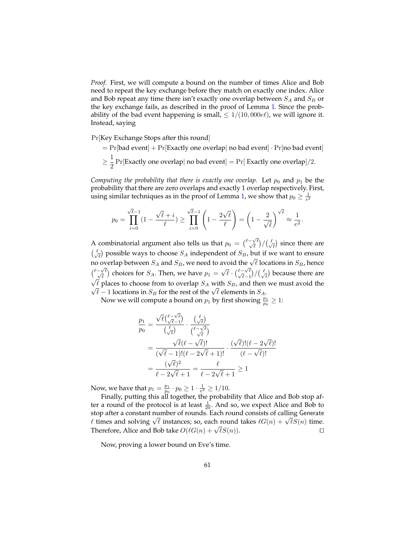*Proof.* First, we will compute a bound on the number of times Alice and Bob need to repeat the key exchange before they match on exactly one index. Alice and Bob repeat any time there isn't exactly one overlap between  $S_A$  and  $S_B$  or the key exchange fails, as described in the proof of Lemma [1.](#page-24-0) Since the probability of the bad event happening is small,  $\leq 1/(10,000e\ell)$ , we will ignore it. Instead, saying

Pr[Key Exchange Stops after this round]

- $= Pr[bad event] + Pr[Exactly one overlap]$  no bad event]  $\cdot Pr[no$  bad event]
- $\geq \frac{1}{2}$  $\frac{1}{2}$  Pr[Exactly one overlap| no bad event] = Pr[Exactly one overlap]/2.

*Computing the probability that there is exactly one overlap.* Let  $p_0$  and  $p_1$  be the probability that there are zero overlaps and exactly 1 overlap respectively. First, using similar techniques as in the proof of Lemma [1,](#page-24-0) we show that  $p_0 \geq \frac{1}{e^2}$ 

$$
p_0 = \prod_{i=0}^{\sqrt{\ell}-1} (1 - \frac{\sqrt{\ell}+i}{\ell}) \ge \prod_{i=0}^{\sqrt{\ell}-1} \left(1 - \frac{2\sqrt{\ell}}{\ell}\right) = \left(1 - \frac{2}{\sqrt{\ell}}\right)^{\sqrt{\ell}} \approx \frac{1}{e^2}.
$$

A combinatorial argument also tells us that  $p_0 = \binom{\ell - \sqrt{\ell}}{\sqrt{\ell}}$  $-\sqrt{\ell}$  $\frac{\sqrt{\ell}}{\ell}/(\frac{\ell}{\sqrt{\ell}})$  since there are  $\binom{\ell}{\sqrt{\ell}}$  possible ways to choose  $S_A$  independent of  $S_B$ , but if we want to ensure  $(\sqrt{\ell})$  possible ways to choose  $\beta_A$  independent of  $\beta_B$ , but if we want to choing the non- $\frac{\mu-\sqrt{2}}{\sqrt{2}}$  $-\sqrt{\ell}$  $(\overline{\ell}^{\ell})$  choices for  $S_A$ . Then, we have  $p_1 =$  $^{\prime}$ ′  $\overline{\ell} \cdot \left(\frac{\ell - \sqrt{\ell}}{\sqrt{\ell}}\right)$  $\ell - \sqrt{\ell}$  $\left(\frac{\ell-\sqrt{\ell}}{\sqrt{\ell}}\right)$  choices for  $S_A$ . Then, we have  $p_1 = \sqrt{\ell} \cdot \left(\frac{\ell-\sqrt{\ell}}{\sqrt{\ell}-1}\right) / \left(\frac{\ell}{\sqrt{\ell}}\right)$  because there are  $\sqrt{\ell}$  places to choose from to overlap  $S_A$  with  $S_B$ , and then we must avoid the  $\overline{\ell}$  – 1 locations in  $S_B$  for the rest of the  $\sqrt{\ell}$  elements in  $S_A$ .

Now we will compute a bound on  $p_1$  by first showing  $\frac{p_1}{p_0} \geq 1$ :

$$
\frac{p_1}{p_0} = \frac{\sqrt{\ell} \left( \frac{\ell - \sqrt{\ell}}{\sqrt{\ell - 1}} \right)}{\left( \frac{\ell}{\sqrt{\ell}} \right)} \cdot \frac{\left( \frac{\ell}{\sqrt{\ell}} \right)}{\left( \frac{\ell - \sqrt{\ell}}{\sqrt{\ell}} \right)}
$$
\n
$$
= \frac{\sqrt{\ell} (\ell - \sqrt{\ell})!}{(\sqrt{\ell} - 1)! (\ell - 2\sqrt{\ell} + 1)!} \cdot \frac{(\sqrt{\ell})! (\ell - 2\sqrt{\ell})!}{(\ell - \sqrt{\ell})!}
$$
\n
$$
= \frac{(\sqrt{\ell})^2}{\ell - 2\sqrt{\ell} + 1} = \frac{\ell}{\ell - 2\sqrt{\ell} + 1} \ge 1
$$

Now, we have that  $p_1 = \frac{p_1}{p_0} \cdot p_0 \ge 1 \cdot \frac{1}{e^2} \ge 1/10$ .

Finally, putting this all together, the probability that Alice and Bob stop after a round of the protocol is at least  $\frac{1}{20}$ . And so, we expect Alice and Bob to stop after a constant number of rounds. Each round consists of calling Generate stop arter a constant number of founds. Each round tonsists of caning defierate  $\ell$  times and solving  $\sqrt{\ell}$  instances; so, each round takes  $\ell G(n) + \sqrt{\ell}S(n)$  time. t times and solving  $\forall t$  instances; so, each found takes  $\ell G(n) + \sqrt{\ell}S(n)$  time.<br>Therefore, Alice and Bob take  $O(\ell G(n) + \sqrt{\ell}S(n))$ .

Now, proving a lower bound on Eve's time.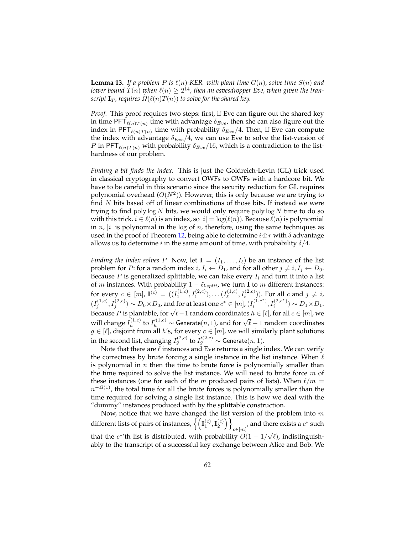**Lemma 13.** If a problem P is  $\ell(n)$ -KER with plant time  $G(n)$ , solve time  $S(n)$  and lower bound  $T(n)$  when  $\ell(n) \geq 2^{14}$ , then an eavesdropper Eve, when given the tran*script*  $\mathbf{I}_T$ *, requires*  $\Omega(\ell(n)T(n))$  *to solve for the shared key.* 

*Proof.* This proof requires two steps: first, if Eve can figure out the shared key in time PFT $_{\ell(n)T(n)}$  time with advantage  $\delta_{Eve}$ , then she can also figure out the index in PFT $_{\ell(n)T(n)}$  time with probability  $\delta_{Eve}/4$ . Then, if Eve can compute the index with advantage  $\delta_{Eve}/4$ , we can use Eve to solve the list-version of P in PFT<sub> $\ell(n)T(n)$ </sub> with probability  $\delta_{Eve}/16$ , which is a contradiction to the listhardness of our problem.

*Finding a bit finds the index.* This is just the Goldreich-Levin (GL) trick used in classical cryptography to convert OWFs to OWFs with a hardcore bit. We have to be careful in this scenario since the security reduction for GL requires polynomial overhead  $(O(N^2))$ . However, this is only because we are trying to find  $N$  bits based off of linear combinations of those bits. If instead we were trying to find poly log N bits, we would only require poly log N time to do so with this trick.  $i \in \ell(n)$  is an index, so  $|i| = \log(\ell(n))$ . Because  $\ell(n)$  is polynomial in n, |i| is polynomial in the log of n, therefore, using the same techniques as used in the proof of Theorem [12,](#page-46-0) being able to determine  $i \oplus r$  with  $\delta$  advantage allows us to determine *i* in the same amount of time, with probability  $\delta/4$ .

*Finding the index solves* P Now, let  $I = (I_1, \ldots, I_\ell)$  be an instance of the list problem for *P*: for a random index  $i, I_i \leftarrow D_1$ , and for all other  $j \neq i, I_j \leftarrow D_0$ . Because  $P$  is generalized splittable, we can take every  $I_i$  and turn it into a list of m instances. With probability  $1 - \ell \epsilon_{split}$ , we turn I to m different instances: for every  $c \in [m]$ ,  $\mathbf{I}^{(c)} = ((I_1^{(1,c)}, I_1^{(2,c)}), \dots (I_\ell^{(1,c)})$  $\mathcal{I}_{\ell}^{(1,c)}, I_{\ell}^{(2,c)}$ )). For all c and  $j \neq i$ ,  $(I_j^{(1,c)}, I_j^{(2,c)}) \sim D_0 \times D_0$ , and for at least one  $c^* \in [m]$ ,  $(I_i^{(1,c^*)}, I_i^{(2,c^*)}) \sim D_1 \times D_1$ . Because P is plantable, for  $\sqrt{\ell}-1$  random coordinates  $h \in [\ell]$ , for all  $c \in [m]$ , we will change  $I_h^{(1,c)}$ plantable, for  $v \ell - 1$  random coordinates  $h \in [c]$ , for an  $c \in [m]$ , we  $\frac{1}{h}$  to  $I_h^{(1,c)} \sim$  Generate $(n, 1)$ , and for  $\sqrt{\ell} - 1$  random coordinates  $g \in [\ell]$ , disjoint from all  $h'$ s, for every  $c \in [m]$ , we will similarly plant solutions in the second list, changing  $I_g^{(2,c)}$  to  $I_g'^{(2,c)} \sim \mathsf{Generate}(n,1).$ 

Note that there are  $\ell$  instances and Eve returns a single index. We can verify the correctness by brute forcing a single instance in the list instance. When  $\ell$ is polynomial in  $n$  then the time to brute force is polynomially smaller than the time required to solve the list instance. We will need to brute force  $m$  of these instances (one for each of the m produced pairs of lists). When  $\ell/m =$  $n^{-\Omega(1)}$ , the total time for all the brute forces is polynomially smaller than the time required for solving a single list instance. This is how we deal with the "dummy" instances produced with by the splittable construction.

Now, notice that we have changed the list version of the problem into  $m$ different lists of pairs of instances,  $\left\{\left(\mathbf{I}_{1}^{(c)},\mathbf{I}_{2}^{(c)}\right)\right\}$  $_{c\in[m]}$ , and there exists a  $c^*$  such that the  $c^*$ 'th list is distributed, with probability  $O(1 - 1/\sqrt{\ell})$ , indistinguish-√ ably to the transcript of a successful key exchange between Alice and Bob. We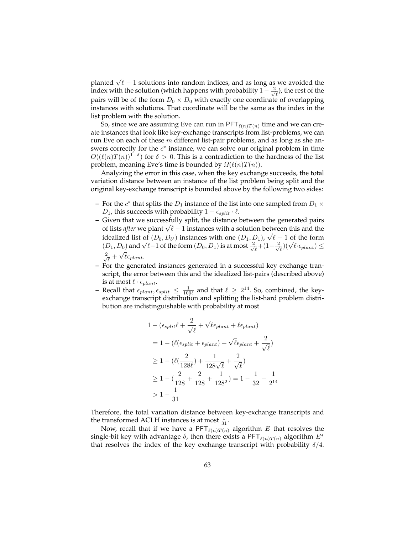planted  $\sqrt{\ell}-1$  solutions into random indices, and as long as we avoided the index with the solution (which happens with probability  $1 - \frac{2}{\sqrt{2}}$  $_{\overline{\ell}}$ ), the rest of the pairs will be of the form  $D_0 \times D_0$  with exactly one coordinate of overlapping instances with solutions. That coordinate will be the same as the index in the list problem with the solution.

So, since we are assuming Eve can run in PFT $_{\ell(n)T(n)}$  time and we can create instances that look like key-exchange transcripts from list-problems, we can run Eve on each of these  $m$  different list-pair problems, and as long as she answers correctly for the  $c^*$  instance, we can solve our original problem in time  $O((\ell(n)T(n))^{1-\delta})$  for  $\delta > 0$ . This is a contradiction to the hardness of the list problem, meaning Eve's time is bounded by  $\Omega(\ell(n)T(n))$ .

Analyzing the error in this case, when the key exchange succeeds, the total variation distance between an instance of the list problem being split and the original key-exchange transcript is bounded above by the following two sides:

- For the  $c^*$  that splits the  $D_1$  instance of the list into one sampled from  $D_1 \times$  $D_1$ , this succeeds with probability  $1 - \epsilon_{split} \cdot \ell$ .
- **–** Given that we successfully split, the distance between the generated pairs Given that we successfully spilt, the distance between the generated pairs<br>of lists *after* we plant  $\sqrt{\ell} - 1$  instances with a solution between this and the idealized list of  $(D_b, D_{b'})$  instances with one  $(D_1, D_1)$ ,  $\sqrt{\ell-1}$  of the form dealized list of  $(D_b, D_{b'})$  instances with one  $(D_1, D_0)$  and  $\sqrt{\ell-1}$  of the form  $(D_0, D_1)$  is at most  $\frac{2}{\sqrt{\ell}}$  $\frac{1}{\ell} + (1 - \frac{2}{\sqrt{\ell}})$ zed list of  $(D_b, D_{b'})$  instances with one  $(D_1, D_1)$ ,  $\sqrt{\ell - 1}$  of the form  $(D_0, D_1)$  is at most  $\frac{2}{\sqrt{\ell}} + (1 - \frac{2}{\sqrt{\ell}})(\sqrt{\ell} \cdot \epsilon_{plant}) \leq$  $\frac{2}{\sqrt{2}}$  $\overline{\overline{\ell}} + \sqrt{\ell \epsilon_{plant}}.$
- **–** For the generated instances generated in a successful key exchange transcript, the error between this and the idealized list-pairs (described above) is at most  $\ell \cdot \epsilon_{plant}$ .
- **–** Recall that  $\epsilon_{plant}, \epsilon_{split} \leq \frac{1}{100\ell}$  and that  $\ell \geq 2^{14}$ . So, combined, the keyexchange transcript distribution and splitting the list-hard problem distribution are indistinguishable with probability at most

$$
1 - (\epsilon_{split}\ell + \frac{2}{\sqrt{\ell}} + \sqrt{\ell}\epsilon_{plant} + \ell\epsilon_{plant})
$$
  
= 1 - (\ell(\epsilon\_{split} + \epsilon\_{plant}) + \sqrt{\ell}\epsilon\_{plant} + \frac{2}{\sqrt{\ell}})  

$$
\geq 1 - (\ell(\frac{2}{128\ell}) + \frac{1}{128\sqrt{\ell}} + \frac{2}{\sqrt{\ell}})
$$
\geq 1 - (\frac{2}{128} + \frac{2}{128} + \frac{1}{128^2}) = 1 - \frac{1}{32} - \frac{1}{2^{14}}
$$
  

$$
> 1 - \frac{1}{31}
$$
$$

Therefore, the total variation distance between key-exchange transcripts and the transformed ACLH instances is at most  $\frac{1}{31}$ .

Now, recall that if we have a PFT $_{\ell(n)T(n)}$  algorithm E that resolves the single-bit key with advantage  $\delta$ , then there exists a PFT $_{\ell(n)T(n)}$  algorithm  $E^*$ that resolves the index of the key exchange transcript with probability  $\delta/4$ .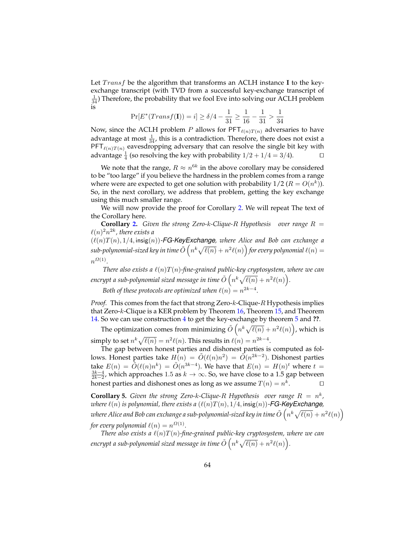Let  $Transf$  be the algorithm that transforms an ACLH instance I to the keyexchange transcript (with TVD from a successful key-exchange transcript of  $\frac{1}{34}$ ) Therefore, the probability that we fool Eve into solving our ACLH problem is

$$
\Pr[E^*(Transf(\mathbf{I})) = i] \ge \delta/4 - \frac{1}{31} \ge \frac{1}{16} - \frac{1}{31} > \frac{1}{34}
$$

Now, since the ACLH problem P allows for  $\text{PFT}_{(\ell(n)T(n))}$  adversaries to have advantage at most  $\frac{1}{34}$ , this is a contradiction. Therefore, there does not exist a  $PFT_{\ell(n)T(n)}$  eavesdropping adversary that can resolve the single bit key with advantage  $\frac{1}{4}$  (so resolving the key with probability  $1/2 + 1/4 = 3/4$ ).

We note that the range,  $R \approx n^{6k}$  in the above corollary may be considered to be "too large" if you believe the hardness in the problem comes from a range where were are expected to get one solution with probability  $1/2$   $(R = O(n^k))$ . So, in the next corollary, we address that problem, getting the key exchange using this much smaller range.

We will now provide the proof for Corollary [2.](#page-28-0) We will repeat The text of the Corollary here.

**Corollary [2.](#page-28-0)** *Given the strong Zero-*k*-Clique-*R *Hypothesis over range* R =  $\ell(n)^2 n^{2k}$ , there exists a

 $(\ell(n)T(n), 1/4, \text{insig}(n))$ -FG-KeyExchange, where Alice and Bob can exchange a  $\mathfrak{so}$ b-polynomial-sized key in time  $\tilde O\left(n^k\sqrt{\ell(n)}+n^2\ell(n)\right)$  for every polynomial  $\ell(n)=0$  $n^{\Omega(1)}$ .

*There also exists a*  $\ell(n)T(n)$ *-fine-grained public-key cryptosystem, where we can* encrypt a sub-polynomial sized message in time  $\tilde O\left(n^k \sqrt{\ell(n)} + n^2 \ell(n)\right)$ .

*Both of these protocols are optimized when*  $\ell(n) = n^{2k-4}$ *.* 

*Proof.* This comes from the fact that strong Zero-k-Clique-R Hypothesis implies that Zero- $k$ -Clique is a KER problem by Theorem [16,](#page-57-1) Theorem [15,](#page-52-1) and Theorem [14.](#page-51-0) So we can use construction [4](#page-23-0) to get the key-exchange by theorem [5](#page-25-0) and **??**.

The optimization comes from minimizing  $\tilde{O}\left(n^k\sqrt{\ell(n)}+n^2\ell(n)\right)$ , which is simply to set  $n^k \sqrt{\ell(n)} = n^2 \ell(n)$ . This results in  $\ell(n) = n^{2k-4}$ .

The gap between honest parties and dishonest parties is computed as follows. Honest parties take  $H(n) = \tilde{O}(\ell(n)n^2) = \tilde{O}(n^{2k-2})$ . Dishonest parties take  $E(n) = \tilde{O}(\ell(n)n^k) = \tilde{O}(n^{3k-4})$ . We have that  $E(n) = H(n)^t$  where  $t =$  $\frac{3k-4}{2k-2}$ , which approaches 1.5 as  $k\to\infty$ . So, we have close to a 1.5 gap between honest parties and dishonest ones as long as we assume  $T(n)=n^{\mathbf{k}}$  $\Box$ 

**Corollary 5.** Given the strong Zero-k-Clique-R Hypothesis over range  $R = n^k$ , *where*  $\ell(n)$  *is polynomial, there exists a*  $(\ell(n)T(n), 1/4, \text{insig}(n))$ *-FG-KeyExchange,* where Alice and Bob can exchange a sub-polynomial-sized key in time  $\tilde{O}\left(n^k\sqrt{\ell(n)}+n^2\ell(n)\right)$ *for every polynomial*  $\ell(n) = n^{\Omega(1)}$ *.* 

*There also exists a*  $\ell(n)T(n)$ *-fine-grained public-key cryptosystem, where we can* encrypt a sub-polynomial sized message in time  $\tilde{O}\left(n^k\sqrt{\ell(n)} + n^2\ell(n)\right)$ .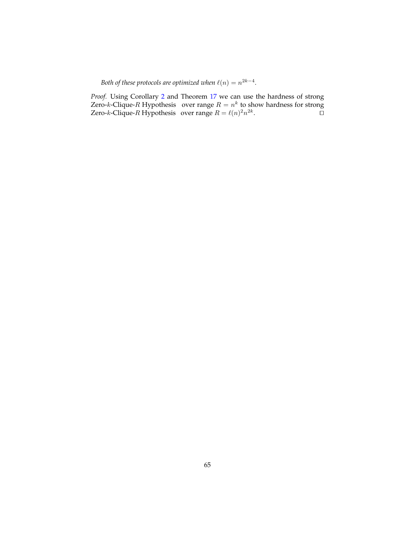*Both of these protocols are optimized when*  $\ell(n) = n^{2k-4}$ *.* 

*Proof.* Using Corollary [2](#page-28-0) and Theorem [17](#page-58-0) we can use the hardness of strong Zero-k-Clique-R Hypothesis over range  $R = n^k$  to show hardness for strong Zero-k-Clique-R Hypothesis over range  $R = \ell(n)^2 n^{2k}$ .